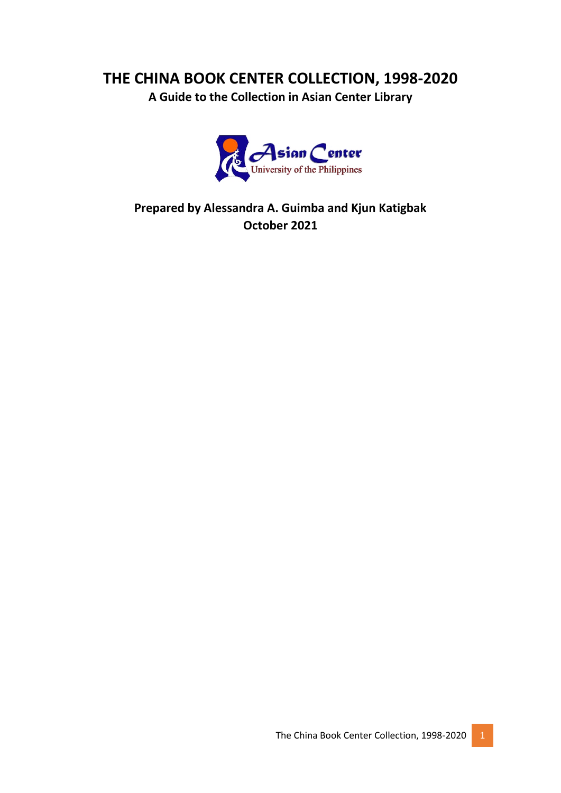## **THE CHINA BOOK CENTER COLLECTION, 1998-2020**

**A Guide to the Collection in Asian Center Library**



**Prepared by Alessandra A. Guimba and Kjun Katigbak October 2021**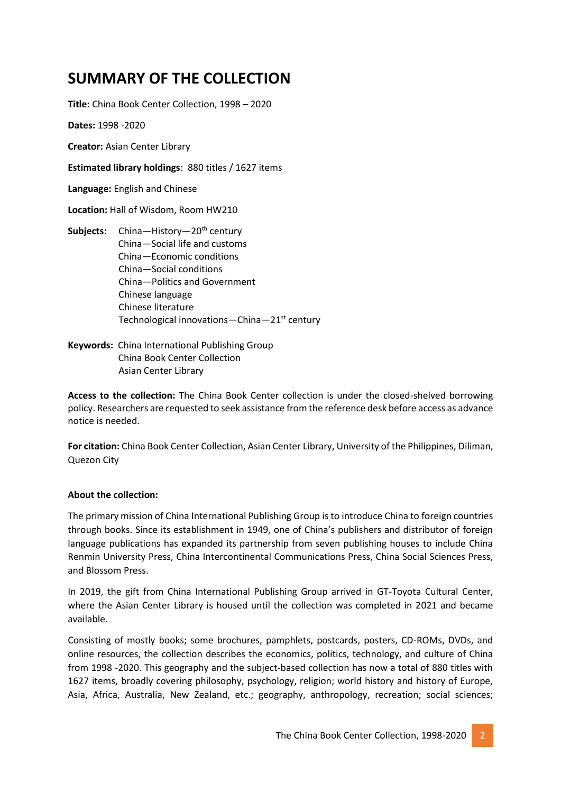## **SUMMARY OF THE COLLECTION**

**Title:** China Book Center Collection, 1998 – 2020

**Dates:** 1998 -2020

**Creator:** Asian Center Library

**Estimated library holdings**: 880 titles / 1627 items

**Language:** English and Chinese

**Location:** Hall of Wisdom, Room HW210

- Subjects: China-History-20<sup>th</sup> century China—Social life and customs China—Economic conditions China—Social conditions China—Politics and Government Chinese language Chinese literature Technological innovations—China—21st century
- **Keywords:** China International Publishing Group China Book Center Collection Asian Center Library

**Access to the collection:** The China Book Center collection is under the closed-shelved borrowing policy. Researchers are requested to seek assistance from the reference desk before access as advance notice is needed.

**For citation:** China Book Center Collection, Asian Center Library, University of the Philippines, Diliman, Quezon City

#### **About the collection:**

The primary mission of China International Publishing Group is to introduce China to foreign countries through books. Since its establishment in 1949, one of China's publishers and distributor of foreign language publications has expanded its partnership from seven publishing houses to include China Renmin University Press, China Intercontinental Communications Press, China Social Sciences Press, and Blossom Press.

In 2019, the gift from China International Publishing Group arrived in GT-Toyota Cultural Center, where the Asian Center Library is housed until the collection was completed in 2021 and became available.

Consisting of mostly books; some brochures, pamphlets, postcards, posters, CD-ROMs, DVDs, and online resources, the collection describes the economics, politics, technology, and culture of China from 1998 -2020. This geography and the subject-based collection has now a total of 880 titles with 1627 items, broadly covering philosophy, psychology, religion; world history and history of Europe, Asia, Africa, Australia, New Zealand, etc.; geography, anthropology, recreation; social sciences;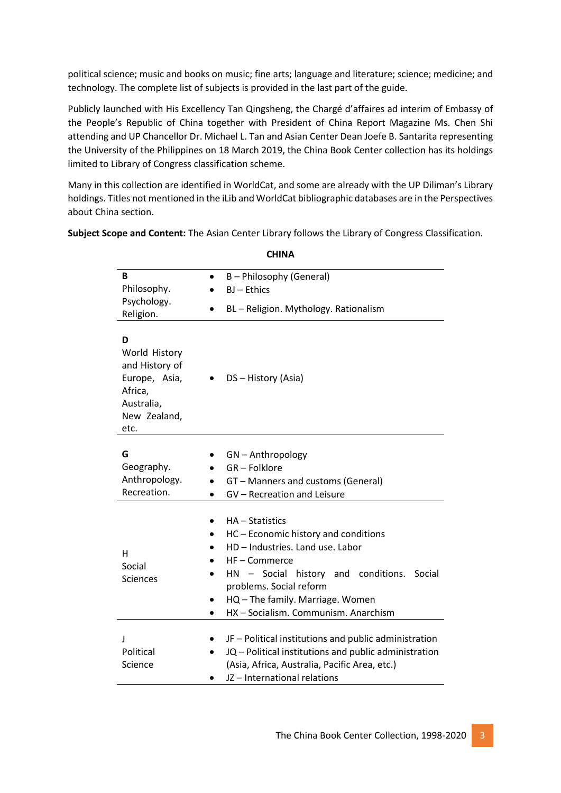political science; music and books on music; fine arts; language and literature; science; medicine; and technology. The complete list of subjects is provided in the last part of the guide.

Publicly launched with His Excellency Tan Qingsheng, the Chargé d'affaires ad interim of Embassy of the People's Republic of China together with President of China Report Magazine Ms. Chen Shi attending and UP Chancellor Dr. Michael L. Tan and Asian Center Dean Joefe B. Santarita representing the University of the Philippines on 18 March 2019, the China Book Center collection has its holdings limited to Library of Congress classification scheme.

Many in this collection are identified in WorldCat, and some are already with the UP Diliman's Library holdings. Titles not mentioned in the iLib and WorldCat bibliographic databases are in the Perspectives about China section.

**Subject Scope and Content:** The Asian Center Library follows the Library of Congress Classification.

| B<br>Philosophy.                                                                                       | B - Philosophy (General)<br>BJ-Ethics                                                                                                                                                                                                                                               |
|--------------------------------------------------------------------------------------------------------|-------------------------------------------------------------------------------------------------------------------------------------------------------------------------------------------------------------------------------------------------------------------------------------|
| Psychology.                                                                                            |                                                                                                                                                                                                                                                                                     |
| Religion.                                                                                              | BL - Religion. Mythology. Rationalism                                                                                                                                                                                                                                               |
| D<br>World History<br>and History of<br>Europe, Asia,<br>Africa,<br>Australia,<br>New Zealand,<br>etc. | DS - History (Asia)                                                                                                                                                                                                                                                                 |
| G<br>Geography.<br>Anthropology.<br>Recreation.                                                        | GN-Anthropology<br>GR - Folklore<br>GT - Manners and customs (General)<br>$\bullet$<br>GV - Recreation and Leisure<br>$\bullet$                                                                                                                                                     |
| н<br>Social<br><b>Sciences</b>                                                                         | $HA - Statistics$<br>HC - Economic history and conditions<br>HD - Industries. Land use. Labor<br>HF - Commerce<br>HN - Social history and conditions.<br>Social<br>problems. Social reform<br>HQ - The family. Marriage. Women<br>$\bullet$<br>HX - Socialism. Communism. Anarchism |
| J<br>Political<br>Science                                                                              | JF - Political institutions and public administration<br>JQ - Political institutions and public administration<br>(Asia, Africa, Australia, Pacific Area, etc.)<br>JZ-International relations                                                                                       |

**CHINA**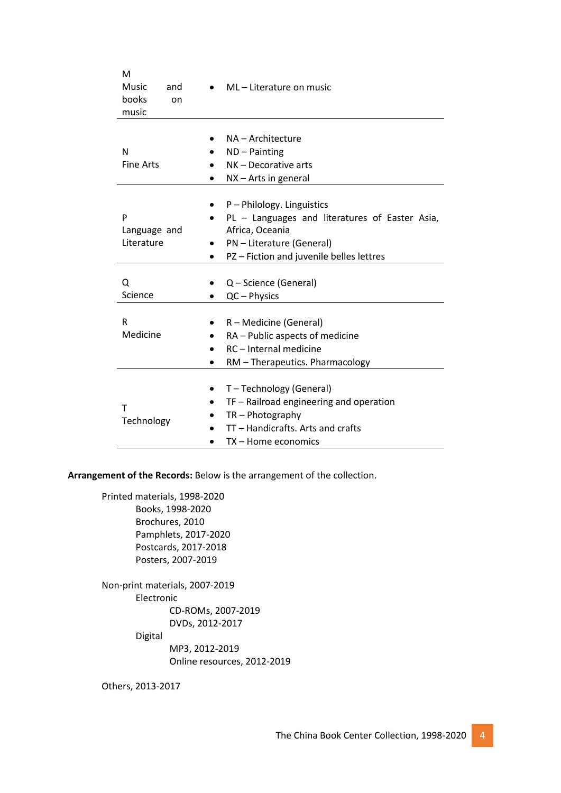| M<br>Music<br>and<br>books<br>on<br>music | ML-Literature on music                                                                                                                                                 |
|-------------------------------------------|------------------------------------------------------------------------------------------------------------------------------------------------------------------------|
| N<br><b>Fine Arts</b>                     | NA - Architecture<br>$ND - Painting$<br>NK - Decorative arts<br>$NX - Arts$ in general                                                                                 |
| P<br>Language and<br>Literature           | P - Philology. Linguistics<br>PL - Languages and literatures of Easter Asia,<br>Africa, Oceania<br>PN - Literature (General)<br>PZ-Fiction and juvenile belles lettres |
| Q<br>Science                              | Q - Science (General)<br>QC - Physics                                                                                                                                  |
| R<br>Medicine                             | R – Medicine (General)<br>RA - Public aspects of medicine<br>RC - Internal medicine<br>RM - Therapeutics. Pharmacology                                                 |
| Τ<br>Technology                           | T-Technology (General)<br>TF - Railroad engineering and operation<br>$TR - Photography$<br>TT - Handicrafts. Arts and crafts<br>TX - Home economics                    |

**Arrangement of the Records:** Below is the arrangement of the collection.

Printed materials, 1998-2020 Books, 1998-2020 Brochures, 2010 Pamphlets, 2017-2020 Postcards, 2017-2018 Posters, 2007-2019

Non-print materials, 2007-2019 Electronic CD-ROMs, 2007-2019 DVDs, 2012-2017

Digital

MP3, 2012-2019 Online resources, 2012-2019

Others, 2013-2017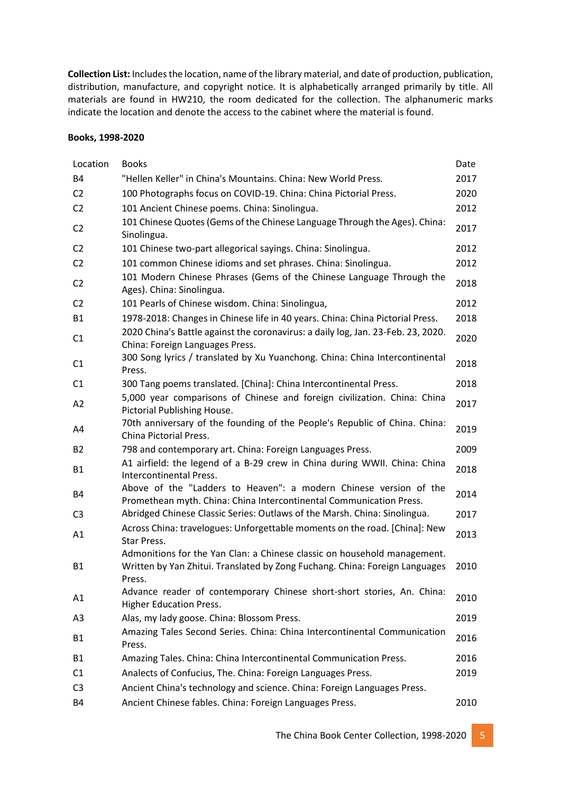**Collection List:** Includes the location, name of the library material, and date of production, publication, distribution, manufacture, and copyright notice. It is alphabetically arranged primarily by title. All materials are found in HW210, the room dedicated for the collection. The alphanumeric marks indicate the location and denote the access to the cabinet where the material is found.

#### **Books, 1998-2020**

| Location       | <b>Books</b>                                                                                                                                                      | Date |
|----------------|-------------------------------------------------------------------------------------------------------------------------------------------------------------------|------|
| <b>B4</b>      | "Hellen Keller" in China's Mountains. China: New World Press.                                                                                                     | 2017 |
| C <sub>2</sub> | 100 Photographs focus on COVID-19. China: China Pictorial Press.                                                                                                  | 2020 |
| C <sub>2</sub> | 101 Ancient Chinese poems. China: Sinolingua.                                                                                                                     | 2012 |
| C <sub>2</sub> | 101 Chinese Quotes (Gems of the Chinese Language Through the Ages). China:<br>Sinolingua.                                                                         | 2017 |
| C <sub>2</sub> | 101 Chinese two-part allegorical sayings. China: Sinolingua.                                                                                                      | 2012 |
| C <sub>2</sub> | 101 common Chinese idioms and set phrases. China: Sinolingua.                                                                                                     | 2012 |
| C <sub>2</sub> | 101 Modern Chinese Phrases (Gems of the Chinese Language Through the<br>Ages). China: Sinolingua.                                                                 | 2018 |
| C <sub>2</sub> | 101 Pearls of Chinese wisdom. China: Sinolingua,                                                                                                                  | 2012 |
| <b>B1</b>      | 1978-2018: Changes in Chinese life in 40 years. China: China Pictorial Press.                                                                                     | 2018 |
| C1             | 2020 China's Battle against the coronavirus: a daily log, Jan. 23-Feb. 23, 2020.<br>China: Foreign Languages Press.                                               | 2020 |
| C1             | 300 Song lyrics / translated by Xu Yuanchong. China: China Intercontinental<br>Press.                                                                             | 2018 |
| C <sub>1</sub> | 300 Tang poems translated. [China]: China Intercontinental Press.                                                                                                 | 2018 |
| A2             | 5,000 year comparisons of Chinese and foreign civilization. China: China<br>Pictorial Publishing House.                                                           | 2017 |
| A4             | 70th anniversary of the founding of the People's Republic of China. China:<br>China Pictorial Press.                                                              | 2019 |
| <b>B2</b>      | 798 and contemporary art. China: Foreign Languages Press.                                                                                                         | 2009 |
| <b>B1</b>      | A1 airfield: the legend of a B-29 crew in China during WWII. China: China<br>Intercontinental Press.                                                              | 2018 |
| B4             | Above of the "Ladders to Heaven": a modern Chinese version of the<br>Promethean myth. China: China Intercontinental Communication Press.                          | 2014 |
| C <sub>3</sub> | Abridged Chinese Classic Series: Outlaws of the Marsh. China: Sinolingua.                                                                                         | 2017 |
| A1             | Across China: travelogues: Unforgettable moments on the road. [China]: New<br>Star Press.                                                                         | 2013 |
| <b>B1</b>      | Admonitions for the Yan Clan: a Chinese classic on household management.<br>Written by Yan Zhitui. Translated by Zong Fuchang. China: Foreign Languages<br>Press. | 2010 |
| A1             | Advance reader of contemporary Chinese short-short stories, An. China:<br><b>Higher Education Press.</b>                                                          | 2010 |
| A <sub>3</sub> | Alas, my lady goose. China: Blossom Press.                                                                                                                        | 2019 |
| <b>B1</b>      | Amazing Tales Second Series. China: China Intercontinental Communication<br>Press.                                                                                | 2016 |
| <b>B1</b>      | Amazing Tales. China: China Intercontinental Communication Press.                                                                                                 | 2016 |
| C1             | Analects of Confucius, The. China: Foreign Languages Press.                                                                                                       | 2019 |
| C <sub>3</sub> | Ancient China's technology and science. China: Foreign Languages Press.                                                                                           |      |
| B4             | Ancient Chinese fables. China: Foreign Languages Press.                                                                                                           | 2010 |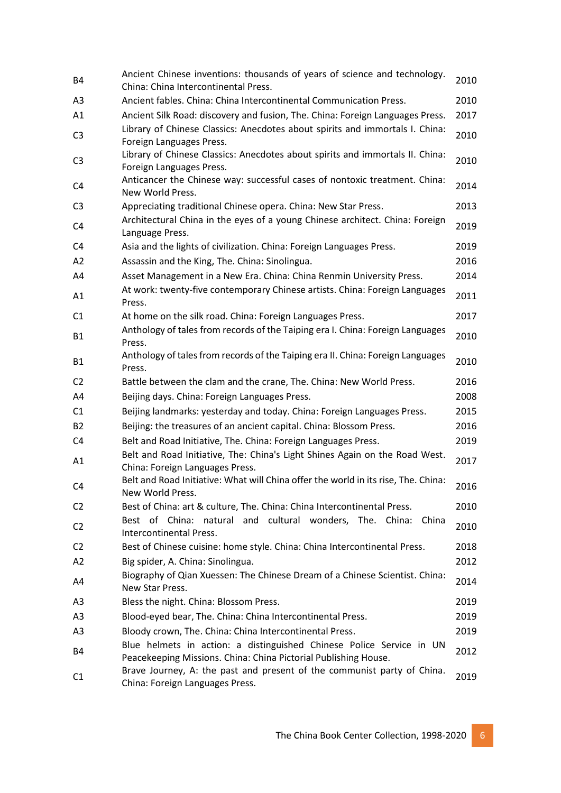| <b>B4</b>      | Ancient Chinese inventions: thousands of years of science and technology.<br>China: China Intercontinental Press.                       | 2010 |
|----------------|-----------------------------------------------------------------------------------------------------------------------------------------|------|
| A <sub>3</sub> | Ancient fables. China: China Intercontinental Communication Press.                                                                      | 2010 |
| A1             | Ancient Silk Road: discovery and fusion, The. China: Foreign Languages Press.                                                           | 2017 |
| C <sub>3</sub> | Library of Chinese Classics: Anecdotes about spirits and immortals I. China:<br>Foreign Languages Press.                                | 2010 |
| C <sub>3</sub> | Library of Chinese Classics: Anecdotes about spirits and immortals II. China:<br>Foreign Languages Press.                               | 2010 |
| C4             | Anticancer the Chinese way: successful cases of nontoxic treatment. China:<br>New World Press.                                          | 2014 |
| C <sub>3</sub> | Appreciating traditional Chinese opera. China: New Star Press.                                                                          | 2013 |
| C4             | Architectural China in the eyes of a young Chinese architect. China: Foreign<br>Language Press.                                         | 2019 |
| C4             | Asia and the lights of civilization. China: Foreign Languages Press.                                                                    | 2019 |
| A2             | Assassin and the King, The. China: Sinolingua.                                                                                          | 2016 |
| A4             | Asset Management in a New Era. China: China Renmin University Press.                                                                    | 2014 |
| A1             | At work: twenty-five contemporary Chinese artists. China: Foreign Languages<br>Press.                                                   | 2011 |
| C1             | At home on the silk road. China: Foreign Languages Press.                                                                               | 2017 |
| <b>B1</b>      | Anthology of tales from records of the Taiping era I. China: Foreign Languages<br>Press.                                                | 2010 |
| <b>B1</b>      | Anthology of tales from records of the Taiping era II. China: Foreign Languages<br>Press.                                               | 2010 |
| C <sub>2</sub> | Battle between the clam and the crane, The. China: New World Press.                                                                     | 2016 |
| A4             | Beijing days. China: Foreign Languages Press.                                                                                           | 2008 |
| C1             | Beijing landmarks: yesterday and today. China: Foreign Languages Press.                                                                 | 2015 |
| <b>B2</b>      | Beijing: the treasures of an ancient capital. China: Blossom Press.                                                                     | 2016 |
| C4             | Belt and Road Initiative, The. China: Foreign Languages Press.                                                                          | 2019 |
| A1             | Belt and Road Initiative, The: China's Light Shines Again on the Road West.<br>China: Foreign Languages Press.                          | 2017 |
| C4             | Belt and Road Initiative: What will China offer the world in its rise, The. China:<br>New World Press.                                  | 2016 |
| C <sub>2</sub> | Best of China: art & culture, The. China: China Intercontinental Press.                                                                 | 2010 |
| C <sub>2</sub> | Best of China: natural and cultural wonders, The. China:<br>China<br>Intercontinental Press.                                            | 2010 |
| C <sub>2</sub> | Best of Chinese cuisine: home style. China: China Intercontinental Press.                                                               | 2018 |
| A2             | Big spider, A. China: Sinolingua.                                                                                                       | 2012 |
| A4             | Biography of Qian Xuessen: The Chinese Dream of a Chinese Scientist. China:<br>New Star Press.                                          | 2014 |
| A3             | Bless the night. China: Blossom Press.                                                                                                  | 2019 |
| A <sub>3</sub> | Blood-eyed bear, The. China: China Intercontinental Press.                                                                              | 2019 |
| A <sub>3</sub> | Bloody crown, The. China: China Intercontinental Press.                                                                                 | 2019 |
| B4             | Blue helmets in action: a distinguished Chinese Police Service in UN<br>Peacekeeping Missions. China: China Pictorial Publishing House. | 2012 |
| C1             | Brave Journey, A: the past and present of the communist party of China.<br>China: Foreign Languages Press.                              | 2019 |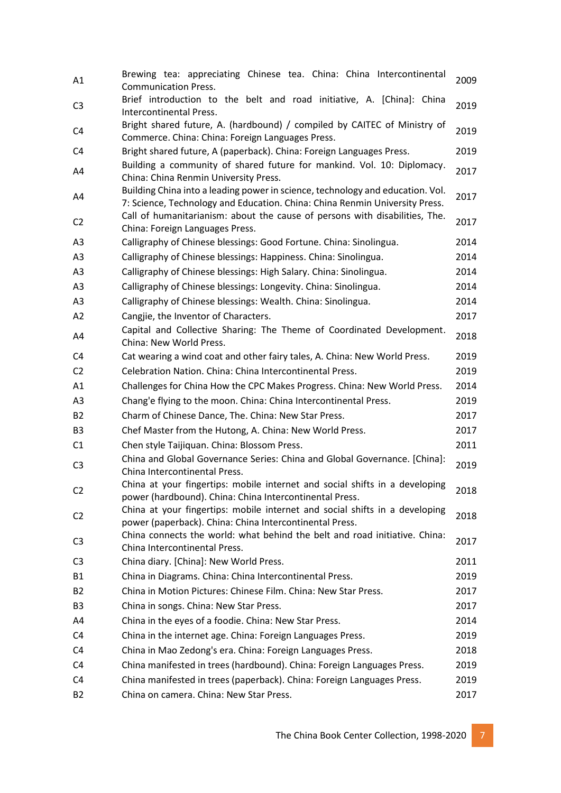| A1             | Brewing tea: appreciating Chinese tea. China: China Intercontinental<br><b>Communication Press.</b>                                                           | 2009 |
|----------------|---------------------------------------------------------------------------------------------------------------------------------------------------------------|------|
| C <sub>3</sub> | Brief introduction to the belt and road initiative, A. [China]: China<br>Intercontinental Press.                                                              | 2019 |
| C4             | Bright shared future, A. (hardbound) / compiled by CAITEC of Ministry of<br>Commerce. China: China: Foreign Languages Press.                                  | 2019 |
| C <sub>4</sub> | Bright shared future, A (paperback). China: Foreign Languages Press.                                                                                          | 2019 |
| A4             | Building a community of shared future for mankind. Vol. 10: Diplomacy.<br>China: China Renmin University Press.                                               | 2017 |
| A4             | Building China into a leading power in science, technology and education. Vol.<br>7: Science, Technology and Education. China: China Renmin University Press. | 2017 |
| C <sub>2</sub> | Call of humanitarianism: about the cause of persons with disabilities, The.<br>China: Foreign Languages Press.                                                | 2017 |
| A <sub>3</sub> | Calligraphy of Chinese blessings: Good Fortune. China: Sinolingua.                                                                                            | 2014 |
| A <sub>3</sub> | Calligraphy of Chinese blessings: Happiness. China: Sinolingua.                                                                                               | 2014 |
| A <sub>3</sub> | Calligraphy of Chinese blessings: High Salary. China: Sinolingua.                                                                                             | 2014 |
| A <sub>3</sub> | Calligraphy of Chinese blessings: Longevity. China: Sinolingua.                                                                                               | 2014 |
| A <sub>3</sub> | Calligraphy of Chinese blessings: Wealth. China: Sinolingua.                                                                                                  | 2014 |
| A2             | Cangjie, the Inventor of Characters.                                                                                                                          | 2017 |
| A4             | Capital and Collective Sharing: The Theme of Coordinated Development.<br>China: New World Press.                                                              | 2018 |
| C <sub>4</sub> | Cat wearing a wind coat and other fairy tales, A. China: New World Press.                                                                                     | 2019 |
| C <sub>2</sub> | Celebration Nation. China: China Intercontinental Press.                                                                                                      | 2019 |
| A1             | Challenges for China How the CPC Makes Progress. China: New World Press.                                                                                      | 2014 |
| A3             | Chang'e flying to the moon. China: China Intercontinental Press.                                                                                              | 2019 |
| <b>B2</b>      | Charm of Chinese Dance, The. China: New Star Press.                                                                                                           | 2017 |
| B <sub>3</sub> | Chef Master from the Hutong, A. China: New World Press.                                                                                                       | 2017 |
| C1             | Chen style Taijiquan. China: Blossom Press.                                                                                                                   | 2011 |
| C <sub>3</sub> | China and Global Governance Series: China and Global Governance. [China]:<br>China Intercontinental Press.                                                    | 2019 |
| C <sub>2</sub> | China at your fingertips: mobile internet and social shifts in a developing<br>power (hardbound). China: China Intercontinental Press.                        | 2018 |
| C <sub>2</sub> | China at your fingertips: mobile internet and social shifts in a developing<br>power (paperback). China: China Intercontinental Press.                        | 2018 |
| C <sub>3</sub> | China connects the world: what behind the belt and road initiative. China:<br>China Intercontinental Press.                                                   | 2017 |
| C <sub>3</sub> | China diary. [China]: New World Press.                                                                                                                        | 2011 |
| <b>B1</b>      | China in Diagrams. China: China Intercontinental Press.                                                                                                       | 2019 |
| <b>B2</b>      | China in Motion Pictures: Chinese Film. China: New Star Press.                                                                                                | 2017 |
| B <sub>3</sub> | China in songs. China: New Star Press.                                                                                                                        | 2017 |
| A4             | China in the eyes of a foodie. China: New Star Press.                                                                                                         | 2014 |
| C4             | China in the internet age. China: Foreign Languages Press.                                                                                                    | 2019 |
| C4             | China in Mao Zedong's era. China: Foreign Languages Press.                                                                                                    | 2018 |
| C4             | China manifested in trees (hardbound). China: Foreign Languages Press.                                                                                        | 2019 |
| C4             | China manifested in trees (paperback). China: Foreign Languages Press.                                                                                        | 2019 |
| B <sub>2</sub> | China on camera. China: New Star Press.                                                                                                                       | 2017 |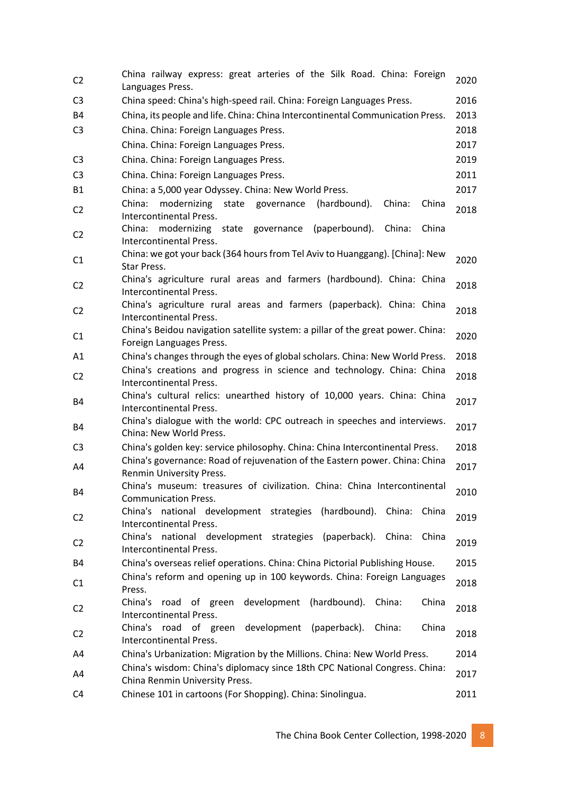| C <sub>2</sub> | China railway express: great arteries of the Silk Road. China: Foreign<br>Languages Press.                     | 2020 |
|----------------|----------------------------------------------------------------------------------------------------------------|------|
| C <sub>3</sub> | China speed: China's high-speed rail. China: Foreign Languages Press.                                          | 2016 |
| <b>B4</b>      | China, its people and life. China: China Intercontinental Communication Press.                                 | 2013 |
| C <sub>3</sub> | China. China: Foreign Languages Press.                                                                         | 2018 |
|                | China. China: Foreign Languages Press.                                                                         | 2017 |
| C <sub>3</sub> | China. China: Foreign Languages Press.                                                                         | 2019 |
| C <sub>3</sub> | China. China: Foreign Languages Press.                                                                         | 2011 |
| <b>B1</b>      | China: a 5,000 year Odyssey. China: New World Press.                                                           | 2017 |
| C <sub>2</sub> | modernizing<br>(hardbound).<br>China:<br>China<br>China:<br>state governance<br><b>Intercontinental Press.</b> | 2018 |
| C <sub>2</sub> | modernizing state<br>(paperbound).<br>China<br>China:<br>governance<br>China:<br>Intercontinental Press.       |      |
| C <sub>1</sub> | China: we got your back (364 hours from Tel Aviv to Huanggang). [China]: New<br><b>Star Press.</b>             | 2020 |
| C <sub>2</sub> | China's agriculture rural areas and farmers (hardbound). China: China<br>Intercontinental Press.               | 2018 |
| C <sub>2</sub> | China's agriculture rural areas and farmers (paperback). China: China<br>Intercontinental Press.               | 2018 |
| C1             | China's Beidou navigation satellite system: a pillar of the great power. China:<br>Foreign Languages Press.    | 2020 |
| A1             | China's changes through the eyes of global scholars. China: New World Press.                                   | 2018 |
| C <sub>2</sub> | China's creations and progress in science and technology. China: China<br>Intercontinental Press.              | 2018 |
| <b>B4</b>      | China's cultural relics: unearthed history of 10,000 years. China: China<br>Intercontinental Press.            | 2017 |
| B4             | China's dialogue with the world: CPC outreach in speeches and interviews.<br>China: New World Press.           | 2017 |
| C <sub>3</sub> | China's golden key: service philosophy. China: China Intercontinental Press.                                   | 2018 |
| A4             | China's governance: Road of rejuvenation of the Eastern power. China: China<br>Renmin University Press.        | 2017 |
|                | China's museum: treasures of civilization. China: China Intercontinental                                       |      |
| <b>B4</b>      | <b>Communication Press.</b>                                                                                    | 2010 |
| C <sub>2</sub> | China's<br>national development strategies (hardbound). China:<br>China<br>Intercontinental Press.             | 2019 |
| C <sub>2</sub> | China's national development strategies (paperback). China:<br>China<br>Intercontinental Press.                | 2019 |
| <b>B4</b>      | China's overseas relief operations. China: China Pictorial Publishing House.                                   | 2015 |
|                | China's reform and opening up in 100 keywords. China: Foreign Languages                                        |      |
| C1             | Press.                                                                                                         | 2018 |
| C <sub>2</sub> | China's<br>road of green development (hardbound).<br>China<br>China:<br>Intercontinental Press.                | 2018 |
| C <sub>2</sub> | road of green development (paperback).<br>China's<br>China<br>China:<br>Intercontinental Press.                | 2018 |
| A4             | China's Urbanization: Migration by the Millions. China: New World Press.                                       | 2014 |
| A4             | China's wisdom: China's diplomacy since 18th CPC National Congress. China:<br>China Renmin University Press.   | 2017 |
| C <sub>4</sub> | Chinese 101 in cartoons (For Shopping). China: Sinolingua.                                                     | 2011 |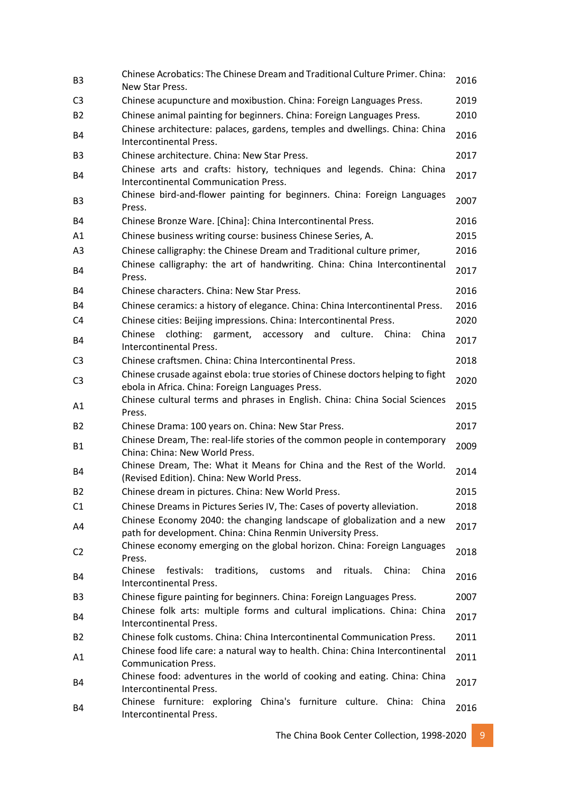| B <sub>3</sub> | Chinese Acrobatics: The Chinese Dream and Traditional Culture Primer. China:<br>New Star Press.                                        | 2016 |
|----------------|----------------------------------------------------------------------------------------------------------------------------------------|------|
| C <sub>3</sub> | Chinese acupuncture and moxibustion. China: Foreign Languages Press.                                                                   | 2019 |
| <b>B2</b>      | Chinese animal painting for beginners. China: Foreign Languages Press.                                                                 | 2010 |
| <b>B4</b>      | Chinese architecture: palaces, gardens, temples and dwellings. China: China<br>Intercontinental Press.                                 | 2016 |
| B <sub>3</sub> | Chinese architecture. China: New Star Press.                                                                                           | 2017 |
| <b>B4</b>      | Chinese arts and crafts: history, techniques and legends. China: China<br><b>Intercontinental Communication Press.</b>                 | 2017 |
| B <sub>3</sub> | Chinese bird-and-flower painting for beginners. China: Foreign Languages<br>Press.                                                     | 2007 |
| <b>B4</b>      | Chinese Bronze Ware. [China]: China Intercontinental Press.                                                                            | 2016 |
| A1             | Chinese business writing course: business Chinese Series, A.                                                                           | 2015 |
| A3             | Chinese calligraphy: the Chinese Dream and Traditional culture primer,                                                                 | 2016 |
| <b>B4</b>      | Chinese calligraphy: the art of handwriting. China: China Intercontinental<br>Press.                                                   | 2017 |
| <b>B4</b>      | Chinese characters. China: New Star Press.                                                                                             | 2016 |
| B4             | Chinese ceramics: a history of elegance. China: China Intercontinental Press.                                                          | 2016 |
| C4             | Chinese cities: Beijing impressions. China: Intercontinental Press.                                                                    | 2020 |
| B4             | Chinese<br>clothing: garment, accessory and<br>China<br>culture.<br>China:<br>Intercontinental Press.                                  | 2017 |
| C <sub>3</sub> | Chinese craftsmen. China: China Intercontinental Press.                                                                                | 2018 |
| C <sub>3</sub> | Chinese crusade against ebola: true stories of Chinese doctors helping to fight<br>ebola in Africa. China: Foreign Languages Press.    | 2020 |
| A1             | Chinese cultural terms and phrases in English. China: China Social Sciences<br>Press.                                                  | 2015 |
| <b>B2</b>      | Chinese Drama: 100 years on. China: New Star Press.                                                                                    | 2017 |
| <b>B1</b>      | Chinese Dream, The: real-life stories of the common people in contemporary<br>China: China: New World Press.                           | 2009 |
| <b>B4</b>      | Chinese Dream, The: What it Means for China and the Rest of the World.<br>(Revised Edition). China: New World Press.                   | 2014 |
| B <sub>2</sub> | Chinese dream in pictures. China: New World Press.                                                                                     | 2015 |
| C1             | Chinese Dreams in Pictures Series IV, The: Cases of poverty alleviation.                                                               | 2018 |
| A4             | Chinese Economy 2040: the changing landscape of globalization and a new<br>path for development. China: China Renmin University Press. | 2017 |
| C <sub>2</sub> | Chinese economy emerging on the global horizon. China: Foreign Languages<br>Press.                                                     | 2018 |
| B4             | Chinese<br>traditions,<br>rituals.<br>China:<br>China<br>festivals:<br>customs<br>and<br>Intercontinental Press.                       | 2016 |
| B <sub>3</sub> | Chinese figure painting for beginners. China: Foreign Languages Press.                                                                 | 2007 |
| B4             | Chinese folk arts: multiple forms and cultural implications. China: China<br><b>Intercontinental Press.</b>                            | 2017 |
| <b>B2</b>      | Chinese folk customs. China: China Intercontinental Communication Press.                                                               | 2011 |
| A1             | Chinese food life care: a natural way to health. China: China Intercontinental<br><b>Communication Press.</b>                          | 2011 |
| B4             | Chinese food: adventures in the world of cooking and eating. China: China<br>Intercontinental Press.                                   | 2017 |
| B4             | Chinese furniture: exploring China's furniture culture. China: China<br>Intercontinental Press.                                        | 2016 |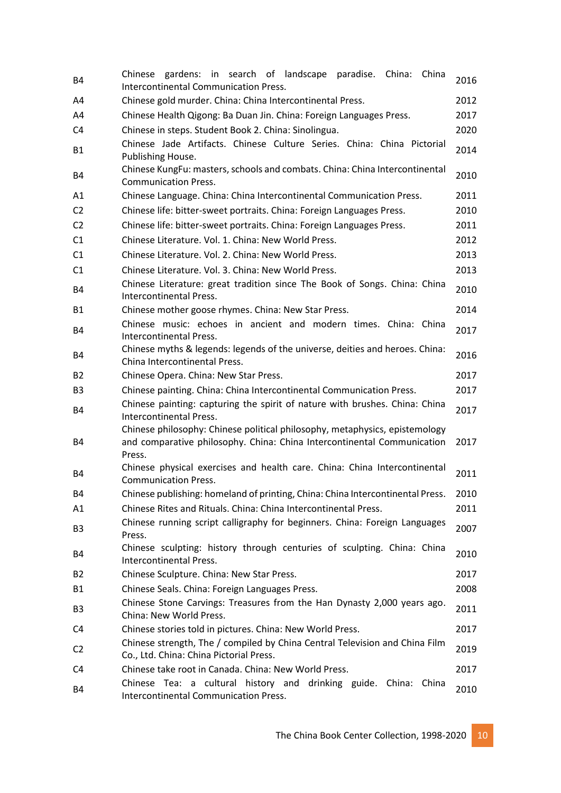| <b>B4</b>      | Chinese gardens: in search of landscape paradise. China:<br>China<br>Intercontinental Communication Press.                                                       | 2016 |
|----------------|------------------------------------------------------------------------------------------------------------------------------------------------------------------|------|
| A4             | Chinese gold murder. China: China Intercontinental Press.                                                                                                        | 2012 |
| A4             | Chinese Health Qigong: Ba Duan Jin. China: Foreign Languages Press.                                                                                              | 2017 |
| C4             | Chinese in steps. Student Book 2. China: Sinolingua.                                                                                                             | 2020 |
| <b>B1</b>      | Chinese Jade Artifacts. Chinese Culture Series. China: China Pictorial<br>Publishing House.                                                                      | 2014 |
| <b>B4</b>      | Chinese KungFu: masters, schools and combats. China: China Intercontinental<br><b>Communication Press.</b>                                                       | 2010 |
| A1             | Chinese Language. China: China Intercontinental Communication Press.                                                                                             | 2011 |
| C <sub>2</sub> | Chinese life: bitter-sweet portraits. China: Foreign Languages Press.                                                                                            | 2010 |
| C <sub>2</sub> | Chinese life: bitter-sweet portraits. China: Foreign Languages Press.                                                                                            | 2011 |
| C1             | Chinese Literature. Vol. 1. China: New World Press.                                                                                                              | 2012 |
| C1             | Chinese Literature, Vol. 2, China: New World Press.                                                                                                              | 2013 |
| C1             | Chinese Literature. Vol. 3. China: New World Press.                                                                                                              | 2013 |
| <b>B4</b>      | Chinese Literature: great tradition since The Book of Songs. China: China<br>Intercontinental Press.                                                             | 2010 |
| <b>B1</b>      | Chinese mother goose rhymes. China: New Star Press.                                                                                                              | 2014 |
| <b>B4</b>      | Chinese music: echoes in ancient and modern times. China: China<br>Intercontinental Press.                                                                       | 2017 |
| <b>B4</b>      | Chinese myths & legends: legends of the universe, deities and heroes. China:<br>China Intercontinental Press.                                                    | 2016 |
| <b>B2</b>      | Chinese Opera. China: New Star Press.                                                                                                                            | 2017 |
| B <sub>3</sub> | Chinese painting. China: China Intercontinental Communication Press.                                                                                             | 2017 |
| <b>B4</b>      | Chinese painting: capturing the spirit of nature with brushes. China: China<br>Intercontinental Press.                                                           | 2017 |
| <b>B4</b>      | Chinese philosophy: Chinese political philosophy, metaphysics, epistemology<br>and comparative philosophy. China: China Intercontinental Communication<br>Press. | 2017 |
| <b>B4</b>      | Chinese physical exercises and health care. China: China Intercontinental<br><b>Communication Press.</b>                                                         | 2011 |
| B4             | Chinese publishing: homeland of printing, China: China Intercontinental Press.                                                                                   | 2010 |
| A1             | Chinese Rites and Rituals. China: China Intercontinental Press.                                                                                                  | 2011 |
| B <sub>3</sub> | Chinese running script calligraphy for beginners. China: Foreign Languages<br>Press.                                                                             | 2007 |
| B4             | Chinese sculpting: history through centuries of sculpting. China: China<br>Intercontinental Press.                                                               | 2010 |
| B <sub>2</sub> | Chinese Sculpture. China: New Star Press.                                                                                                                        | 2017 |
| <b>B1</b>      | Chinese Seals. China: Foreign Languages Press.                                                                                                                   | 2008 |
| B <sub>3</sub> | Chinese Stone Carvings: Treasures from the Han Dynasty 2,000 years ago.<br>China: New World Press.                                                               | 2011 |
| C4             | Chinese stories told in pictures. China: New World Press.                                                                                                        | 2017 |
| C <sub>2</sub> | Chinese strength, The / compiled by China Central Television and China Film<br>Co., Ltd. China: China Pictorial Press.                                           | 2019 |
| C4             | Chinese take root in Canada. China: New World Press.                                                                                                             | 2017 |
| <b>B4</b>      | Chinese Tea: a cultural history and drinking guide. China: China<br>Intercontinental Communication Press.                                                        | 2010 |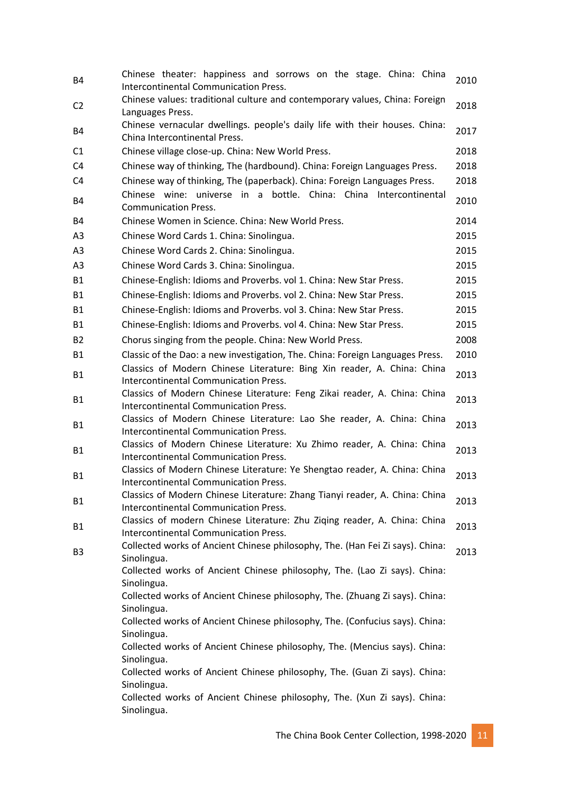| Chinese theater: happiness and sorrows on the stage. China: China<br>Intercontinental Communication Press. | 2010                                                                                                                                                                                                                                                                                                                                                                                                                                                                                                                                                                                                                                                                                                                                                                                                                                                                                                                                                                                                                                                                                                                                                                                                                                                                                                                                                                                                                                                                                                                                                                                                           |
|------------------------------------------------------------------------------------------------------------|----------------------------------------------------------------------------------------------------------------------------------------------------------------------------------------------------------------------------------------------------------------------------------------------------------------------------------------------------------------------------------------------------------------------------------------------------------------------------------------------------------------------------------------------------------------------------------------------------------------------------------------------------------------------------------------------------------------------------------------------------------------------------------------------------------------------------------------------------------------------------------------------------------------------------------------------------------------------------------------------------------------------------------------------------------------------------------------------------------------------------------------------------------------------------------------------------------------------------------------------------------------------------------------------------------------------------------------------------------------------------------------------------------------------------------------------------------------------------------------------------------------------------------------------------------------------------------------------------------------|
| Languages Press.                                                                                           | 2018                                                                                                                                                                                                                                                                                                                                                                                                                                                                                                                                                                                                                                                                                                                                                                                                                                                                                                                                                                                                                                                                                                                                                                                                                                                                                                                                                                                                                                                                                                                                                                                                           |
| China Intercontinental Press.                                                                              | 2017                                                                                                                                                                                                                                                                                                                                                                                                                                                                                                                                                                                                                                                                                                                                                                                                                                                                                                                                                                                                                                                                                                                                                                                                                                                                                                                                                                                                                                                                                                                                                                                                           |
|                                                                                                            | 2018                                                                                                                                                                                                                                                                                                                                                                                                                                                                                                                                                                                                                                                                                                                                                                                                                                                                                                                                                                                                                                                                                                                                                                                                                                                                                                                                                                                                                                                                                                                                                                                                           |
| Chinese way of thinking, The (hardbound). China: Foreign Languages Press.                                  | 2018                                                                                                                                                                                                                                                                                                                                                                                                                                                                                                                                                                                                                                                                                                                                                                                                                                                                                                                                                                                                                                                                                                                                                                                                                                                                                                                                                                                                                                                                                                                                                                                                           |
| Chinese way of thinking, The (paperback). China: Foreign Languages Press.                                  | 2018                                                                                                                                                                                                                                                                                                                                                                                                                                                                                                                                                                                                                                                                                                                                                                                                                                                                                                                                                                                                                                                                                                                                                                                                                                                                                                                                                                                                                                                                                                                                                                                                           |
| Chinese wine: universe in a bottle. China: China Intercontinental<br><b>Communication Press.</b>           | 2010                                                                                                                                                                                                                                                                                                                                                                                                                                                                                                                                                                                                                                                                                                                                                                                                                                                                                                                                                                                                                                                                                                                                                                                                                                                                                                                                                                                                                                                                                                                                                                                                           |
| Chinese Women in Science. China: New World Press.                                                          | 2014                                                                                                                                                                                                                                                                                                                                                                                                                                                                                                                                                                                                                                                                                                                                                                                                                                                                                                                                                                                                                                                                                                                                                                                                                                                                                                                                                                                                                                                                                                                                                                                                           |
| Chinese Word Cards 1. China: Sinolingua.                                                                   | 2015                                                                                                                                                                                                                                                                                                                                                                                                                                                                                                                                                                                                                                                                                                                                                                                                                                                                                                                                                                                                                                                                                                                                                                                                                                                                                                                                                                                                                                                                                                                                                                                                           |
| Chinese Word Cards 2. China: Sinolingua.                                                                   | 2015                                                                                                                                                                                                                                                                                                                                                                                                                                                                                                                                                                                                                                                                                                                                                                                                                                                                                                                                                                                                                                                                                                                                                                                                                                                                                                                                                                                                                                                                                                                                                                                                           |
| Chinese Word Cards 3. China: Sinolingua.                                                                   | 2015                                                                                                                                                                                                                                                                                                                                                                                                                                                                                                                                                                                                                                                                                                                                                                                                                                                                                                                                                                                                                                                                                                                                                                                                                                                                                                                                                                                                                                                                                                                                                                                                           |
|                                                                                                            | 2015                                                                                                                                                                                                                                                                                                                                                                                                                                                                                                                                                                                                                                                                                                                                                                                                                                                                                                                                                                                                                                                                                                                                                                                                                                                                                                                                                                                                                                                                                                                                                                                                           |
|                                                                                                            | 2015                                                                                                                                                                                                                                                                                                                                                                                                                                                                                                                                                                                                                                                                                                                                                                                                                                                                                                                                                                                                                                                                                                                                                                                                                                                                                                                                                                                                                                                                                                                                                                                                           |
|                                                                                                            | 2015                                                                                                                                                                                                                                                                                                                                                                                                                                                                                                                                                                                                                                                                                                                                                                                                                                                                                                                                                                                                                                                                                                                                                                                                                                                                                                                                                                                                                                                                                                                                                                                                           |
|                                                                                                            | 2015                                                                                                                                                                                                                                                                                                                                                                                                                                                                                                                                                                                                                                                                                                                                                                                                                                                                                                                                                                                                                                                                                                                                                                                                                                                                                                                                                                                                                                                                                                                                                                                                           |
|                                                                                                            | 2008                                                                                                                                                                                                                                                                                                                                                                                                                                                                                                                                                                                                                                                                                                                                                                                                                                                                                                                                                                                                                                                                                                                                                                                                                                                                                                                                                                                                                                                                                                                                                                                                           |
|                                                                                                            | 2010                                                                                                                                                                                                                                                                                                                                                                                                                                                                                                                                                                                                                                                                                                                                                                                                                                                                                                                                                                                                                                                                                                                                                                                                                                                                                                                                                                                                                                                                                                                                                                                                           |
|                                                                                                            |                                                                                                                                                                                                                                                                                                                                                                                                                                                                                                                                                                                                                                                                                                                                                                                                                                                                                                                                                                                                                                                                                                                                                                                                                                                                                                                                                                                                                                                                                                                                                                                                                |
| Intercontinental Communication Press.                                                                      | 2013                                                                                                                                                                                                                                                                                                                                                                                                                                                                                                                                                                                                                                                                                                                                                                                                                                                                                                                                                                                                                                                                                                                                                                                                                                                                                                                                                                                                                                                                                                                                                                                                           |
| Classics of Modern Chinese Literature: Feng Zikai reader, A. China: China                                  | 2013                                                                                                                                                                                                                                                                                                                                                                                                                                                                                                                                                                                                                                                                                                                                                                                                                                                                                                                                                                                                                                                                                                                                                                                                                                                                                                                                                                                                                                                                                                                                                                                                           |
|                                                                                                            |                                                                                                                                                                                                                                                                                                                                                                                                                                                                                                                                                                                                                                                                                                                                                                                                                                                                                                                                                                                                                                                                                                                                                                                                                                                                                                                                                                                                                                                                                                                                                                                                                |
|                                                                                                            | 2013                                                                                                                                                                                                                                                                                                                                                                                                                                                                                                                                                                                                                                                                                                                                                                                                                                                                                                                                                                                                                                                                                                                                                                                                                                                                                                                                                                                                                                                                                                                                                                                                           |
|                                                                                                            |                                                                                                                                                                                                                                                                                                                                                                                                                                                                                                                                                                                                                                                                                                                                                                                                                                                                                                                                                                                                                                                                                                                                                                                                                                                                                                                                                                                                                                                                                                                                                                                                                |
|                                                                                                            | 2013                                                                                                                                                                                                                                                                                                                                                                                                                                                                                                                                                                                                                                                                                                                                                                                                                                                                                                                                                                                                                                                                                                                                                                                                                                                                                                                                                                                                                                                                                                                                                                                                           |
|                                                                                                            |                                                                                                                                                                                                                                                                                                                                                                                                                                                                                                                                                                                                                                                                                                                                                                                                                                                                                                                                                                                                                                                                                                                                                                                                                                                                                                                                                                                                                                                                                                                                                                                                                |
| Intercontinental Communication Press.                                                                      | 2013                                                                                                                                                                                                                                                                                                                                                                                                                                                                                                                                                                                                                                                                                                                                                                                                                                                                                                                                                                                                                                                                                                                                                                                                                                                                                                                                                                                                                                                                                                                                                                                                           |
| Classics of Modern Chinese Literature: Zhang Tianyi reader, A. China: China                                | 2013                                                                                                                                                                                                                                                                                                                                                                                                                                                                                                                                                                                                                                                                                                                                                                                                                                                                                                                                                                                                                                                                                                                                                                                                                                                                                                                                                                                                                                                                                                                                                                                                           |
| Intercontinental Communication Press.                                                                      |                                                                                                                                                                                                                                                                                                                                                                                                                                                                                                                                                                                                                                                                                                                                                                                                                                                                                                                                                                                                                                                                                                                                                                                                                                                                                                                                                                                                                                                                                                                                                                                                                |
|                                                                                                            | 2013                                                                                                                                                                                                                                                                                                                                                                                                                                                                                                                                                                                                                                                                                                                                                                                                                                                                                                                                                                                                                                                                                                                                                                                                                                                                                                                                                                                                                                                                                                                                                                                                           |
|                                                                                                            |                                                                                                                                                                                                                                                                                                                                                                                                                                                                                                                                                                                                                                                                                                                                                                                                                                                                                                                                                                                                                                                                                                                                                                                                                                                                                                                                                                                                                                                                                                                                                                                                                |
| Sinolingua.                                                                                                | 2013                                                                                                                                                                                                                                                                                                                                                                                                                                                                                                                                                                                                                                                                                                                                                                                                                                                                                                                                                                                                                                                                                                                                                                                                                                                                                                                                                                                                                                                                                                                                                                                                           |
|                                                                                                            |                                                                                                                                                                                                                                                                                                                                                                                                                                                                                                                                                                                                                                                                                                                                                                                                                                                                                                                                                                                                                                                                                                                                                                                                                                                                                                                                                                                                                                                                                                                                                                                                                |
|                                                                                                            |                                                                                                                                                                                                                                                                                                                                                                                                                                                                                                                                                                                                                                                                                                                                                                                                                                                                                                                                                                                                                                                                                                                                                                                                                                                                                                                                                                                                                                                                                                                                                                                                                |
|                                                                                                            |                                                                                                                                                                                                                                                                                                                                                                                                                                                                                                                                                                                                                                                                                                                                                                                                                                                                                                                                                                                                                                                                                                                                                                                                                                                                                                                                                                                                                                                                                                                                                                                                                |
| Collected works of Ancient Chinese philosophy, The. (Confucius says). China:                               |                                                                                                                                                                                                                                                                                                                                                                                                                                                                                                                                                                                                                                                                                                                                                                                                                                                                                                                                                                                                                                                                                                                                                                                                                                                                                                                                                                                                                                                                                                                                                                                                                |
| Collected works of Ancient Chinese philosophy, The. (Mencius says). China:                                 |                                                                                                                                                                                                                                                                                                                                                                                                                                                                                                                                                                                                                                                                                                                                                                                                                                                                                                                                                                                                                                                                                                                                                                                                                                                                                                                                                                                                                                                                                                                                                                                                                |
|                                                                                                            |                                                                                                                                                                                                                                                                                                                                                                                                                                                                                                                                                                                                                                                                                                                                                                                                                                                                                                                                                                                                                                                                                                                                                                                                                                                                                                                                                                                                                                                                                                                                                                                                                |
| Sinolingua.                                                                                                |                                                                                                                                                                                                                                                                                                                                                                                                                                                                                                                                                                                                                                                                                                                                                                                                                                                                                                                                                                                                                                                                                                                                                                                                                                                                                                                                                                                                                                                                                                                                                                                                                |
| Collected works of Ancient Chinese philosophy, The. (Xun Zi says). China:<br>Sinolingua.                   |                                                                                                                                                                                                                                                                                                                                                                                                                                                                                                                                                                                                                                                                                                                                                                                                                                                                                                                                                                                                                                                                                                                                                                                                                                                                                                                                                                                                                                                                                                                                                                                                                |
|                                                                                                            | Chinese values: traditional culture and contemporary values, China: Foreign<br>Chinese vernacular dwellings. people's daily life with their houses. China:<br>Chinese village close-up. China: New World Press.<br>Chinese-English: Idioms and Proverbs. vol 1. China: New Star Press.<br>Chinese-English: Idioms and Proverbs. vol 2. China: New Star Press.<br>Chinese-English: Idioms and Proverbs. vol 3. China: New Star Press.<br>Chinese-English: Idioms and Proverbs. vol 4. China: New Star Press.<br>Chorus singing from the people. China: New World Press.<br>Classic of the Dao: a new investigation, The. China: Foreign Languages Press.<br>Classics of Modern Chinese Literature: Bing Xin reader, A. China: China<br>Intercontinental Communication Press.<br>Classics of Modern Chinese Literature: Lao She reader, A. China: China<br>Intercontinental Communication Press.<br>Classics of Modern Chinese Literature: Xu Zhimo reader, A. China: China<br>Intercontinental Communication Press.<br>Classics of Modern Chinese Literature: Ye Shengtao reader, A. China: China<br>Classics of modern Chinese Literature: Zhu Ziqing reader, A. China: China<br>Intercontinental Communication Press.<br>Collected works of Ancient Chinese philosophy, The. (Han Fei Zi says). China:<br>Collected works of Ancient Chinese philosophy, The. (Lao Zi says). China:<br>Sinolingua.<br>Collected works of Ancient Chinese philosophy, The. (Zhuang Zi says). China:<br>Sinolingua.<br>Sinolingua.<br>Sinolingua.<br>Collected works of Ancient Chinese philosophy, The. (Guan Zi says). China: |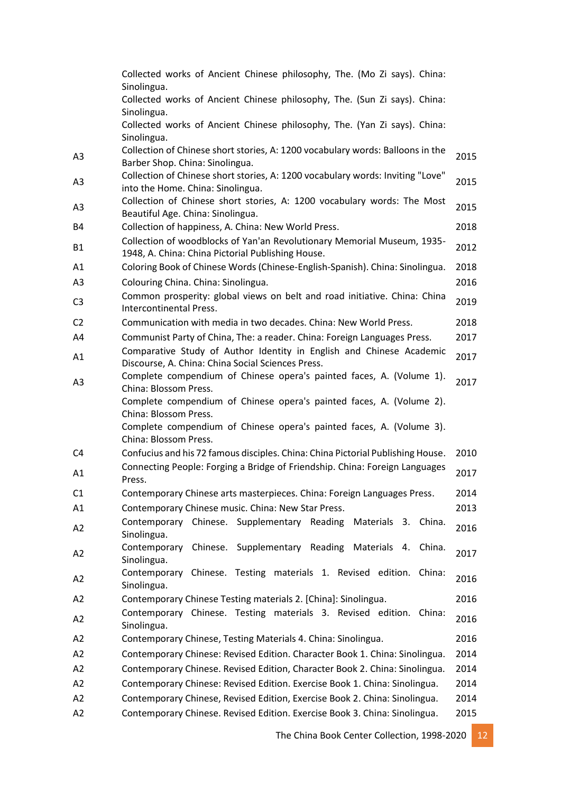|                | Collected works of Ancient Chinese philosophy, The. (Mo Zi says). China:<br>Sinolingua.                                      |      |
|----------------|------------------------------------------------------------------------------------------------------------------------------|------|
|                | Collected works of Ancient Chinese philosophy, The. (Sun Zi says). China:<br>Sinolingua.                                     |      |
|                | Collected works of Ancient Chinese philosophy, The. (Yan Zi says). China:<br>Sinolingua.                                     |      |
| A <sub>3</sub> | Collection of Chinese short stories, A: 1200 vocabulary words: Balloons in the<br>Barber Shop. China: Sinolingua.            | 2015 |
| A3             | Collection of Chinese short stories, A: 1200 vocabulary words: Inviting "Love"<br>into the Home. China: Sinolingua.          | 2015 |
| A <sub>3</sub> | Collection of Chinese short stories, A: 1200 vocabulary words: The Most<br>Beautiful Age. China: Sinolingua.                 | 2015 |
| B4             | Collection of happiness, A. China: New World Press.                                                                          | 2018 |
| <b>B1</b>      | Collection of woodblocks of Yan'an Revolutionary Memorial Museum, 1935-<br>1948, A. China: China Pictorial Publishing House. | 2012 |
| A1             | Coloring Book of Chinese Words (Chinese-English-Spanish). China: Sinolingua.                                                 | 2018 |
| A <sub>3</sub> | Colouring China. China: Sinolingua.                                                                                          | 2016 |
| C <sub>3</sub> | Common prosperity: global views on belt and road initiative. China: China<br>Intercontinental Press.                         | 2019 |
| C <sub>2</sub> | Communication with media in two decades. China: New World Press.                                                             | 2018 |
| A4             | Communist Party of China, The: a reader. China: Foreign Languages Press.                                                     | 2017 |
| A1             | Comparative Study of Author Identity in English and Chinese Academic<br>Discourse, A. China: China Social Sciences Press.    | 2017 |
| A3             | Complete compendium of Chinese opera's painted faces, A. (Volume 1).<br>China: Blossom Press.                                | 2017 |
|                | Complete compendium of Chinese opera's painted faces, A. (Volume 2).<br>China: Blossom Press.                                |      |
|                | Complete compendium of Chinese opera's painted faces, A. (Volume 3).                                                         |      |
|                | China: Blossom Press.                                                                                                        |      |
| C <sub>4</sub> | Confucius and his 72 famous disciples. China: China Pictorial Publishing House.                                              | 2010 |
| A1             | Connecting People: Forging a Bridge of Friendship. China: Foreign Languages<br>Press.                                        | 2017 |
| C <sub>1</sub> | Contemporary Chinese arts masterpieces. China: Foreign Languages Press.                                                      | 2014 |
| A1             | Contemporary Chinese music. China: New Star Press.                                                                           | 2013 |
| A2             | Contemporary Chinese. Supplementary Reading<br>Materials 3. China.<br>Sinolingua.                                            | 2016 |
| A2             | Contemporary Chinese. Supplementary Reading Materials 4. China.<br>Sinolingua.                                               | 2017 |
| A2             | Contemporary Chinese. Testing materials 1. Revised edition. China:<br>Sinolingua.                                            | 2016 |
| A2             | Contemporary Chinese Testing materials 2. [China]: Sinolingua.                                                               | 2016 |
| A2             | Contemporary Chinese. Testing materials 3. Revised edition. China:<br>Sinolingua.                                            | 2016 |
| A2             | Contemporary Chinese, Testing Materials 4. China: Sinolingua.                                                                | 2016 |
| A2             | Contemporary Chinese: Revised Edition. Character Book 1. China: Sinolingua.                                                  | 2014 |
| A2             | Contemporary Chinese. Revised Edition, Character Book 2. China: Sinolingua.                                                  | 2014 |
| A2             | Contemporary Chinese: Revised Edition. Exercise Book 1. China: Sinolingua.                                                   | 2014 |
| A2             | Contemporary Chinese, Revised Edition, Exercise Book 2. China: Sinolingua.                                                   | 2014 |
| A2             | Contemporary Chinese. Revised Edition. Exercise Book 3. China: Sinolingua.                                                   | 2015 |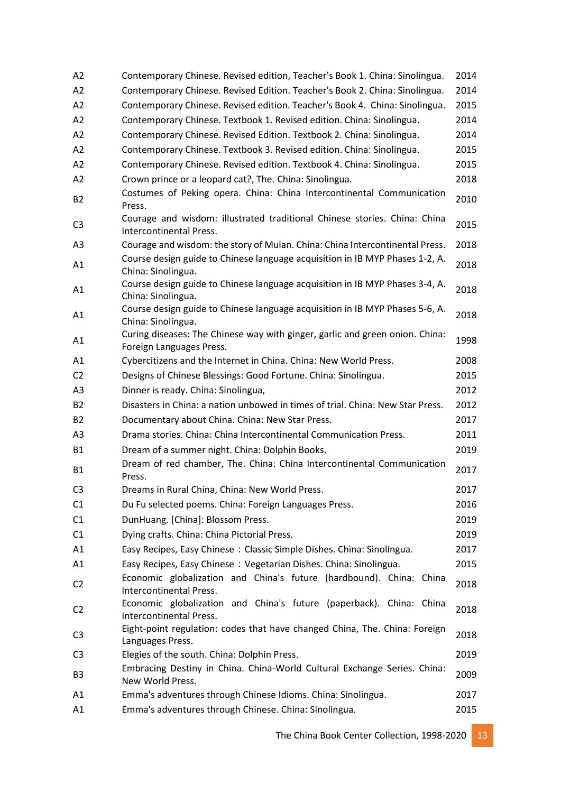| A <sub>2</sub> | Contemporary Chinese. Revised edition, Teacher's Book 1. China: Sinolingua.                                 | 2014 |
|----------------|-------------------------------------------------------------------------------------------------------------|------|
| A2             | Contemporary Chinese. Revised Edition. Teacher's Book 2. China: Sinolingua.                                 | 2014 |
| A2             | Contemporary Chinese. Revised edition. Teacher's Book 4. China: Sinolingua.                                 | 2015 |
| A2             | Contemporary Chinese. Textbook 1. Revised edition. China: Sinolingua.                                       | 2014 |
| A2             | Contemporary Chinese. Revised Edition. Textbook 2. China: Sinolingua.                                       | 2014 |
| A2             | Contemporary Chinese. Textbook 3. Revised edition. China: Sinolingua.                                       | 2015 |
| A2             | Contemporary Chinese. Revised edition. Textbook 4. China: Sinolingua.                                       | 2015 |
| A2             | Crown prince or a leopard cat?, The. China: Sinolingua.                                                     | 2018 |
| <b>B2</b>      | Costumes of Peking opera. China: China Intercontinental Communication<br>Press.                             | 2010 |
| C <sub>3</sub> | Courage and wisdom: illustrated traditional Chinese stories. China: China<br><b>Intercontinental Press.</b> | 2015 |
| A3             | Courage and wisdom: the story of Mulan. China: China Intercontinental Press.                                | 2018 |
| A1             | Course design guide to Chinese language acquisition in IB MYP Phases 1-2, A.<br>China: Sinolingua.          | 2018 |
| A1             | Course design guide to Chinese language acquisition in IB MYP Phases 3-4, A.<br>China: Sinolingua.          | 2018 |
| A1             | Course design guide to Chinese language acquisition in IB MYP Phases 5-6, A.<br>China: Sinolingua.          | 2018 |
| A1             | Curing diseases: The Chinese way with ginger, garlic and green onion. China:<br>Foreign Languages Press.    | 1998 |
| A1             | Cybercitizens and the Internet in China. China: New World Press.                                            | 2008 |
| C <sub>2</sub> | Designs of Chinese Blessings: Good Fortune. China: Sinolingua.                                              | 2015 |
| A <sub>3</sub> | Dinner is ready. China: Sinolingua,                                                                         | 2012 |
| <b>B2</b>      | Disasters in China: a nation unbowed in times of trial. China: New Star Press.                              | 2012 |
| <b>B2</b>      | Documentary about China. China: New Star Press.                                                             | 2017 |
| A3             | Drama stories. China: China Intercontinental Communication Press.                                           | 2011 |
| <b>B1</b>      | Dream of a summer night. China: Dolphin Books.                                                              | 2019 |
| <b>B1</b>      | Dream of red chamber, The. China: China Intercontinental Communication<br>Press.                            | 2017 |
| C <sub>3</sub> | Dreams in Rural China, China: New World Press.                                                              | 2017 |
| C <sub>1</sub> | Du Fu selected poems. China: Foreign Languages Press.                                                       | 2016 |
| C1             | DunHuang. [China]: Blossom Press.                                                                           | 2019 |
| C1             | Dying crafts. China: China Pictorial Press.                                                                 | 2019 |
| A1             | Easy Recipes, Easy Chinese: Classic Simple Dishes. China: Sinolingua.                                       | 2017 |
| A1             | Easy Recipes, Easy Chinese: Vegetarian Dishes. China: Sinolingua.                                           | 2015 |
| C <sub>2</sub> | Economic globalization and China's future (hardbound). China: China<br><b>Intercontinental Press.</b>       | 2018 |
| C <sub>2</sub> | Economic globalization and China's future (paperback). China: China<br>Intercontinental Press.              | 2018 |
| C <sub>3</sub> | Eight-point regulation: codes that have changed China, The. China: Foreign<br>Languages Press.              | 2018 |
| C <sub>3</sub> | Elegies of the south. China: Dolphin Press.                                                                 | 2019 |
| B <sub>3</sub> | Embracing Destiny in China. China-World Cultural Exchange Series. China:<br>New World Press.                | 2009 |
| A1             | Emma's adventures through Chinese Idioms. China: Sinolingua.                                                | 2017 |
| A1             | Emma's adventures through Chinese. China: Sinolingua.                                                       | 2015 |
|                |                                                                                                             |      |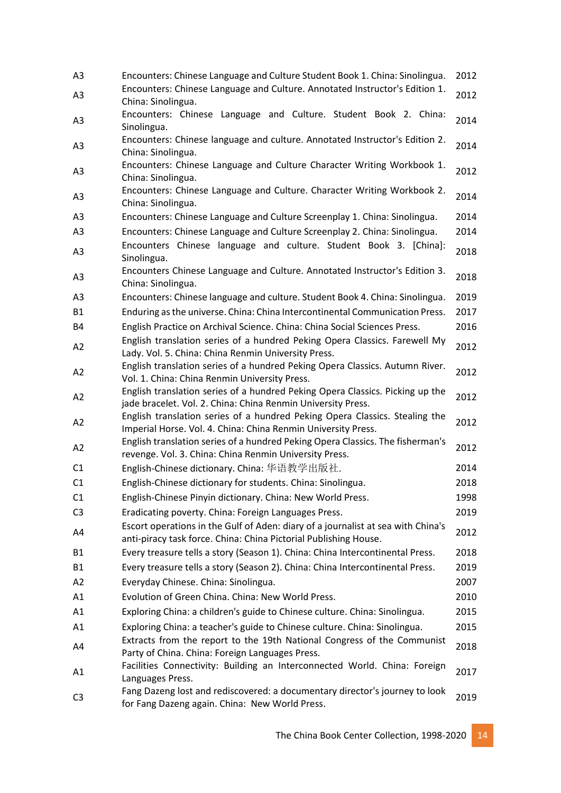| A <sub>3</sub> | Encounters: Chinese Language and Culture Student Book 1. China: Sinolingua.                                                                          | 2012 |
|----------------|------------------------------------------------------------------------------------------------------------------------------------------------------|------|
| A <sub>3</sub> | Encounters: Chinese Language and Culture. Annotated Instructor's Edition 1.                                                                          | 2012 |
|                | China: Sinolingua.                                                                                                                                   |      |
| A <sub>3</sub> | Encounters: Chinese Language and Culture. Student Book 2. China:<br>Sinolingua.                                                                      | 2014 |
| A <sub>3</sub> | Encounters: Chinese language and culture. Annotated Instructor's Edition 2.<br>China: Sinolingua.                                                    | 2014 |
| A <sub>3</sub> | Encounters: Chinese Language and Culture Character Writing Workbook 1.<br>China: Sinolingua.                                                         | 2012 |
| A <sub>3</sub> | Encounters: Chinese Language and Culture. Character Writing Workbook 2.<br>China: Sinolingua.                                                        | 2014 |
| A3             | Encounters: Chinese Language and Culture Screenplay 1. China: Sinolingua.                                                                            | 2014 |
| A3             | Encounters: Chinese Language and Culture Screenplay 2. China: Sinolingua.                                                                            | 2014 |
| A <sub>3</sub> | Encounters Chinese language and culture. Student Book 3. [China]:<br>Sinolingua.                                                                     | 2018 |
| A <sub>3</sub> | Encounters Chinese Language and Culture. Annotated Instructor's Edition 3.<br>China: Sinolingua.                                                     | 2018 |
| A <sub>3</sub> | Encounters: Chinese language and culture. Student Book 4. China: Sinolingua.                                                                         | 2019 |
| <b>B1</b>      | Enduring as the universe. China: China Intercontinental Communication Press.                                                                         | 2017 |
| <b>B4</b>      | English Practice on Archival Science. China: China Social Sciences Press.                                                                            | 2016 |
| A2             | English translation series of a hundred Peking Opera Classics. Farewell My<br>Lady. Vol. 5. China: China Renmin University Press.                    | 2012 |
| A2             | English translation series of a hundred Peking Opera Classics. Autumn River.<br>Vol. 1. China: China Renmin University Press.                        | 2012 |
| A2             | English translation series of a hundred Peking Opera Classics. Picking up the<br>jade bracelet. Vol. 2. China: China Renmin University Press.        | 2012 |
| A2             | English translation series of a hundred Peking Opera Classics. Stealing the<br>Imperial Horse. Vol. 4. China: China Renmin University Press.         | 2012 |
| A2             | English translation series of a hundred Peking Opera Classics. The fisherman's<br>revenge. Vol. 3. China: China Renmin University Press.             | 2012 |
| C1             | English-Chinese dictionary. China: 华语教学出版社.                                                                                                          | 2014 |
| C <sub>1</sub> | English-Chinese dictionary for students. China: Sinolingua.                                                                                          | 2018 |
| C1             | English-Chinese Pinyin dictionary. China: New World Press.                                                                                           | 1998 |
| C <sub>3</sub> | Eradicating poverty. China: Foreign Languages Press.                                                                                                 | 2019 |
| A4             | Escort operations in the Gulf of Aden: diary of a journalist at sea with China's<br>anti-piracy task force. China: China Pictorial Publishing House. | 2012 |
| <b>B1</b>      | Every treasure tells a story (Season 1). China: China Intercontinental Press.                                                                        | 2018 |
| <b>B1</b>      | Every treasure tells a story (Season 2). China: China Intercontinental Press.                                                                        | 2019 |
| A2             | Everyday Chinese. China: Sinolingua.                                                                                                                 | 2007 |
| A1             | Evolution of Green China. China: New World Press.                                                                                                    | 2010 |
| A1             | Exploring China: a children's guide to Chinese culture. China: Sinolingua.                                                                           | 2015 |
| A1             | Exploring China: a teacher's guide to Chinese culture. China: Sinolingua.                                                                            | 2015 |
| A4             | Extracts from the report to the 19th National Congress of the Communist<br>Party of China. China: Foreign Languages Press.                           | 2018 |
| A1             | Facilities Connectivity: Building an Interconnected World. China: Foreign<br>Languages Press.                                                        | 2017 |
| C <sub>3</sub> | Fang Dazeng lost and rediscovered: a documentary director's journey to look<br>for Fang Dazeng again. China: New World Press.                        | 2019 |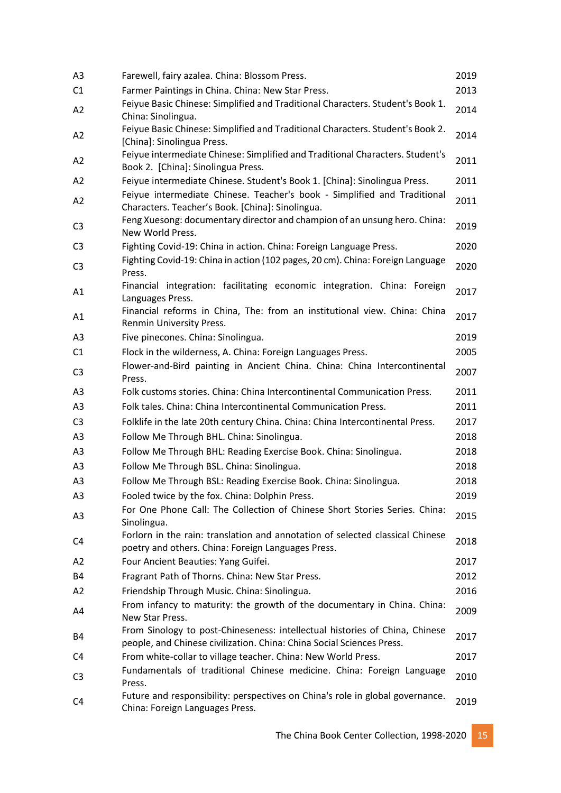| A <sub>3</sub> | Farewell, fairy azalea. China: Blossom Press.                                                                                                        | 2019 |
|----------------|------------------------------------------------------------------------------------------------------------------------------------------------------|------|
| C1             | Farmer Paintings in China. China: New Star Press.                                                                                                    | 2013 |
| A2             | Feiyue Basic Chinese: Simplified and Traditional Characters. Student's Book 1.<br>China: Sinolingua.                                                 | 2014 |
| A2             | Feiyue Basic Chinese: Simplified and Traditional Characters. Student's Book 2.<br>[China]: Sinolingua Press.                                         | 2014 |
| A2             | Feiyue intermediate Chinese: Simplified and Traditional Characters. Student's<br>Book 2. [China]: Sinolingua Press.                                  | 2011 |
| A2             | Feiyue intermediate Chinese. Student's Book 1. [China]: Sinolingua Press.                                                                            | 2011 |
| A2             | Feiyue intermediate Chinese. Teacher's book - Simplified and Traditional<br>Characters. Teacher's Book. [China]: Sinolingua.                         | 2011 |
| C <sub>3</sub> | Feng Xuesong: documentary director and champion of an unsung hero. China:<br>New World Press.                                                        | 2019 |
| C <sub>3</sub> | Fighting Covid-19: China in action. China: Foreign Language Press.                                                                                   | 2020 |
| C <sub>3</sub> | Fighting Covid-19: China in action (102 pages, 20 cm). China: Foreign Language<br>Press.                                                             | 2020 |
| A1             | Financial integration: facilitating economic integration. China: Foreign<br>Languages Press.                                                         | 2017 |
| A1             | Financial reforms in China, The: from an institutional view. China: China<br>Renmin University Press.                                                | 2017 |
| A3             | Five pinecones. China: Sinolingua.                                                                                                                   | 2019 |
| C1             | Flock in the wilderness, A. China: Foreign Languages Press.                                                                                          | 2005 |
| C <sub>3</sub> | Flower-and-Bird painting in Ancient China. China: China Intercontinental<br>Press.                                                                   | 2007 |
| A <sub>3</sub> | Folk customs stories. China: China Intercontinental Communication Press.                                                                             | 2011 |
| A3             | Folk tales. China: China Intercontinental Communication Press.                                                                                       | 2011 |
| C <sub>3</sub> | Folklife in the late 20th century China. China: China Intercontinental Press.                                                                        | 2017 |
| A <sub>3</sub> | Follow Me Through BHL. China: Sinolingua.                                                                                                            | 2018 |
| A3             | Follow Me Through BHL: Reading Exercise Book. China: Sinolingua.                                                                                     | 2018 |
| A <sub>3</sub> | Follow Me Through BSL. China: Sinolingua.                                                                                                            | 2018 |
| A <sub>3</sub> | Follow Me Through BSL: Reading Exercise Book. China: Sinolingua.                                                                                     | 2018 |
| A <sub>3</sub> | Fooled twice by the fox. China: Dolphin Press.                                                                                                       | 2019 |
| A <sub>3</sub> | For One Phone Call: The Collection of Chinese Short Stories Series. China:<br>Sinolingua.                                                            | 2015 |
| C4             | Forlorn in the rain: translation and annotation of selected classical Chinese<br>poetry and others. China: Foreign Languages Press.                  | 2018 |
| A <sub>2</sub> | Four Ancient Beauties: Yang Guifei.                                                                                                                  | 2017 |
| B4             | Fragrant Path of Thorns. China: New Star Press.                                                                                                      | 2012 |
| A2             | Friendship Through Music. China: Sinolingua.                                                                                                         | 2016 |
| A4             | From infancy to maturity: the growth of the documentary in China. China:<br>New Star Press.                                                          | 2009 |
| B4             | From Sinology to post-Chineseness: intellectual histories of China, Chinese<br>people, and Chinese civilization. China: China Social Sciences Press. | 2017 |
| C4             | From white-collar to village teacher. China: New World Press.                                                                                        | 2017 |
| C <sub>3</sub> | Fundamentals of traditional Chinese medicine. China: Foreign Language<br>Press.                                                                      | 2010 |
| C4             | Future and responsibility: perspectives on China's role in global governance.<br>China: Foreign Languages Press.                                     | 2019 |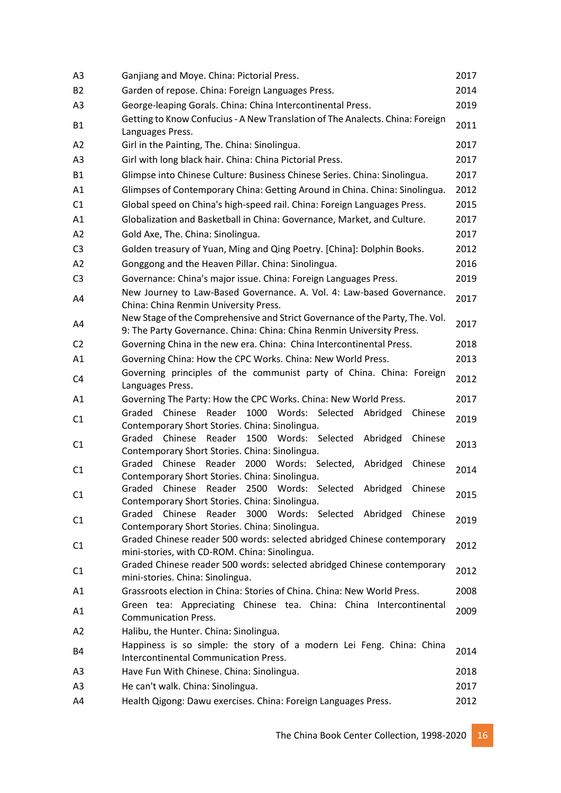| A3             | Ganjiang and Moye. China: Pictorial Press.                                                                                                            | 2017 |
|----------------|-------------------------------------------------------------------------------------------------------------------------------------------------------|------|
| <b>B2</b>      | Garden of repose. China: Foreign Languages Press.                                                                                                     | 2014 |
| A3             | George-leaping Gorals. China: China Intercontinental Press.                                                                                           | 2019 |
| <b>B1</b>      | Getting to Know Confucius - A New Translation of The Analects. China: Foreign<br>Languages Press.                                                     | 2011 |
| A2             | Girl in the Painting, The. China: Sinolingua.                                                                                                         | 2017 |
| A3             | Girl with long black hair. China: China Pictorial Press.                                                                                              | 2017 |
| <b>B1</b>      | Glimpse into Chinese Culture: Business Chinese Series. China: Sinolingua.                                                                             | 2017 |
| A1             | Glimpses of Contemporary China: Getting Around in China. China: Sinolingua.                                                                           | 2012 |
| C1             | Global speed on China's high-speed rail. China: Foreign Languages Press.                                                                              | 2015 |
| A1             | Globalization and Basketball in China: Governance, Market, and Culture.                                                                               | 2017 |
| A2             | Gold Axe, The. China: Sinolingua.                                                                                                                     | 2017 |
| C <sub>3</sub> | Golden treasury of Yuan, Ming and Qing Poetry. [China]: Dolphin Books.                                                                                | 2012 |
| A2             | Gonggong and the Heaven Pillar. China: Sinolingua.                                                                                                    | 2016 |
| C <sub>3</sub> | Governance: China's major issue. China: Foreign Languages Press.                                                                                      | 2019 |
| A4             | New Journey to Law-Based Governance. A. Vol. 4: Law-based Governance.<br>China: China Renmin University Press.                                        | 2017 |
| A4             | New Stage of the Comprehensive and Strict Governance of the Party, The. Vol.<br>9: The Party Governance. China: China: China Renmin University Press. | 2017 |
| C <sub>2</sub> | Governing China in the new era. China: China Intercontinental Press.                                                                                  | 2018 |
| A1             | Governing China: How the CPC Works. China: New World Press.                                                                                           | 2013 |
| C <sub>4</sub> | Governing principles of the communist party of China. China: Foreign<br>Languages Press.                                                              | 2012 |
| A1             | Governing The Party: How the CPC Works. China: New World Press.                                                                                       | 2017 |
| C1             | Graded Chinese Reader 1000 Words: Selected Abridged<br>Chinese                                                                                        | 2019 |
|                | Contemporary Short Stories. China: Sinolingua.<br>Chinese<br>Reader<br>Graded<br>1500<br>Words: Selected<br>Abridged                                  |      |
| C1             | Chinese<br>Contemporary Short Stories. China: Sinolingua.                                                                                             | 2013 |
| C1             | Graded Chinese Reader 2000 Words: Selected,<br>Abridged<br>Chinese<br>Contemporary Short Stories. China: Sinolingua.                                  | 2014 |
| C1             | Graded Chinese Reader 2500 Words: Selected<br>Abridged<br>Chinese<br>Contemporary Short Stories. China: Sinolingua.                                   | 2015 |
| C1             | Graded Chinese Reader 3000 Words: Selected Abridged Chinese<br>Contemporary Short Stories. China: Sinolingua.                                         | 2019 |
| C1             | Graded Chinese reader 500 words: selected abridged Chinese contemporary<br>mini-stories, with CD-ROM. China: Sinolingua.                              | 2012 |
| C <sub>1</sub> | Graded Chinese reader 500 words: selected abridged Chinese contemporary<br>mini-stories. China: Sinolingua.                                           | 2012 |
| A1             | Grassroots election in China: Stories of China. China: New World Press.                                                                               | 2008 |
| A1             | Green tea: Appreciating Chinese tea. China: China Intercontinental<br><b>Communication Press.</b>                                                     | 2009 |
| A2             | Halibu, the Hunter. China: Sinolingua.                                                                                                                |      |
| B4             | Happiness is so simple: the story of a modern Lei Feng. China: China<br>Intercontinental Communication Press.                                         | 2014 |
| A <sub>3</sub> | Have Fun With Chinese. China: Sinolingua.                                                                                                             | 2018 |
| A <sub>3</sub> | He can't walk. China: Sinolingua.                                                                                                                     | 2017 |
| A4             | Health Qigong: Dawu exercises. China: Foreign Languages Press.                                                                                        | 2012 |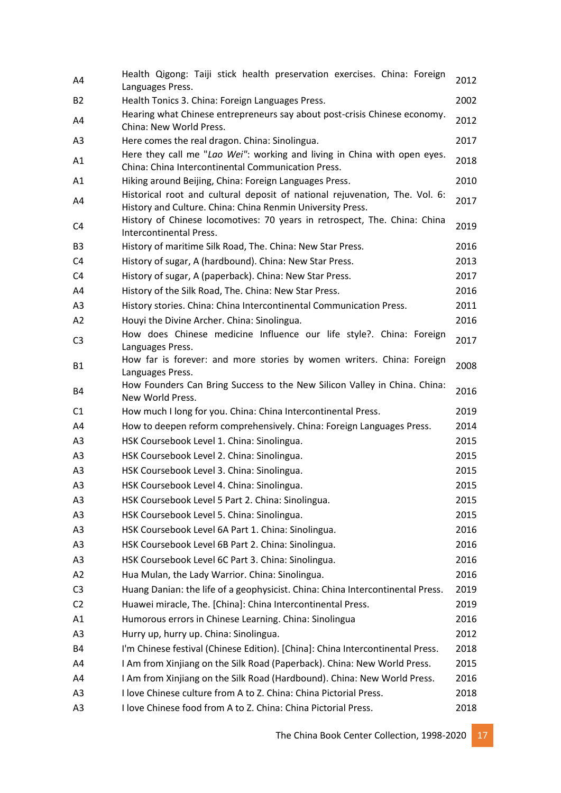| A4             | Health Qigong: Taiji stick health preservation exercises. China: Foreign<br>Languages Press.                                              | 2012 |
|----------------|-------------------------------------------------------------------------------------------------------------------------------------------|------|
| <b>B2</b>      | Health Tonics 3. China: Foreign Languages Press.                                                                                          | 2002 |
| A4             | Hearing what Chinese entrepreneurs say about post-crisis Chinese economy.<br>China: New World Press.                                      | 2012 |
| A <sub>3</sub> | Here comes the real dragon. China: Sinolingua.                                                                                            | 2017 |
| A1             | Here they call me "Lao Wei": working and living in China with open eyes.<br>China: China Intercontinental Communication Press.            | 2018 |
| A1             | Hiking around Beijing, China: Foreign Languages Press.                                                                                    | 2010 |
| A4             | Historical root and cultural deposit of national rejuvenation, The. Vol. 6:<br>History and Culture. China: China Renmin University Press. | 2017 |
| C4             | History of Chinese locomotives: 70 years in retrospect, The. China: China<br>Intercontinental Press.                                      | 2019 |
| B <sub>3</sub> | History of maritime Silk Road, The. China: New Star Press.                                                                                | 2016 |
| C <sub>4</sub> | History of sugar, A (hardbound). China: New Star Press.                                                                                   | 2013 |
| C4             | History of sugar, A (paperback). China: New Star Press.                                                                                   | 2017 |
| A4             | History of the Silk Road, The. China: New Star Press.                                                                                     | 2016 |
| A <sub>3</sub> | History stories. China: China Intercontinental Communication Press.                                                                       | 2011 |
| A2             | Houyi the Divine Archer. China: Sinolingua.                                                                                               | 2016 |
| C <sub>3</sub> | How does Chinese medicine Influence our life style?. China: Foreign<br>Languages Press.                                                   | 2017 |
| <b>B1</b>      | How far is forever: and more stories by women writers. China: Foreign<br>Languages Press.                                                 | 2008 |
| <b>B4</b>      | How Founders Can Bring Success to the New Silicon Valley in China. China:<br>New World Press.                                             | 2016 |
| C <sub>1</sub> | How much I long for you. China: China Intercontinental Press.                                                                             | 2019 |
| A4             | How to deepen reform comprehensively. China: Foreign Languages Press.                                                                     | 2014 |
| A <sub>3</sub> | HSK Coursebook Level 1. China: Sinolingua.                                                                                                | 2015 |
| A <sub>3</sub> | HSK Coursebook Level 2. China: Sinolingua.                                                                                                | 2015 |
| A <sub>3</sub> | HSK Coursebook Level 3. China: Sinolingua.                                                                                                | 2015 |
| A3             | HSK Coursebook Level 4. China: Sinolingua.                                                                                                | 2015 |
| A3             | HSK Coursebook Level 5 Part 2. China: Sinolingua.                                                                                         | 2015 |
| A <sub>3</sub> | HSK Coursebook Level 5. China: Sinolingua.                                                                                                | 2015 |
| A <sub>3</sub> | HSK Coursebook Level 6A Part 1. China: Sinolingua.                                                                                        | 2016 |
| A <sub>3</sub> | HSK Coursebook Level 6B Part 2. China: Sinolingua.                                                                                        | 2016 |
| A <sub>3</sub> | HSK Coursebook Level 6C Part 3. China: Sinolingua.                                                                                        | 2016 |
| A2             | Hua Mulan, the Lady Warrior. China: Sinolingua.                                                                                           | 2016 |
| C <sub>3</sub> | Huang Danian: the life of a geophysicist. China: China Intercontinental Press.                                                            | 2019 |
| C <sub>2</sub> | Huawei miracle, The. [China]: China Intercontinental Press.                                                                               | 2019 |
| A1             | Humorous errors in Chinese Learning. China: Sinolingua                                                                                    | 2016 |
| A <sub>3</sub> | Hurry up, hurry up. China: Sinolingua.                                                                                                    | 2012 |
| <b>B4</b>      | I'm Chinese festival (Chinese Edition). [China]: China Intercontinental Press.                                                            | 2018 |
| A4             | I Am from Xinjiang on the Silk Road (Paperback). China: New World Press.                                                                  | 2015 |
| A4             | I Am from Xinjiang on the Silk Road (Hardbound). China: New World Press.                                                                  | 2016 |
| A <sub>3</sub> | I love Chinese culture from A to Z. China: China Pictorial Press.                                                                         | 2018 |
| A <sub>3</sub> | I love Chinese food from A to Z. China: China Pictorial Press.                                                                            | 2018 |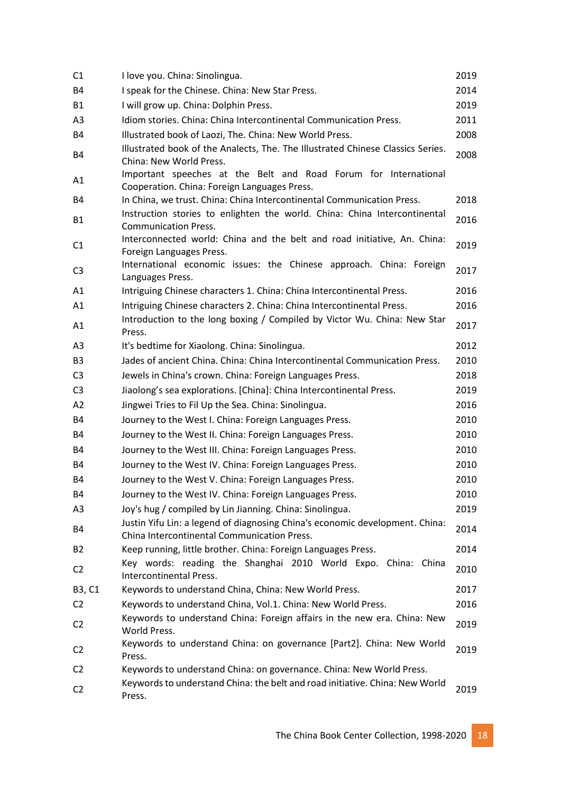| C <sub>1</sub> | I love you. China: Sinolingua.                                                                                              | 2019 |
|----------------|-----------------------------------------------------------------------------------------------------------------------------|------|
| <b>B4</b>      | I speak for the Chinese. China: New Star Press.                                                                             | 2014 |
| <b>B1</b>      | I will grow up. China: Dolphin Press.                                                                                       | 2019 |
| A <sub>3</sub> | Idiom stories. China: China Intercontinental Communication Press.                                                           | 2011 |
| <b>B4</b>      | Illustrated book of Laozi, The. China: New World Press.                                                                     | 2008 |
| <b>B4</b>      | Illustrated book of the Analects, The. The Illustrated Chinese Classics Series.<br>China: New World Press.                  | 2008 |
| A1             | Important speeches at the Belt and Road Forum for International<br>Cooperation. China: Foreign Languages Press.             |      |
| <b>B4</b>      | In China, we trust. China: China Intercontinental Communication Press.                                                      | 2018 |
| <b>B1</b>      | Instruction stories to enlighten the world. China: China Intercontinental<br><b>Communication Press.</b>                    | 2016 |
| C1             | Interconnected world: China and the belt and road initiative, An. China:<br>Foreign Languages Press.                        | 2019 |
| C <sub>3</sub> | International economic issues: the Chinese approach. China: Foreign<br>Languages Press.                                     | 2017 |
| A1             | Intriguing Chinese characters 1. China: China Intercontinental Press.                                                       | 2016 |
| A1             | Intriguing Chinese characters 2. China: China Intercontinental Press.                                                       | 2016 |
| A1             | Introduction to the long boxing / Compiled by Victor Wu. China: New Star<br>Press.                                          | 2017 |
| A <sub>3</sub> | It's bedtime for Xiaolong. China: Sinolingua.                                                                               | 2012 |
| B <sub>3</sub> | Jades of ancient China. China: China Intercontinental Communication Press.                                                  | 2010 |
| C <sub>3</sub> | Jewels in China's crown. China: Foreign Languages Press.                                                                    | 2018 |
| C <sub>3</sub> | Jiaolong's sea explorations. [China]: China Intercontinental Press.                                                         | 2019 |
| A2             | Jingwei Tries to Fil Up the Sea. China: Sinolingua.                                                                         | 2016 |
| <b>B4</b>      | Journey to the West I. China: Foreign Languages Press.                                                                      | 2010 |
| <b>B4</b>      | Journey to the West II. China: Foreign Languages Press.                                                                     | 2010 |
| <b>B4</b>      | Journey to the West III. China: Foreign Languages Press.                                                                    | 2010 |
| <b>B4</b>      | Journey to the West IV. China: Foreign Languages Press.                                                                     | 2010 |
| <b>B4</b>      | Journey to the West V. China: Foreign Languages Press.                                                                      | 2010 |
| <b>B4</b>      | Journey to the West IV. China: Foreign Languages Press.                                                                     | 2010 |
| A3             | Joy's hug / compiled by Lin Jianning. China: Sinolingua.                                                                    | 2019 |
| B4             | Justin Yifu Lin: a legend of diagnosing China's economic development. China:<br>China Intercontinental Communication Press. | 2014 |
| <b>B2</b>      | Keep running, little brother. China: Foreign Languages Press.                                                               | 2014 |
| C <sub>2</sub> | Key words: reading the Shanghai 2010 World Expo. China: China<br><b>Intercontinental Press.</b>                             | 2010 |
| B3, C1         | Keywords to understand China, China: New World Press.                                                                       | 2017 |
| C <sub>2</sub> | Keywords to understand China, Vol.1. China: New World Press.                                                                | 2016 |
| C <sub>2</sub> | Keywords to understand China: Foreign affairs in the new era. China: New<br>World Press.                                    | 2019 |
| C <sub>2</sub> | Keywords to understand China: on governance [Part2]. China: New World<br>Press.                                             | 2019 |
| C <sub>2</sub> | Keywords to understand China: on governance. China: New World Press.                                                        |      |
| C <sub>2</sub> | Keywords to understand China: the belt and road initiative. China: New World<br>Press.                                      | 2019 |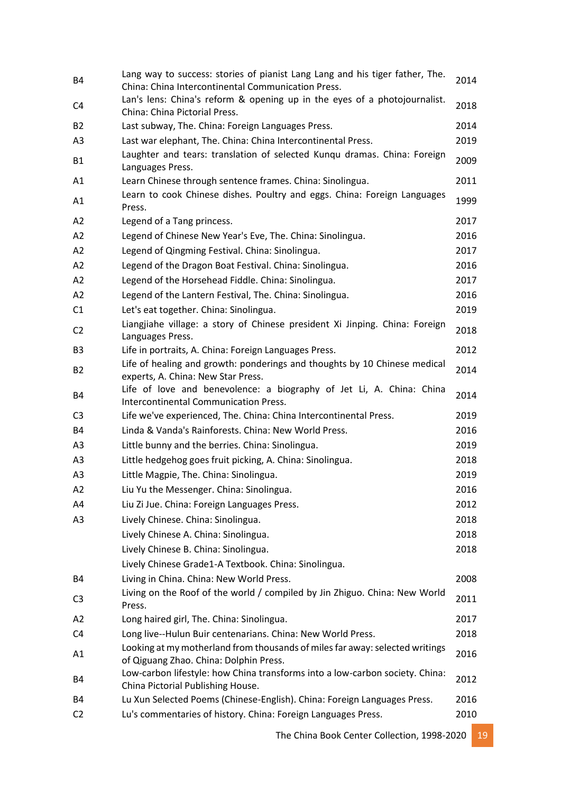| <b>B4</b>      | Lang way to success: stories of pianist Lang Lang and his tiger father, The.<br>China: China Intercontinental Communication Press. | 2014 |
|----------------|------------------------------------------------------------------------------------------------------------------------------------|------|
| C4             | Lan's lens: China's reform & opening up in the eyes of a photojournalist.<br>China: China Pictorial Press.                         | 2018 |
| <b>B2</b>      | Last subway, The. China: Foreign Languages Press.                                                                                  | 2014 |
| A3             | Last war elephant, The. China: China Intercontinental Press.                                                                       | 2019 |
| <b>B1</b>      | Laughter and tears: translation of selected Kunqu dramas. China: Foreign<br>Languages Press.                                       | 2009 |
| A1             | Learn Chinese through sentence frames. China: Sinolingua.                                                                          | 2011 |
| A1             | Learn to cook Chinese dishes. Poultry and eggs. China: Foreign Languages<br>Press.                                                 | 1999 |
| A2             | Legend of a Tang princess.                                                                                                         | 2017 |
| A2             | Legend of Chinese New Year's Eve, The. China: Sinolingua.                                                                          | 2016 |
| A2             | Legend of Qingming Festival. China: Sinolingua.                                                                                    | 2017 |
| A2             | Legend of the Dragon Boat Festival. China: Sinolingua.                                                                             | 2016 |
| A2             | Legend of the Horsehead Fiddle. China: Sinolingua.                                                                                 | 2017 |
| A2             | Legend of the Lantern Festival, The. China: Sinolingua.                                                                            | 2016 |
| C1             | Let's eat together. China: Sinolingua.                                                                                             | 2019 |
| C <sub>2</sub> | Liangjiahe village: a story of Chinese president Xi Jinping. China: Foreign<br>Languages Press.                                    | 2018 |
| B <sub>3</sub> | Life in portraits, A. China: Foreign Languages Press.                                                                              | 2012 |
| <b>B2</b>      | Life of healing and growth: ponderings and thoughts by 10 Chinese medical<br>experts, A. China: New Star Press.                    | 2014 |
| B4             | Life of love and benevolence: a biography of Jet Li, A. China: China<br><b>Intercontinental Communication Press.</b>               | 2014 |
| C <sub>3</sub> | Life we've experienced, The. China: China Intercontinental Press.                                                                  | 2019 |
| <b>B4</b>      | Linda & Vanda's Rainforests. China: New World Press.                                                                               | 2016 |
| A3             | Little bunny and the berries. China: Sinolingua.                                                                                   | 2019 |
| A3             | Little hedgehog goes fruit picking, A. China: Sinolingua.                                                                          | 2018 |
| A <sub>3</sub> | Little Magpie, The. China: Sinolingua.                                                                                             | 2019 |
| A2             | Liu Yu the Messenger. China: Sinolingua.                                                                                           | 2016 |
| A4             | Liu Zi Jue. China: Foreign Languages Press.                                                                                        | 2012 |
| A3             | Lively Chinese. China: Sinolingua.                                                                                                 | 2018 |
|                | Lively Chinese A. China: Sinolingua.                                                                                               | 2018 |
|                | Lively Chinese B. China: Sinolingua.                                                                                               | 2018 |
|                | Lively Chinese Grade1-A Textbook. China: Sinolingua.                                                                               |      |
| B4             | Living in China. China: New World Press.                                                                                           | 2008 |
| C <sub>3</sub> | Living on the Roof of the world / compiled by Jin Zhiguo. China: New World<br>Press.                                               | 2011 |
| A2             | Long haired girl, The. China: Sinolingua.                                                                                          | 2017 |
| C <sub>4</sub> | Long live--Hulun Buir centenarians. China: New World Press.                                                                        | 2018 |
| A1             | Looking at my motherland from thousands of miles far away: selected writings<br>of Qiguang Zhao. China: Dolphin Press.             | 2016 |
| B4             | Low-carbon lifestyle: how China transforms into a low-carbon society. China:<br>China Pictorial Publishing House.                  | 2012 |
| <b>B4</b>      | Lu Xun Selected Poems (Chinese-English). China: Foreign Languages Press.                                                           | 2016 |
| C <sub>2</sub> | Lu's commentaries of history. China: Foreign Languages Press.                                                                      | 2010 |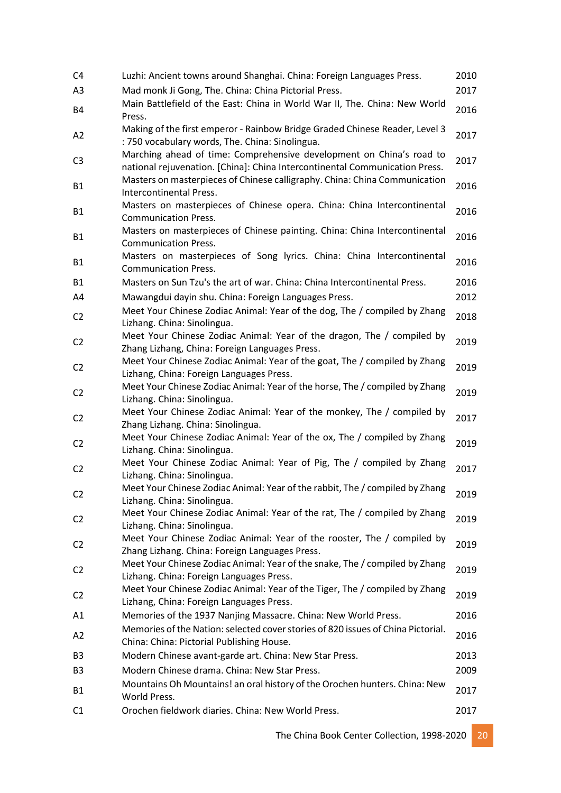| C4             | Luzhi: Ancient towns around Shanghai. China: Foreign Languages Press.                                                                               | 2010 |
|----------------|-----------------------------------------------------------------------------------------------------------------------------------------------------|------|
| A <sub>3</sub> | Mad monk Ji Gong, The. China: China Pictorial Press.                                                                                                | 2017 |
| <b>B4</b>      | Main Battlefield of the East: China in World War II, The. China: New World<br>Press.                                                                | 2016 |
| A2             | Making of the first emperor - Rainbow Bridge Graded Chinese Reader, Level 3<br>: 750 vocabulary words, The. China: Sinolingua.                      | 2017 |
| C <sub>3</sub> | Marching ahead of time: Comprehensive development on China's road to<br>national rejuvenation. [China]: China Intercontinental Communication Press. | 2017 |
| <b>B1</b>      | Masters on masterpieces of Chinese calligraphy. China: China Communication<br>Intercontinental Press.                                               | 2016 |
| <b>B1</b>      | Masters on masterpieces of Chinese opera. China: China Intercontinental<br><b>Communication Press.</b>                                              | 2016 |
| <b>B1</b>      | Masters on masterpieces of Chinese painting. China: China Intercontinental<br><b>Communication Press.</b>                                           | 2016 |
| <b>B1</b>      | Masters on masterpieces of Song lyrics. China: China Intercontinental<br><b>Communication Press.</b>                                                | 2016 |
| <b>B1</b>      | Masters on Sun Tzu's the art of war. China: China Intercontinental Press.                                                                           | 2016 |
| A4             | Mawangdui dayin shu. China: Foreign Languages Press.                                                                                                | 2012 |
| C <sub>2</sub> | Meet Your Chinese Zodiac Animal: Year of the dog, The / compiled by Zhang<br>Lizhang. China: Sinolingua.                                            | 2018 |
| C <sub>2</sub> | Meet Your Chinese Zodiac Animal: Year of the dragon, The / compiled by<br>Zhang Lizhang, China: Foreign Languages Press.                            | 2019 |
| C <sub>2</sub> | Meet Your Chinese Zodiac Animal: Year of the goat, The / compiled by Zhang<br>Lizhang, China: Foreign Languages Press.                              | 2019 |
| C <sub>2</sub> | Meet Your Chinese Zodiac Animal: Year of the horse, The / compiled by Zhang<br>Lizhang. China: Sinolingua.                                          | 2019 |
| C <sub>2</sub> | Meet Your Chinese Zodiac Animal: Year of the monkey, The / compiled by<br>Zhang Lizhang. China: Sinolingua.                                         | 2017 |
| C <sub>2</sub> | Meet Your Chinese Zodiac Animal: Year of the ox, The / compiled by Zhang<br>Lizhang. China: Sinolingua.                                             | 2019 |
| C <sub>2</sub> | Meet Your Chinese Zodiac Animal: Year of Pig, The / compiled by Zhang<br>Lizhang. China: Sinolingua.                                                | 2017 |
| C <sub>2</sub> | Meet Your Chinese Zodiac Animal: Year of the rabbit, The / compiled by Zhang<br>Lizhang. China: Sinolingua.                                         | 2019 |
| C <sub>2</sub> | Meet Your Chinese Zodiac Animal: Year of the rat, The / compiled by Zhang<br>Lizhang. China: Sinolingua.                                            | 2019 |
| C <sub>2</sub> | Meet Your Chinese Zodiac Animal: Year of the rooster, The / compiled by<br>Zhang Lizhang. China: Foreign Languages Press.                           | 2019 |
| C <sub>2</sub> | Meet Your Chinese Zodiac Animal: Year of the snake, The / compiled by Zhang<br>Lizhang. China: Foreign Languages Press.                             | 2019 |
| C <sub>2</sub> | Meet Your Chinese Zodiac Animal: Year of the Tiger, The / compiled by Zhang<br>Lizhang, China: Foreign Languages Press.                             | 2019 |
| A1             | Memories of the 1937 Nanjing Massacre. China: New World Press.                                                                                      | 2016 |
| A2             | Memories of the Nation: selected cover stories of 820 issues of China Pictorial.<br>China: China: Pictorial Publishing House.                       | 2016 |
| B <sub>3</sub> | Modern Chinese avant-garde art. China: New Star Press.                                                                                              | 2013 |
| B <sub>3</sub> | Modern Chinese drama. China: New Star Press.                                                                                                        | 2009 |
| <b>B1</b>      | Mountains Oh Mountains! an oral history of the Orochen hunters. China: New<br>World Press.                                                          | 2017 |
| C <sub>1</sub> | Orochen fieldwork diaries. China: New World Press.                                                                                                  | 2017 |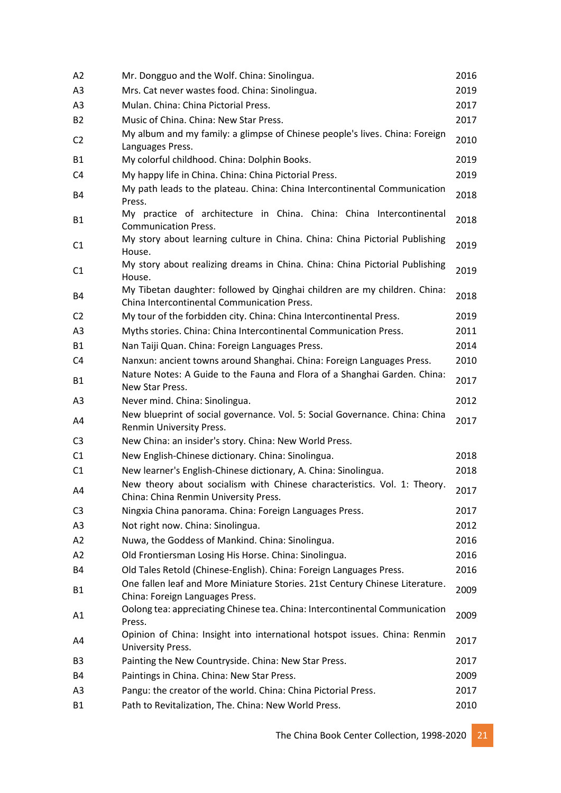| A2             | Mr. Dongguo and the Wolf. China: Sinolingua.                                                                             | 2016 |
|----------------|--------------------------------------------------------------------------------------------------------------------------|------|
| A3             | Mrs. Cat never wastes food. China: Sinolingua.                                                                           | 2019 |
| A <sub>3</sub> | Mulan. China: China Pictorial Press.                                                                                     | 2017 |
| <b>B2</b>      | Music of China. China: New Star Press.                                                                                   | 2017 |
| C <sub>2</sub> | My album and my family: a glimpse of Chinese people's lives. China: Foreign<br>Languages Press.                          | 2010 |
| <b>B1</b>      | My colorful childhood. China: Dolphin Books.                                                                             | 2019 |
| C4             | My happy life in China. China: China Pictorial Press.                                                                    | 2019 |
| B4             | My path leads to the plateau. China: China Intercontinental Communication<br>Press.                                      | 2018 |
| <b>B1</b>      | My practice of architecture in China. China: China Intercontinental<br><b>Communication Press.</b>                       | 2018 |
| C <sub>1</sub> | My story about learning culture in China. China: China Pictorial Publishing<br>House.                                    | 2019 |
| C1             | My story about realizing dreams in China. China: China Pictorial Publishing<br>House.                                    | 2019 |
| B4             | My Tibetan daughter: followed by Qinghai children are my children. China:<br>China Intercontinental Communication Press. | 2018 |
| C <sub>2</sub> | My tour of the forbidden city. China: China Intercontinental Press.                                                      | 2019 |
| A <sub>3</sub> | Myths stories. China: China Intercontinental Communication Press.                                                        | 2011 |
| <b>B1</b>      | Nan Taiji Quan. China: Foreign Languages Press.                                                                          | 2014 |
| C4             | Nanxun: ancient towns around Shanghai. China: Foreign Languages Press.                                                   | 2010 |
| <b>B1</b>      | Nature Notes: A Guide to the Fauna and Flora of a Shanghai Garden. China:<br>New Star Press.                             | 2017 |
| A3             | Never mind. China: Sinolingua.                                                                                           | 2012 |
| A4             | New blueprint of social governance. Vol. 5: Social Governance. China: China<br>Renmin University Press.                  | 2017 |
| C <sub>3</sub> | New China: an insider's story. China: New World Press.                                                                   |      |
| C1             | New English-Chinese dictionary. China: Sinolingua.                                                                       | 2018 |
| C1             | New learner's English-Chinese dictionary, A. China: Sinolingua.                                                          | 2018 |
| A4             | New theory about socialism with Chinese characteristics. Vol. 1: Theory.<br>China: China Renmin University Press.        | 2017 |
| C <sub>3</sub> | Ningxia China panorama. China: Foreign Languages Press.                                                                  | 2017 |
| A <sub>3</sub> | Not right now. China: Sinolingua.                                                                                        | 2012 |
| A2             | Nuwa, the Goddess of Mankind. China: Sinolingua.                                                                         | 2016 |
| A2             | Old Frontiersman Losing His Horse. China: Sinolingua.                                                                    | 2016 |
| B4             | Old Tales Retold (Chinese-English). China: Foreign Languages Press.                                                      | 2016 |
| <b>B1</b>      | One fallen leaf and More Miniature Stories. 21st Century Chinese Literature.<br>China: Foreign Languages Press.          | 2009 |
| A1             | Oolong tea: appreciating Chinese tea. China: Intercontinental Communication<br>Press.                                    | 2009 |
| A4             | Opinion of China: Insight into international hotspot issues. China: Renmin<br>University Press.                          | 2017 |
| B <sub>3</sub> | Painting the New Countryside. China: New Star Press.                                                                     | 2017 |
| B4             | Paintings in China. China: New Star Press.                                                                               | 2009 |
| A3             | Pangu: the creator of the world. China: China Pictorial Press.                                                           | 2017 |
| <b>B1</b>      | Path to Revitalization, The. China: New World Press.                                                                     | 2010 |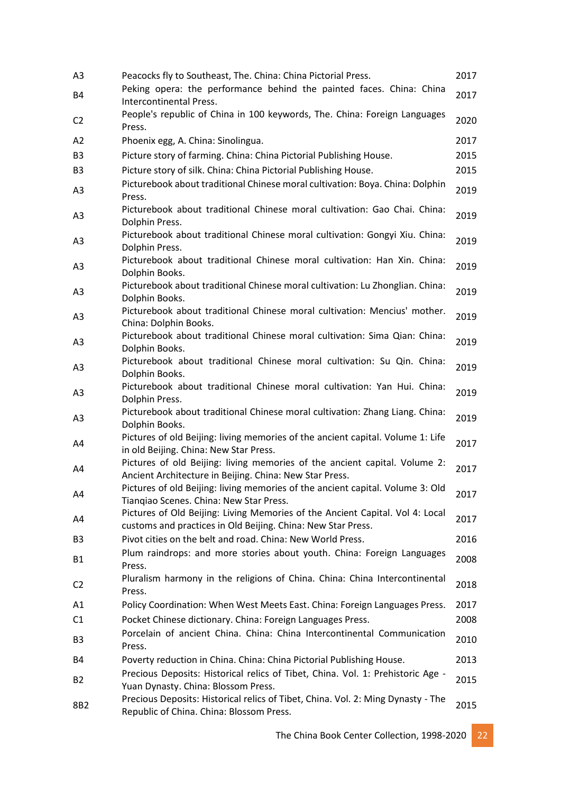| A <sub>3</sub> | Peacocks fly to Southeast, The. China: China Pictorial Press.                                                                                 | 2017 |
|----------------|-----------------------------------------------------------------------------------------------------------------------------------------------|------|
| <b>B4</b>      | Peking opera: the performance behind the painted faces. China: China<br>Intercontinental Press.                                               | 2017 |
| C <sub>2</sub> | People's republic of China in 100 keywords, The. China: Foreign Languages<br>Press.                                                           | 2020 |
| A2             | Phoenix egg, A. China: Sinolingua.                                                                                                            | 2017 |
| B <sub>3</sub> | Picture story of farming. China: China Pictorial Publishing House.                                                                            | 2015 |
| B <sub>3</sub> | Picture story of silk. China: China Pictorial Publishing House.                                                                               | 2015 |
| A <sub>3</sub> | Picturebook about traditional Chinese moral cultivation: Boya. China: Dolphin<br>Press.                                                       | 2019 |
| A <sub>3</sub> | Picturebook about traditional Chinese moral cultivation: Gao Chai. China:<br>Dolphin Press.                                                   | 2019 |
| A <sub>3</sub> | Picturebook about traditional Chinese moral cultivation: Gongyi Xiu. China:<br>Dolphin Press.                                                 | 2019 |
| A <sub>3</sub> | Picturebook about traditional Chinese moral cultivation: Han Xin. China:<br>Dolphin Books.                                                    | 2019 |
| A <sub>3</sub> | Picturebook about traditional Chinese moral cultivation: Lu Zhonglian. China:<br>Dolphin Books.                                               | 2019 |
| A <sub>3</sub> | Picturebook about traditional Chinese moral cultivation: Mencius' mother.<br>China: Dolphin Books.                                            | 2019 |
| A <sub>3</sub> | Picturebook about traditional Chinese moral cultivation: Sima Qian: China:<br>Dolphin Books.                                                  | 2019 |
| A <sub>3</sub> | Picturebook about traditional Chinese moral cultivation: Su Qin. China:<br>Dolphin Books.                                                     | 2019 |
| A <sub>3</sub> | Picturebook about traditional Chinese moral cultivation: Yan Hui. China:<br>Dolphin Press.                                                    | 2019 |
| A <sub>3</sub> | Picturebook about traditional Chinese moral cultivation: Zhang Liang. China:<br>Dolphin Books.                                                | 2019 |
| A4             | Pictures of old Beijing: living memories of the ancient capital. Volume 1: Life<br>in old Beijing. China: New Star Press.                     | 2017 |
| A4             | Pictures of old Beijing: living memories of the ancient capital. Volume 2:<br>Ancient Architecture in Beijing. China: New Star Press.         | 2017 |
| A4             | Pictures of old Beijing: living memories of the ancient capital. Volume 3: Old<br>Tiangiao Scenes. China: New Star Press.                     | 2017 |
| A4             | Pictures of Old Beijing: Living Memories of the Ancient Capital. Vol 4: Local<br>customs and practices in Old Beijing. China: New Star Press. | 2017 |
| B3             | Pivot cities on the belt and road. China: New World Press.                                                                                    | 2016 |
| B1             | Plum raindrops: and more stories about youth. China: Foreign Languages<br>Press.                                                              | 2008 |
| C <sub>2</sub> | Pluralism harmony in the religions of China. China: China Intercontinental<br>Press.                                                          | 2018 |
| A1             | Policy Coordination: When West Meets East. China: Foreign Languages Press.                                                                    | 2017 |
| C1             | Pocket Chinese dictionary. China: Foreign Languages Press.                                                                                    | 2008 |
| B3             | Porcelain of ancient China. China: China Intercontinental Communication<br>Press.                                                             | 2010 |
| B4             | Poverty reduction in China. China: China Pictorial Publishing House.                                                                          | 2013 |
| B <sub>2</sub> | Precious Deposits: Historical relics of Tibet, China. Vol. 1: Prehistoric Age -<br>Yuan Dynasty. China: Blossom Press.                        | 2015 |
| 8B2            | Precious Deposits: Historical relics of Tibet, China. Vol. 2: Ming Dynasty - The<br>Republic of China. China: Blossom Press.                  | 2015 |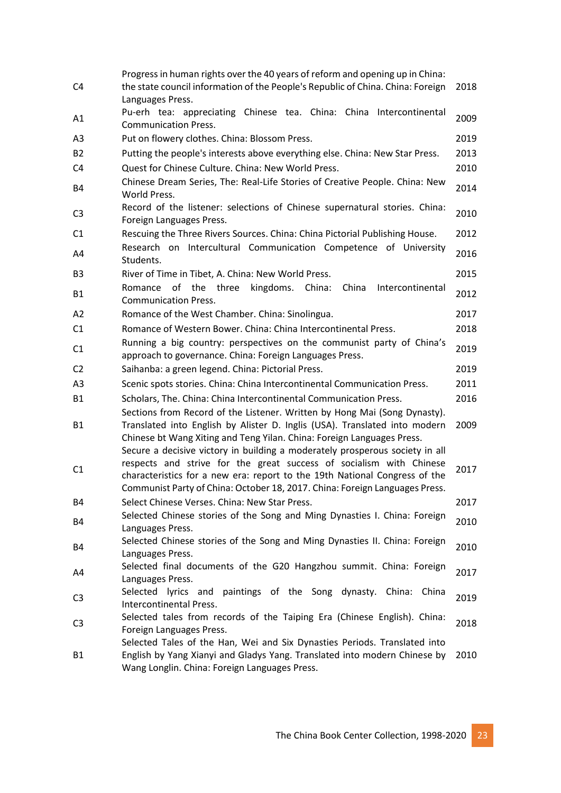|                | Progress in human rights over the 40 years of reform and opening up in China:                                                                                                                                                                                                                                     |      |
|----------------|-------------------------------------------------------------------------------------------------------------------------------------------------------------------------------------------------------------------------------------------------------------------------------------------------------------------|------|
| C <sub>4</sub> | the state council information of the People's Republic of China. China: Foreign<br>Languages Press.                                                                                                                                                                                                               | 2018 |
| A1             | Pu-erh tea: appreciating Chinese tea. China: China Intercontinental<br><b>Communication Press.</b>                                                                                                                                                                                                                | 2009 |
| A3             | Put on flowery clothes. China: Blossom Press.                                                                                                                                                                                                                                                                     | 2019 |
| <b>B2</b>      | Putting the people's interests above everything else. China: New Star Press.                                                                                                                                                                                                                                      | 2013 |
| C <sub>4</sub> | Quest for Chinese Culture. China: New World Press.                                                                                                                                                                                                                                                                | 2010 |
|                | Chinese Dream Series, The: Real-Life Stories of Creative People. China: New                                                                                                                                                                                                                                       |      |
| <b>B4</b>      | World Press.                                                                                                                                                                                                                                                                                                      | 2014 |
| C <sub>3</sub> | Record of the listener: selections of Chinese supernatural stories. China:<br>Foreign Languages Press.                                                                                                                                                                                                            | 2010 |
| C1             | Rescuing the Three Rivers Sources. China: China Pictorial Publishing House.                                                                                                                                                                                                                                       | 2012 |
| A4             | Research on Intercultural Communication Competence of University<br>Students.                                                                                                                                                                                                                                     | 2016 |
| B <sub>3</sub> | River of Time in Tibet, A. China: New World Press.                                                                                                                                                                                                                                                                | 2015 |
| <b>B1</b>      | of the three<br>Romance<br>kingdoms. China:<br>China<br>Intercontinental<br><b>Communication Press.</b>                                                                                                                                                                                                           | 2012 |
| A2             | Romance of the West Chamber. China: Sinolingua.                                                                                                                                                                                                                                                                   | 2017 |
| C1             | Romance of Western Bower. China: China Intercontinental Press.                                                                                                                                                                                                                                                    | 2018 |
| C1             | Running a big country: perspectives on the communist party of China's<br>approach to governance. China: Foreign Languages Press.                                                                                                                                                                                  | 2019 |
| C <sub>2</sub> | Saihanba: a green legend. China: Pictorial Press.                                                                                                                                                                                                                                                                 | 2019 |
| A <sub>3</sub> | Scenic spots stories. China: China Intercontinental Communication Press.                                                                                                                                                                                                                                          | 2011 |
| <b>B1</b>      | Scholars, The. China: China Intercontinental Communication Press.                                                                                                                                                                                                                                                 | 2016 |
| <b>B1</b>      | Sections from Record of the Listener. Written by Hong Mai (Song Dynasty).<br>Translated into English by Alister D. Inglis (USA). Translated into modern<br>Chinese bt Wang Xiting and Teng Yilan. China: Foreign Languages Press.<br>Secure a decisive victory in building a moderately prosperous society in all | 2009 |
| C <sub>1</sub> | respects and strive for the great success of socialism with Chinese<br>characteristics for a new era: report to the 19th National Congress of the<br>Communist Party of China: October 18, 2017. China: Foreign Languages Press.                                                                                  | 2017 |
| B4             | Select Chinese Verses. China: New Star Press.                                                                                                                                                                                                                                                                     | 2017 |
| <b>B4</b>      | Selected Chinese stories of the Song and Ming Dynasties I. China: Foreign                                                                                                                                                                                                                                         | 2010 |
|                | Languages Press.                                                                                                                                                                                                                                                                                                  |      |
| B4             | Selected Chinese stories of the Song and Ming Dynasties II. China: Foreign<br>Languages Press.                                                                                                                                                                                                                    | 2010 |
|                | Selected final documents of the G20 Hangzhou summit. China: Foreign                                                                                                                                                                                                                                               |      |
| A4             | Languages Press.                                                                                                                                                                                                                                                                                                  | 2017 |
| C <sub>3</sub> | Selected lyrics and paintings of the Song dynasty. China: China                                                                                                                                                                                                                                                   | 2019 |
|                | Intercontinental Press.                                                                                                                                                                                                                                                                                           |      |
| C <sub>3</sub> | Selected tales from records of the Taiping Era (Chinese English). China:                                                                                                                                                                                                                                          | 2018 |
|                | Foreign Languages Press.                                                                                                                                                                                                                                                                                          |      |
| <b>B1</b>      | Selected Tales of the Han, Wei and Six Dynasties Periods. Translated into<br>English by Yang Xianyi and Gladys Yang. Translated into modern Chinese by                                                                                                                                                            | 2010 |
|                | Wang Longlin. China: Foreign Languages Press.                                                                                                                                                                                                                                                                     |      |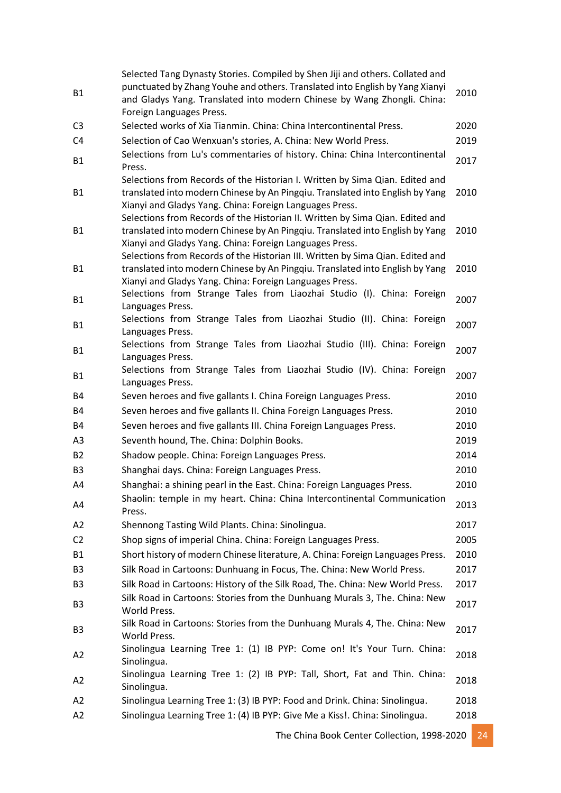| <b>B1</b>      | Selected Tang Dynasty Stories. Compiled by Shen Jiji and others. Collated and<br>punctuated by Zhang Youhe and others. Translated into English by Yang Xianyi<br>and Gladys Yang. Translated into modern Chinese by Wang Zhongli. China:<br>Foreign Languages Press.                                        | 2010 |
|----------------|-------------------------------------------------------------------------------------------------------------------------------------------------------------------------------------------------------------------------------------------------------------------------------------------------------------|------|
| C <sub>3</sub> | Selected works of Xia Tianmin. China: China Intercontinental Press.                                                                                                                                                                                                                                         | 2020 |
| C <sub>4</sub> | Selection of Cao Wenxuan's stories, A. China: New World Press.                                                                                                                                                                                                                                              | 2019 |
| <b>B1</b>      | Selections from Lu's commentaries of history. China: China Intercontinental<br>Press.                                                                                                                                                                                                                       | 2017 |
| <b>B1</b>      | Selections from Records of the Historian I. Written by Sima Qian. Edited and<br>translated into modern Chinese by An Pingqiu. Translated into English by Yang<br>Xianyi and Gladys Yang. China: Foreign Languages Press.                                                                                    | 2010 |
| <b>B1</b>      | Selections from Records of the Historian II. Written by Sima Qian. Edited and<br>translated into modern Chinese by An Pingqiu. Translated into English by Yang<br>Xianyi and Gladys Yang. China: Foreign Languages Press.<br>Selections from Records of the Historian III. Written by Sima Qian. Edited and | 2010 |
| <b>B1</b>      | translated into modern Chinese by An Pingqiu. Translated into English by Yang<br>Xianyi and Gladys Yang. China: Foreign Languages Press.                                                                                                                                                                    | 2010 |
| <b>B1</b>      | Selections from Strange Tales from Liaozhai Studio (I). China: Foreign<br>Languages Press.                                                                                                                                                                                                                  | 2007 |
| <b>B1</b>      | Selections from Strange Tales from Liaozhai Studio (II). China: Foreign<br>Languages Press.                                                                                                                                                                                                                 | 2007 |
| B1             | Selections from Strange Tales from Liaozhai Studio (III). China: Foreign<br>Languages Press.                                                                                                                                                                                                                | 2007 |
| <b>B1</b>      | Selections from Strange Tales from Liaozhai Studio (IV). China: Foreign<br>Languages Press.                                                                                                                                                                                                                 | 2007 |
| B4             | Seven heroes and five gallants I. China Foreign Languages Press.                                                                                                                                                                                                                                            | 2010 |
| B4             | Seven heroes and five gallants II. China Foreign Languages Press.                                                                                                                                                                                                                                           | 2010 |
| B4             | Seven heroes and five gallants III. China Foreign Languages Press.                                                                                                                                                                                                                                          | 2010 |
| A3             | Seventh hound, The. China: Dolphin Books.                                                                                                                                                                                                                                                                   | 2019 |
| <b>B2</b>      | Shadow people. China: Foreign Languages Press.                                                                                                                                                                                                                                                              | 2014 |
| B <sub>3</sub> | Shanghai days. China: Foreign Languages Press.                                                                                                                                                                                                                                                              | 2010 |
| A4             | Shanghai: a shining pearl in the East. China: Foreign Languages Press.                                                                                                                                                                                                                                      | 2010 |
| A4             | Shaolin: temple in my heart. China: China Intercontinental Communication<br>Press.                                                                                                                                                                                                                          | 2013 |
| A2             | Shennong Tasting Wild Plants. China: Sinolingua.                                                                                                                                                                                                                                                            | 2017 |
| C <sub>2</sub> | Shop signs of imperial China. China: Foreign Languages Press.                                                                                                                                                                                                                                               | 2005 |
| <b>B1</b>      | Short history of modern Chinese literature, A. China: Foreign Languages Press.                                                                                                                                                                                                                              | 2010 |
| B <sub>3</sub> | Silk Road in Cartoons: Dunhuang in Focus, The. China: New World Press.                                                                                                                                                                                                                                      | 2017 |
| B <sub>3</sub> | Silk Road in Cartoons: History of the Silk Road, The. China: New World Press.                                                                                                                                                                                                                               | 2017 |
| B <sub>3</sub> | Silk Road in Cartoons: Stories from the Dunhuang Murals 3, The. China: New<br>World Press.                                                                                                                                                                                                                  | 2017 |
| B <sub>3</sub> | Silk Road in Cartoons: Stories from the Dunhuang Murals 4, The. China: New<br>World Press.                                                                                                                                                                                                                  | 2017 |
| A2             | Sinolingua Learning Tree 1: (1) IB PYP: Come on! It's Your Turn. China:<br>Sinolingua.                                                                                                                                                                                                                      | 2018 |
| A2             | Sinolingua Learning Tree 1: (2) IB PYP: Tall, Short, Fat and Thin. China:<br>Sinolingua.                                                                                                                                                                                                                    | 2018 |
| A2             | Sinolingua Learning Tree 1: (3) IB PYP: Food and Drink. China: Sinolingua.                                                                                                                                                                                                                                  | 2018 |
| A2             | Sinolingua Learning Tree 1: (4) IB PYP: Give Me a Kiss!. China: Sinolingua.                                                                                                                                                                                                                                 | 2018 |

The China Book Center Collection, 1998-2020 24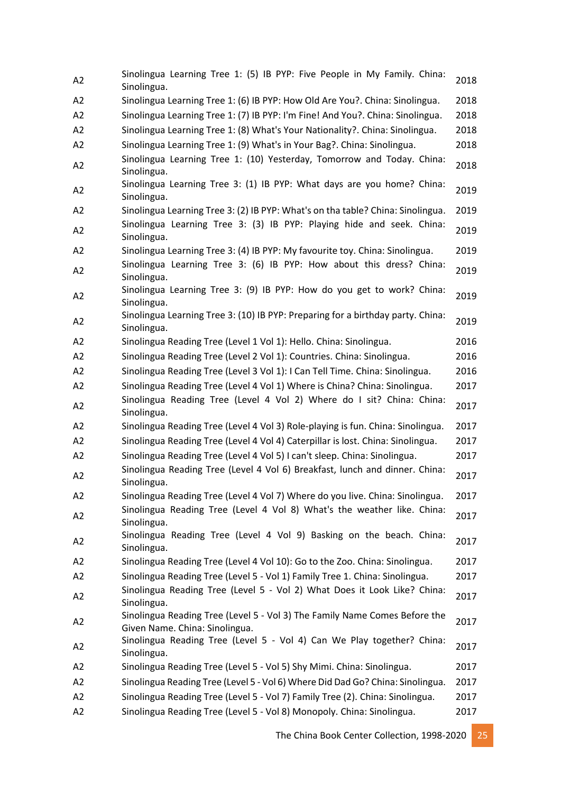| A2             | Sinolingua Learning Tree 1: (5) IB PYP: Five People in My Family. China:<br>Sinolingua.                      | 2018 |
|----------------|--------------------------------------------------------------------------------------------------------------|------|
| A2             | Sinolingua Learning Tree 1: (6) IB PYP: How Old Are You?. China: Sinolingua.                                 | 2018 |
| A2             | Sinolingua Learning Tree 1: (7) IB PYP: I'm Fine! And You?. China: Sinolingua.                               | 2018 |
| A2             | Sinolingua Learning Tree 1: (8) What's Your Nationality?. China: Sinolingua.                                 | 2018 |
| A2             | Sinolingua Learning Tree 1: (9) What's in Your Bag?. China: Sinolingua.                                      | 2018 |
| A2             | Sinolingua Learning Tree 1: (10) Yesterday, Tomorrow and Today. China:<br>Sinolingua.                        | 2018 |
| A2             | Sinolingua Learning Tree 3: (1) IB PYP: What days are you home? China:<br>Sinolingua.                        | 2019 |
| A2             | Sinolingua Learning Tree 3: (2) IB PYP: What's on tha table? China: Sinolingua.                              | 2019 |
| A <sub>2</sub> | Sinolingua Learning Tree 3: (3) IB PYP: Playing hide and seek. China:<br>Sinolingua.                         | 2019 |
| A2             | Sinolingua Learning Tree 3: (4) IB PYP: My favourite toy. China: Sinolingua.                                 | 2019 |
| A2             | Sinolingua Learning Tree 3: (6) IB PYP: How about this dress? China:<br>Sinolingua.                          | 2019 |
| A2             | Sinolingua Learning Tree 3: (9) IB PYP: How do you get to work? China:<br>Sinolingua.                        | 2019 |
| A <sub>2</sub> | Sinolingua Learning Tree 3: (10) IB PYP: Preparing for a birthday party. China:<br>Sinolingua.               | 2019 |
| A2             | Sinolingua Reading Tree (Level 1 Vol 1): Hello. China: Sinolingua.                                           | 2016 |
| A2             | Sinolingua Reading Tree (Level 2 Vol 1): Countries. China: Sinolingua.                                       | 2016 |
| A2             | Sinolingua Reading Tree (Level 3 Vol 1): I Can Tell Time. China: Sinolingua.                                 | 2016 |
| A <sub>2</sub> | Sinolingua Reading Tree (Level 4 Vol 1) Where is China? China: Sinolingua.                                   | 2017 |
| A2             | Sinolingua Reading Tree (Level 4 Vol 2) Where do I sit? China: China:<br>Sinolingua.                         | 2017 |
| A <sub>2</sub> | Sinolingua Reading Tree (Level 4 Vol 3) Role-playing is fun. China: Sinolingua.                              | 2017 |
| A2             | Sinolingua Reading Tree (Level 4 Vol 4) Caterpillar is lost. China: Sinolingua.                              | 2017 |
| A2             | Sinolingua Reading Tree (Level 4 Vol 5) I can't sleep. China: Sinolingua.                                    | 2017 |
| A2             | Sinolingua Reading Tree (Level 4 Vol 6) Breakfast, lunch and dinner. China:<br>Sinolingua.                   | 2017 |
| A <sub>2</sub> | Sinolingua Reading Tree (Level 4 Vol 7) Where do you live. China: Sinolingua.                                | 2017 |
| A2             | Sinolingua Reading Tree (Level 4 Vol 8) What's the weather like. China:<br>Sinolingua.                       | 2017 |
| A2             | Sinolingua Reading Tree (Level 4 Vol 9) Basking on the beach. China:<br>Sinolingua.                          | 2017 |
| A2             | Sinolingua Reading Tree (Level 4 Vol 10): Go to the Zoo. China: Sinolingua.                                  | 2017 |
| A <sub>2</sub> | Sinolingua Reading Tree (Level 5 - Vol 1) Family Tree 1. China: Sinolingua.                                  | 2017 |
| A2             | Sinolingua Reading Tree (Level 5 - Vol 2) What Does it Look Like? China:<br>Sinolingua.                      | 2017 |
| A2             | Sinolingua Reading Tree (Level 5 - Vol 3) The Family Name Comes Before the<br>Given Name. China: Sinolingua. | 2017 |
| A2             | Sinolingua Reading Tree (Level 5 - Vol 4) Can We Play together? China:<br>Sinolingua.                        | 2017 |
| A2             | Sinolingua Reading Tree (Level 5 - Vol 5) Shy Mimi. China: Sinolingua.                                       | 2017 |
| A2             | Sinolingua Reading Tree (Level 5 - Vol 6) Where Did Dad Go? China: Sinolingua.                               | 2017 |
| A <sub>2</sub> | Sinolingua Reading Tree (Level 5 - Vol 7) Family Tree (2). China: Sinolingua.                                | 2017 |
| A2             | Sinolingua Reading Tree (Level 5 - Vol 8) Monopoly. China: Sinolingua.                                       | 2017 |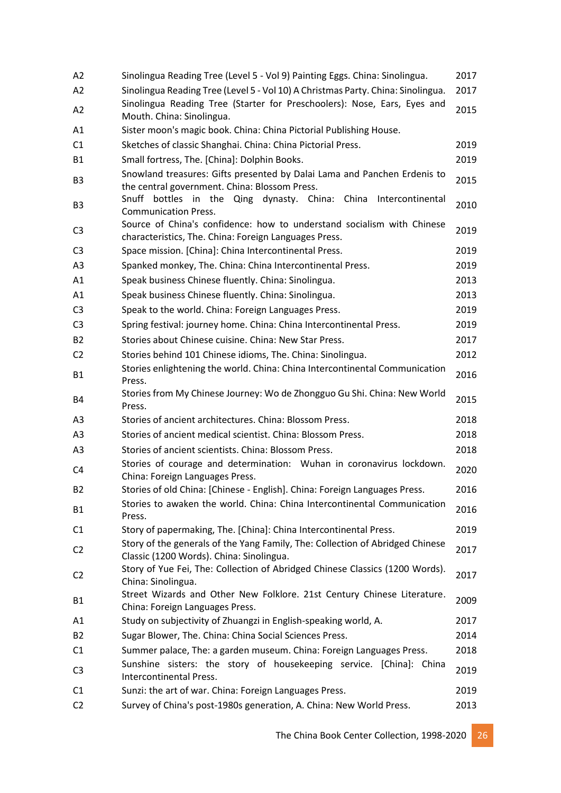| A <sub>2</sub> | Sinolingua Reading Tree (Level 5 - Vol 9) Painting Eggs. China: Sinolingua.                                                     | 2017 |
|----------------|---------------------------------------------------------------------------------------------------------------------------------|------|
| A2             | Sinolingua Reading Tree (Level 5 - Vol 10) A Christmas Party. China: Sinolingua.                                                | 2017 |
| A <sub>2</sub> | Sinolingua Reading Tree (Starter for Preschoolers): Nose, Ears, Eyes and<br>Mouth. China: Sinolingua.                           | 2015 |
| A1             | Sister moon's magic book. China: China Pictorial Publishing House.                                                              |      |
| C1             | Sketches of classic Shanghai. China: China Pictorial Press.                                                                     | 2019 |
| <b>B1</b>      | Small fortress, The. [China]: Dolphin Books.                                                                                    | 2019 |
| B <sub>3</sub> | Snowland treasures: Gifts presented by Dalai Lama and Panchen Erdenis to<br>the central government. China: Blossom Press.       | 2015 |
| B <sub>3</sub> | Snuff bottles in the Qing dynasty. China: China<br>Intercontinental<br><b>Communication Press.</b>                              | 2010 |
| C <sub>3</sub> | Source of China's confidence: how to understand socialism with Chinese<br>characteristics, The. China: Foreign Languages Press. | 2019 |
| C <sub>3</sub> | Space mission. [China]: China Intercontinental Press.                                                                           | 2019 |
| A3             | Spanked monkey, The. China: China Intercontinental Press.                                                                       | 2019 |
| A1             | Speak business Chinese fluently. China: Sinolingua.                                                                             | 2013 |
| A1             | Speak business Chinese fluently. China: Sinolingua.                                                                             | 2013 |
| C <sub>3</sub> | Speak to the world. China: Foreign Languages Press.                                                                             | 2019 |
| C <sub>3</sub> | Spring festival: journey home. China: China Intercontinental Press.                                                             | 2019 |
| <b>B2</b>      | Stories about Chinese cuisine. China: New Star Press.                                                                           | 2017 |
| C <sub>2</sub> | Stories behind 101 Chinese idioms, The. China: Sinolingua.                                                                      | 2012 |
| <b>B1</b>      | Stories enlightening the world. China: China Intercontinental Communication<br>Press.                                           | 2016 |
| B4             | Stories from My Chinese Journey: Wo de Zhongguo Gu Shi. China: New World<br>Press.                                              | 2015 |
| A3             | Stories of ancient architectures. China: Blossom Press.                                                                         | 2018 |
| A3             | Stories of ancient medical scientist. China: Blossom Press.                                                                     | 2018 |
| A3             | Stories of ancient scientists. China: Blossom Press.                                                                            | 2018 |
| C4             | Stories of courage and determination: Wuhan in coronavirus lockdown.<br>China: Foreign Languages Press.                         | 2020 |
| B <sub>2</sub> | Stories of old China: [Chinese - English]. China: Foreign Languages Press.                                                      | 2016 |
| <b>B1</b>      | Stories to awaken the world. China: China Intercontinental Communication<br>Press.                                              | 2016 |
| C1             | Story of papermaking, The. [China]: China Intercontinental Press.                                                               | 2019 |
| C <sub>2</sub> | Story of the generals of the Yang Family, The: Collection of Abridged Chinese<br>Classic (1200 Words). China: Sinolingua.       | 2017 |
| C <sub>2</sub> | Story of Yue Fei, The: Collection of Abridged Chinese Classics (1200 Words).<br>China: Sinolingua.                              | 2017 |
| <b>B1</b>      | Street Wizards and Other New Folklore. 21st Century Chinese Literature.<br>China: Foreign Languages Press.                      | 2009 |
| A1             | Study on subjectivity of Zhuangzi in English-speaking world, A.                                                                 | 2017 |
| <b>B2</b>      | Sugar Blower, The. China: China Social Sciences Press.                                                                          | 2014 |
| C1             | Summer palace, The: a garden museum. China: Foreign Languages Press.                                                            | 2018 |
| C <sub>3</sub> | Sunshine sisters: the story of housekeeping service. [China]: China<br>Intercontinental Press.                                  | 2019 |
| C1             | Sunzi: the art of war. China: Foreign Languages Press.                                                                          | 2019 |
| C <sub>2</sub> | Survey of China's post-1980s generation, A. China: New World Press.                                                             | 2013 |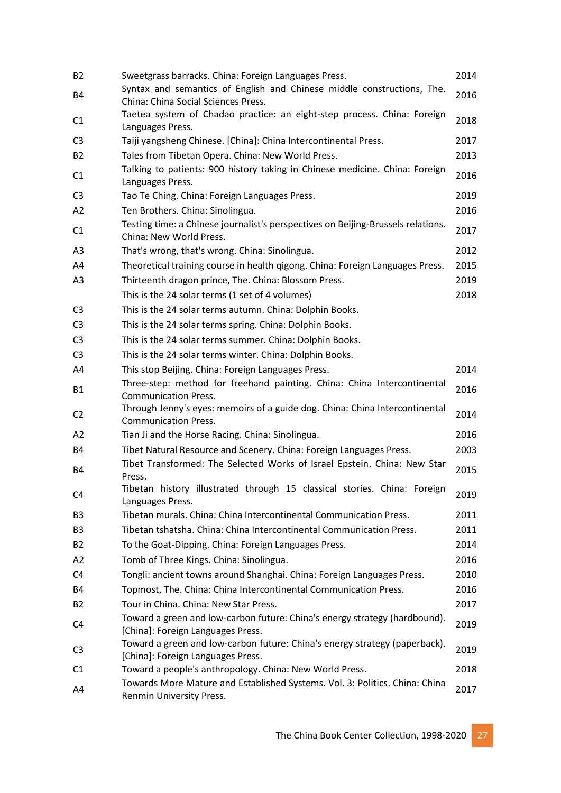| B <sub>2</sub> | Sweetgrass barracks. China: Foreign Languages Press.                                                            | 2014 |
|----------------|-----------------------------------------------------------------------------------------------------------------|------|
| <b>B4</b>      | Syntax and semantics of English and Chinese middle constructions, The.<br>China: China Social Sciences Press.   | 2016 |
| C <sub>1</sub> | Taetea system of Chadao practice: an eight-step process. China: Foreign<br>Languages Press.                     | 2018 |
| C <sub>3</sub> | Taiji yangsheng Chinese. [China]: China Intercontinental Press.                                                 | 2017 |
| B <sub>2</sub> | Tales from Tibetan Opera. China: New World Press.                                                               | 2013 |
| C1             | Talking to patients: 900 history taking in Chinese medicine. China: Foreign<br>Languages Press.                 | 2016 |
| C <sub>3</sub> | Tao Te Ching. China: Foreign Languages Press.                                                                   | 2019 |
| A2             | Ten Brothers. China: Sinolingua.                                                                                | 2016 |
|                | Testing time: a Chinese journalist's perspectives on Beijing-Brussels relations.                                |      |
| C1             | China: New World Press.                                                                                         | 2017 |
| A <sub>3</sub> | That's wrong, that's wrong. China: Sinolingua.                                                                  | 2012 |
| A4             | Theoretical training course in health gigong. China: Foreign Languages Press.                                   | 2015 |
| A3             | Thirteenth dragon prince, The. China: Blossom Press.                                                            | 2019 |
|                | This is the 24 solar terms (1 set of 4 volumes)                                                                 | 2018 |
| C <sub>3</sub> | This is the 24 solar terms autumn. China: Dolphin Books.                                                        |      |
| C <sub>3</sub> | This is the 24 solar terms spring. China: Dolphin Books.                                                        |      |
| C <sub>3</sub> | This is the 24 solar terms summer. China: Dolphin Books.                                                        |      |
| C <sub>3</sub> | This is the 24 solar terms winter. China: Dolphin Books.                                                        |      |
| A4             | This stop Beijing. China: Foreign Languages Press.                                                              | 2014 |
|                | Three-step: method for freehand painting. China: China Intercontinental                                         |      |
| <b>B1</b>      | <b>Communication Press.</b>                                                                                     | 2016 |
| C <sub>2</sub> | Through Jenny's eyes: memoirs of a guide dog. China: China Intercontinental                                     | 2014 |
|                | <b>Communication Press.</b>                                                                                     |      |
| A2             | Tian Ji and the Horse Racing. China: Sinolingua.                                                                | 2016 |
| B4             | Tibet Natural Resource and Scenery. China: Foreign Languages Press.                                             | 2003 |
| <b>B4</b>      | Tibet Transformed: The Selected Works of Israel Epstein. China: New Star<br>Press.                              | 2015 |
| C <sub>4</sub> | Tibetan history illustrated through 15 classical stories. China: Foreign<br>Languages Press.                    | 2019 |
| B <sub>3</sub> | Tibetan murals. China: China Intercontinental Communication Press.                                              | 2011 |
| B <sub>3</sub> | Tibetan tshatsha. China: China Intercontinental Communication Press.                                            | 2011 |
| B <sub>2</sub> | To the Goat-Dipping. China: Foreign Languages Press.                                                            | 2014 |
| A2             | Tomb of Three Kings. China: Sinolingua.                                                                         | 2016 |
| C4             | Tongli: ancient towns around Shanghai. China: Foreign Languages Press.                                          | 2010 |
| B4             | Topmost, The. China: China Intercontinental Communication Press.                                                | 2016 |
| B <sub>2</sub> | Tour in China. China: New Star Press.                                                                           | 2017 |
| C4             | Toward a green and low-carbon future: China's energy strategy (hardbound).<br>[China]: Foreign Languages Press. | 2019 |
| C <sub>3</sub> | Toward a green and low-carbon future: China's energy strategy (paperback).<br>[China]: Foreign Languages Press. | 2019 |
| C1             | Toward a people's anthropology. China: New World Press.                                                         | 2018 |
| A4             | Towards More Mature and Established Systems. Vol. 3: Politics. China: China                                     | 2017 |
|                | Renmin University Press.                                                                                        |      |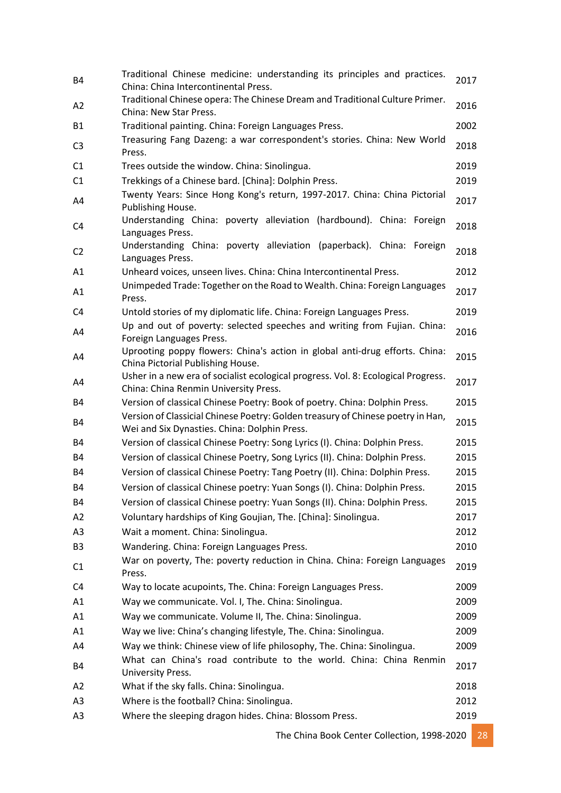| <b>B4</b>      | Traditional Chinese medicine: understanding its principles and practices.<br>China: China Intercontinental Press.               | 2017 |
|----------------|---------------------------------------------------------------------------------------------------------------------------------|------|
| A <sub>2</sub> | Traditional Chinese opera: The Chinese Dream and Traditional Culture Primer.<br>China: New Star Press.                          | 2016 |
| <b>B1</b>      | Traditional painting. China: Foreign Languages Press.                                                                           | 2002 |
| C <sub>3</sub> | Treasuring Fang Dazeng: a war correspondent's stories. China: New World<br>Press.                                               | 2018 |
| C1             | Trees outside the window. China: Sinolingua.                                                                                    | 2019 |
| C1             | Trekkings of a Chinese bard. [China]: Dolphin Press.                                                                            | 2019 |
| A4             | Twenty Years: Since Hong Kong's return, 1997-2017. China: China Pictorial<br>Publishing House.                                  | 2017 |
| C4             | Understanding China: poverty alleviation (hardbound). China: Foreign<br>Languages Press.                                        | 2018 |
| C <sub>2</sub> | Understanding China: poverty alleviation (paperback). China: Foreign<br>Languages Press.                                        | 2018 |
| A1             | Unheard voices, unseen lives. China: China Intercontinental Press.                                                              | 2012 |
| A1             | Unimpeded Trade: Together on the Road to Wealth. China: Foreign Languages<br>Press.                                             | 2017 |
| C <sub>4</sub> | Untold stories of my diplomatic life. China: Foreign Languages Press.                                                           | 2019 |
| A4             | Up and out of poverty: selected speeches and writing from Fujian. China:<br>Foreign Languages Press.                            | 2016 |
| A4             | Uprooting poppy flowers: China's action in global anti-drug efforts. China:<br>China Pictorial Publishing House.                | 2015 |
| A4             | Usher in a new era of socialist ecological progress. Vol. 8: Ecological Progress.<br>China: China Renmin University Press.      | 2017 |
| <b>B4</b>      | Version of classical Chinese Poetry: Book of poetry. China: Dolphin Press.                                                      | 2015 |
| <b>B4</b>      | Version of Classicial Chinese Poetry: Golden treasury of Chinese poetry in Han,<br>Wei and Six Dynasties. China: Dolphin Press. | 2015 |
| B4             | Version of classical Chinese Poetry: Song Lyrics (I). China: Dolphin Press.                                                     | 2015 |
| B4             | Version of classical Chinese Poetry, Song Lyrics (II). China: Dolphin Press.                                                    | 2015 |
| <b>B4</b>      | Version of classical Chinese Poetry: Tang Poetry (II). China: Dolphin Press.                                                    | 2015 |
| <b>B4</b>      | Version of classical Chinese poetry: Yuan Songs (I). China: Dolphin Press.                                                      | 2015 |
| B4             | Version of classical Chinese poetry: Yuan Songs (II). China: Dolphin Press.                                                     | 2015 |
| A2             | Voluntary hardships of King Goujian, The. [China]: Sinolingua.                                                                  | 2017 |
| A <sub>3</sub> | Wait a moment. China: Sinolingua.                                                                                               | 2012 |
| B <sub>3</sub> | Wandering. China: Foreign Languages Press.                                                                                      | 2010 |
| C1             | War on poverty, The: poverty reduction in China. China: Foreign Languages<br>Press.                                             | 2019 |
| C4             | Way to locate acupoints, The. China: Foreign Languages Press.                                                                   | 2009 |
| A1             | Way we communicate. Vol. I, The. China: Sinolingua.                                                                             | 2009 |
| A1             | Way we communicate. Volume II, The. China: Sinolingua.                                                                          | 2009 |
| A1             | Way we live: China's changing lifestyle, The. China: Sinolingua.                                                                | 2009 |
| A4             | Way we think: Chinese view of life philosophy, The. China: Sinolingua.                                                          | 2009 |
| <b>B4</b>      | What can China's road contribute to the world. China: China Renmin<br>University Press.                                         | 2017 |
| A2             | What if the sky falls. China: Sinolingua.                                                                                       | 2018 |
| A <sub>3</sub> | Where is the football? China: Sinolingua.                                                                                       | 2012 |
| A3             | Where the sleeping dragon hides. China: Blossom Press.                                                                          | 2019 |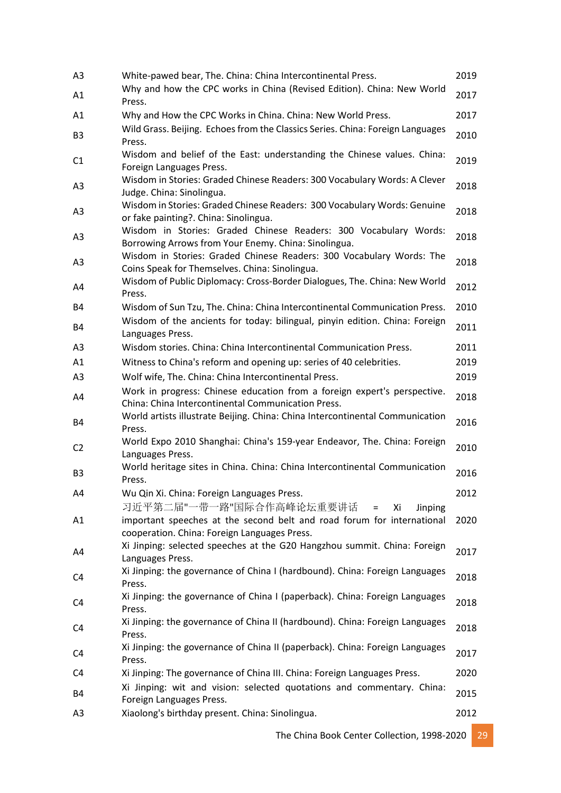| A <sub>3</sub> | White-pawed bear, The. China: China Intercontinental Press.                                                                                  | 2019 |
|----------------|----------------------------------------------------------------------------------------------------------------------------------------------|------|
| A1             | Why and how the CPC works in China (Revised Edition). China: New World<br>Press.                                                             | 2017 |
| A1             | Why and How the CPC Works in China. China: New World Press.                                                                                  | 2017 |
| B <sub>3</sub> | Wild Grass. Beijing. Echoes from the Classics Series. China: Foreign Languages<br>Press.                                                     | 2010 |
| C <sub>1</sub> | Wisdom and belief of the East: understanding the Chinese values. China:<br>Foreign Languages Press.                                          | 2019 |
| A <sub>3</sub> | Wisdom in Stories: Graded Chinese Readers: 300 Vocabulary Words: A Clever<br>Judge. China: Sinolingua.                                       | 2018 |
| A <sub>3</sub> | Wisdom in Stories: Graded Chinese Readers: 300 Vocabulary Words: Genuine<br>or fake painting?. China: Sinolingua.                            | 2018 |
| A <sub>3</sub> | Wisdom in Stories: Graded Chinese Readers: 300 Vocabulary Words:<br>Borrowing Arrows from Your Enemy. China: Sinolingua.                     | 2018 |
| A3             | Wisdom in Stories: Graded Chinese Readers: 300 Vocabulary Words: The<br>Coins Speak for Themselves. China: Sinolingua.                       | 2018 |
| A4             | Wisdom of Public Diplomacy: Cross-Border Dialogues, The. China: New World<br>Press.                                                          | 2012 |
| <b>B4</b>      | Wisdom of Sun Tzu, The. China: China Intercontinental Communication Press.                                                                   | 2010 |
| <b>B4</b>      | Wisdom of the ancients for today: bilingual, pinyin edition. China: Foreign<br>Languages Press.                                              | 2011 |
| A <sub>3</sub> | Wisdom stories. China: China Intercontinental Communication Press.                                                                           | 2011 |
| A1             | Witness to China's reform and opening up: series of 40 celebrities.                                                                          | 2019 |
| A <sub>3</sub> | Wolf wife, The. China: China Intercontinental Press.                                                                                         | 2019 |
| A4             | Work in progress: Chinese education from a foreign expert's perspective.<br>China: China Intercontinental Communication Press.               | 2018 |
| B4             | World artists illustrate Beijing. China: China Intercontinental Communication<br>Press.                                                      | 2016 |
| C <sub>2</sub> | World Expo 2010 Shanghai: China's 159-year Endeavor, The. China: Foreign<br>Languages Press.                                                 | 2010 |
| B <sub>3</sub> | World heritage sites in China. China: China Intercontinental Communication<br>Press.                                                         | 2016 |
| A4             | Wu Qin Xi. China: Foreign Languages Press.                                                                                                   | 2012 |
| A1             | 习近平第二届"一带一路"国际合作高峰论坛重要讲话<br>Xi<br>Jinping<br>$=$<br>important speeches at the second belt and road forum for international                   | 2020 |
| A4             | cooperation. China: Foreign Languages Press.<br>Xi Jinping: selected speeches at the G20 Hangzhou summit. China: Foreign<br>Languages Press. | 2017 |
| C4             | Xi Jinping: the governance of China I (hardbound). China: Foreign Languages<br>Press.                                                        | 2018 |
| C4             | Xi Jinping: the governance of China I (paperback). China: Foreign Languages<br>Press.                                                        | 2018 |
| C4             | Xi Jinping: the governance of China II (hardbound). China: Foreign Languages<br>Press.                                                       | 2018 |
| C4             | Xi Jinping: the governance of China II (paperback). China: Foreign Languages<br>Press.                                                       | 2017 |
| C4             | Xi Jinping: The governance of China III. China: Foreign Languages Press.                                                                     | 2020 |
| <b>B4</b>      | Xi Jinping: wit and vision: selected quotations and commentary. China:<br>Foreign Languages Press.                                           | 2015 |
| A <sub>3</sub> | Xiaolong's birthday present. China: Sinolingua.                                                                                              | 2012 |
|                |                                                                                                                                              |      |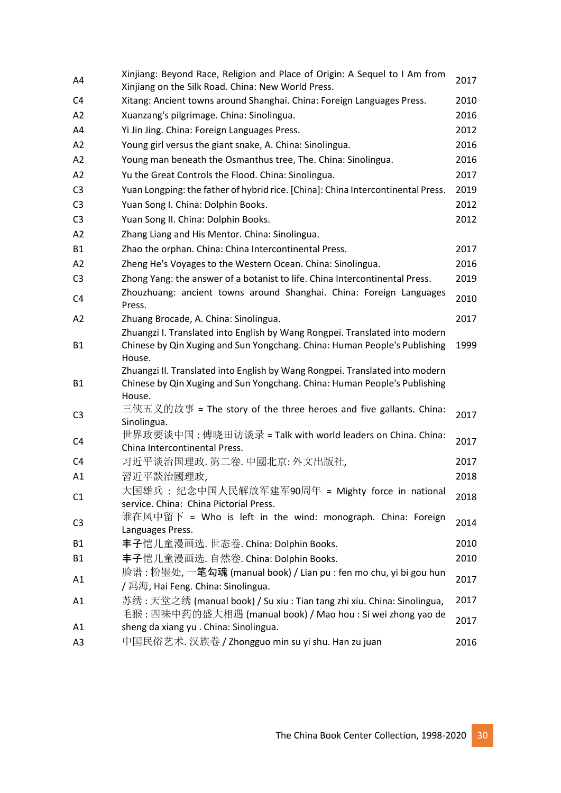| A4             | Xinjiang: Beyond Race, Religion and Place of Origin: A Sequel to I Am from<br>Xinjiang on the Silk Road. China: New World Press.                                    | 2017 |
|----------------|---------------------------------------------------------------------------------------------------------------------------------------------------------------------|------|
| C4             | Xitang: Ancient towns around Shanghai. China: Foreign Languages Press.                                                                                              | 2010 |
| A <sub>2</sub> | Xuanzang's pilgrimage. China: Sinolingua.                                                                                                                           | 2016 |
| A4             | Yi Jin Jing. China: Foreign Languages Press.                                                                                                                        | 2012 |
| A <sub>2</sub> | Young girl versus the giant snake, A. China: Sinolingua.                                                                                                            | 2016 |
| A2             | Young man beneath the Osmanthus tree, The. China: Sinolingua.                                                                                                       | 2016 |
| A2             | Yu the Great Controls the Flood. China: Sinolingua.                                                                                                                 | 2017 |
| C <sub>3</sub> | Yuan Longping: the father of hybrid rice. [China]: China Intercontinental Press.                                                                                    | 2019 |
| C <sub>3</sub> | Yuan Song I. China: Dolphin Books.                                                                                                                                  | 2012 |
| C <sub>3</sub> | Yuan Song II. China: Dolphin Books.                                                                                                                                 | 2012 |
| A2             | Zhang Liang and His Mentor. China: Sinolingua.                                                                                                                      |      |
| <b>B1</b>      | Zhao the orphan. China: China Intercontinental Press.                                                                                                               | 2017 |
| A2             | Zheng He's Voyages to the Western Ocean. China: Sinolingua.                                                                                                         | 2016 |
| C <sub>3</sub> | Zhong Yang: the answer of a botanist to life. China Intercontinental Press.                                                                                         | 2019 |
| C <sub>4</sub> | Zhouzhuang: ancient towns around Shanghai. China: Foreign Languages<br>Press.                                                                                       | 2010 |
| A <sub>2</sub> | Zhuang Brocade, A. China: Sinolingua.                                                                                                                               | 2017 |
| <b>B1</b>      | Zhuangzi I. Translated into English by Wang Rongpei. Translated into modern<br>Chinese by Qin Xuging and Sun Yongchang. China: Human People's Publishing<br>House.  | 1999 |
| <b>B1</b>      | Zhuangzi II. Translated into English by Wang Rongpei. Translated into modern<br>Chinese by Qin Xuging and Sun Yongchang. China: Human People's Publishing<br>House. |      |
| C <sub>3</sub> | 三侠五义的故事 = The story of the three heroes and five gallants. China:<br>Sinolingua.                                                                                    | 2017 |
| C <sub>4</sub> | 世界政要谈中国 : 傅晓田访谈录 = Talk with world leaders on China. China:<br>China Intercontinental Press.                                                                        | 2017 |
| C4             | 习近平谈治国理政. 第二卷. 中國北京: 外文出版社,                                                                                                                                         | 2017 |
| A1             | 習近平談治國理政,                                                                                                                                                           | 2018 |
| C1             | 大国雄兵 : 纪念中国人民解放军建军90周年 = Mighty force in national<br>service. China: China Pictorial Press.                                                                         | 2018 |
| C <sub>3</sub> | 谁在风中留下 = Who is left in the wind: monograph. China: Foreign<br>Languages Press.                                                                                     | 2014 |
| <b>B1</b>      | 丰子恺儿童漫画选. 世态卷. China: Dolphin Books.                                                                                                                                | 2010 |
| <b>B1</b>      | 丰子恺儿童漫画选. 自然卷. China: Dolphin Books.                                                                                                                                | 2010 |
| A1             | 脸谱 : 粉墨处, 一 <b>笔勾魂</b> (manual book) / Lian pu : fen mo chu, yi bi gou hun<br>/ 冯海, Hai Feng. China: Sinolingua.                                                    | 2017 |
| A1             | 苏绣:天堂之绣 (manual book) / Su xiu: Tian tang zhi xiu. China: Sinolingua,                                                                                               | 2017 |
|                | 毛猴 : 四味中药的盛大相遇 (manual book) / Mao hou : Si wei zhong yao de                                                                                                        | 2017 |
| A1             | sheng da xiang yu . China: Sinolingua.                                                                                                                              |      |
| A <sub>3</sub> | 中国民俗艺术. 汉族卷 / Zhongguo min su yi shu. Han zu juan                                                                                                                   | 2016 |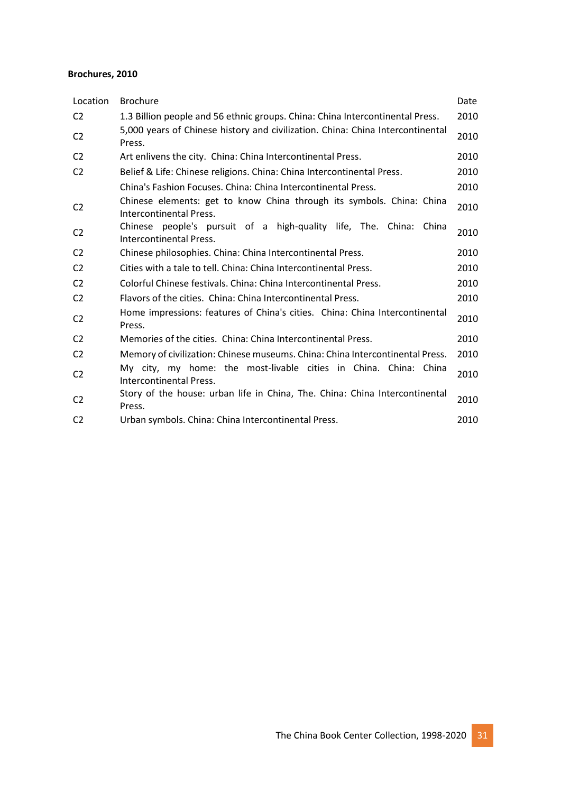#### **Brochures, 2010**

| Location       | <b>Brochure</b>                                                                                  | Date |
|----------------|--------------------------------------------------------------------------------------------------|------|
| C <sub>2</sub> | 1.3 Billion people and 56 ethnic groups. China: China Intercontinental Press.                    | 2010 |
| C <sub>2</sub> | 5,000 years of Chinese history and civilization. China: China Intercontinental<br>Press.         | 2010 |
| C <sub>2</sub> | Art enlivens the city. China: China Intercontinental Press.                                      | 2010 |
| C <sub>2</sub> | Belief & Life: Chinese religions. China: China Intercontinental Press.                           | 2010 |
|                | China's Fashion Focuses, China: China Intercontinental Press.                                    | 2010 |
| C <sub>2</sub> | Chinese elements: get to know China through its symbols. China: China<br>Intercontinental Press. | 2010 |
| C <sub>2</sub> | Chinese people's pursuit of a high-quality life, The. China:<br>China<br>Intercontinental Press. | 2010 |
| C <sub>2</sub> | Chinese philosophies. China: China Intercontinental Press.                                       | 2010 |
| C <sub>2</sub> | Cities with a tale to tell. China: China Intercontinental Press.                                 | 2010 |
| C <sub>2</sub> | Colorful Chinese festivals. China: China Intercontinental Press.                                 | 2010 |
| C <sub>2</sub> | Flavors of the cities. China: China Intercontinental Press.                                      | 2010 |
| C <sub>2</sub> | Home impressions: features of China's cities. China: China Intercontinental<br>Press.            | 2010 |
| C <sub>2</sub> | Memories of the cities. China: China Intercontinental Press.                                     | 2010 |
| C <sub>2</sub> | Memory of civilization: Chinese museums. China: China Intercontinental Press.                    | 2010 |
| C <sub>2</sub> | My city, my home: the most-livable cities in China. China: China<br>Intercontinental Press.      | 2010 |
| C <sub>2</sub> | Story of the house: urban life in China, The. China: China Intercontinental<br>Press.            | 2010 |
| C <sub>2</sub> | Urban symbols. China: China Intercontinental Press.                                              | 2010 |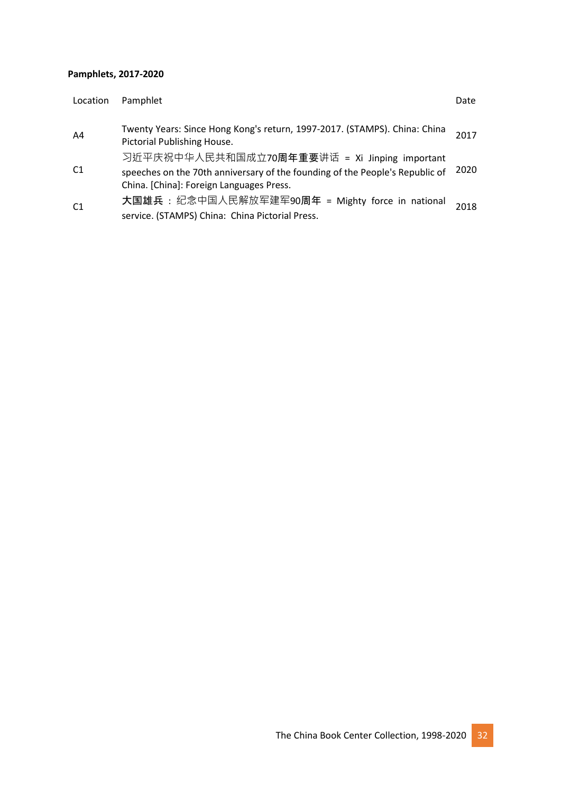#### **Pamphlets, 2017-2020**

| Location       | Pamphlet                                                                                                                                                                  | Date |
|----------------|---------------------------------------------------------------------------------------------------------------------------------------------------------------------------|------|
| A4             | Twenty Years: Since Hong Kong's return, 1997-2017. (STAMPS). China: China<br>Pictorial Publishing House.                                                                  | 2017 |
| C <sub>1</sub> | 习近平庆祝中华人民共和国成立70周年重要讲话 = Xi Jinping important<br>speeches on the 70th anniversary of the founding of the People's Republic of<br>China. [China]: Foreign Languages Press. | 2020 |
| C <sub>1</sub> | 大国雄兵: 纪念中国人民解放军建军90周年 = Mighty force in national<br>service. (STAMPS) China: China Pictorial Press.                                                                       | 2018 |

The China Book Center Collection, 1998-2020 32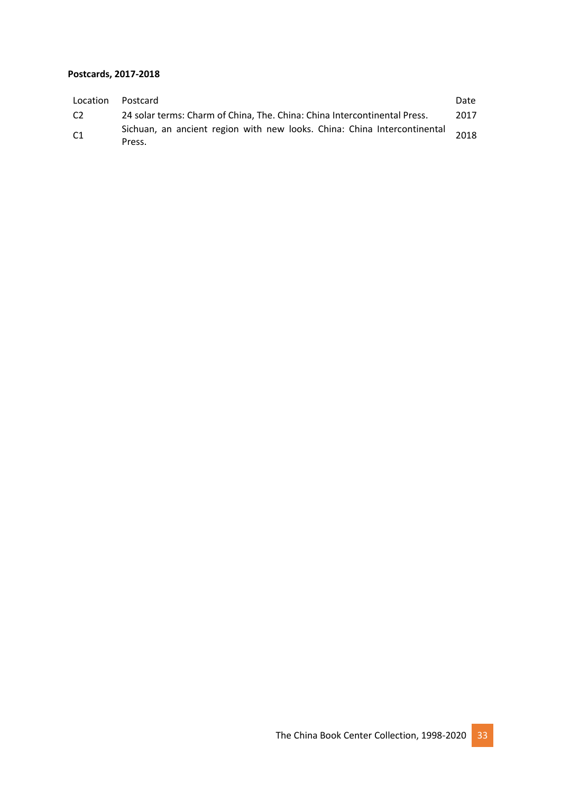#### **Postcards, 2017-2018**

| Location       | Postcard                                                                           | Date |
|----------------|------------------------------------------------------------------------------------|------|
| C <sub>2</sub> | 24 solar terms: Charm of China, The. China: China Intercontinental Press.          | 2017 |
| C <sub>1</sub> | Sichuan, an ancient region with new looks. China: China Intercontinental<br>Press. | 2018 |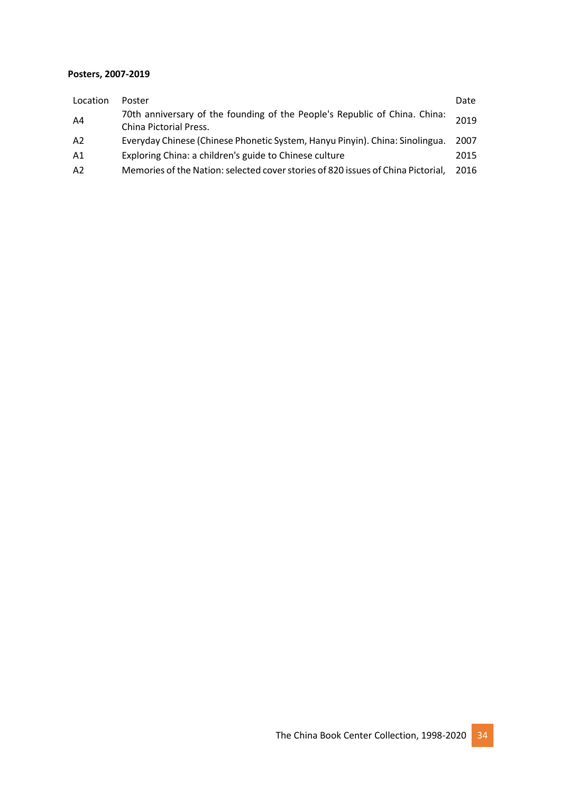#### **Posters, 2007-2019**

| Location | Poster                                                                                               | Date |
|----------|------------------------------------------------------------------------------------------------------|------|
| A4       | 70th anniversary of the founding of the People's Republic of China. China:<br>China Pictorial Press. | 2019 |
| A2       | Everyday Chinese (Chinese Phonetic System, Hanyu Pinyin). China: Sinolingua.                         | 2007 |
| A1       | Exploring China: a children's guide to Chinese culture                                               | 2015 |
| A2       | Memories of the Nation: selected cover stories of 820 issues of China Pictorial,                     | 2016 |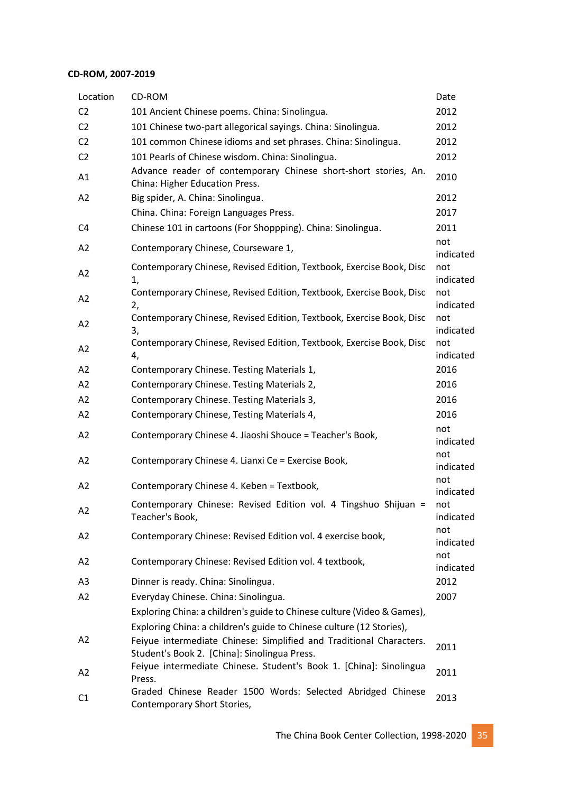#### **CD-ROM, 2007-2019**

| Location       | CD-ROM                                                                                                              | Date             |
|----------------|---------------------------------------------------------------------------------------------------------------------|------------------|
| C <sub>2</sub> | 101 Ancient Chinese poems. China: Sinolingua.                                                                       | 2012             |
| C <sub>2</sub> | 101 Chinese two-part allegorical sayings. China: Sinolingua.                                                        | 2012             |
| C <sub>2</sub> | 101 common Chinese idioms and set phrases. China: Sinolingua.                                                       | 2012             |
| C <sub>2</sub> | 101 Pearls of Chinese wisdom. China: Sinolingua.                                                                    | 2012             |
| A1             | Advance reader of contemporary Chinese short-short stories, An.<br>China: Higher Education Press.                   | 2010             |
| A2             | Big spider, A. China: Sinolingua.                                                                                   | 2012             |
|                | China. China: Foreign Languages Press.                                                                              | 2017             |
| C4             | Chinese 101 in cartoons (For Shoppping). China: Sinolingua.                                                         | 2011             |
| A2             | Contemporary Chinese, Courseware 1,                                                                                 | not<br>indicated |
| A2             | Contemporary Chinese, Revised Edition, Textbook, Exercise Book, Disc<br>1,                                          | not<br>indicated |
| A2             | Contemporary Chinese, Revised Edition, Textbook, Exercise Book, Disc<br>2,                                          | not<br>indicated |
| A2             | Contemporary Chinese, Revised Edition, Textbook, Exercise Book, Disc<br>3,                                          | not<br>indicated |
| A2             | Contemporary Chinese, Revised Edition, Textbook, Exercise Book, Disc<br>4,                                          | not<br>indicated |
| A2             | Contemporary Chinese. Testing Materials 1,                                                                          | 2016             |
| A2             | Contemporary Chinese. Testing Materials 2,                                                                          | 2016             |
| A2             | Contemporary Chinese. Testing Materials 3,                                                                          | 2016             |
| A2             | Contemporary Chinese, Testing Materials 4,                                                                          | 2016             |
| A2             | Contemporary Chinese 4. Jiaoshi Shouce = Teacher's Book,                                                            | not<br>indicated |
| A <sub>2</sub> | Contemporary Chinese 4. Lianxi Ce = Exercise Book,                                                                  | not<br>indicated |
| A2             | Contemporary Chinese 4. Keben = Textbook,                                                                           | not<br>indicated |
| A <sub>2</sub> | Contemporary Chinese: Revised Edition vol. 4 Tingshuo Shijuan =<br>Teacher's Book,                                  | not<br>indicated |
| A2             | Contemporary Chinese: Revised Edition vol. 4 exercise book,                                                         | not<br>indicated |
| A2             | Contemporary Chinese: Revised Edition vol. 4 textbook,                                                              | not<br>indicated |
| A <sub>3</sub> | Dinner is ready. China: Sinolingua.                                                                                 | 2012             |
| A2             | Everyday Chinese. China: Sinolingua.                                                                                | 2007             |
|                | Exploring China: a children's guide to Chinese culture (Video & Games),                                             |                  |
|                | Exploring China: a children's guide to Chinese culture (12 Stories),                                                |                  |
| A2             | Feiyue intermediate Chinese: Simplified and Traditional Characters.<br>Student's Book 2. [China]: Sinolingua Press. | 2011             |
| A2             | Feiyue intermediate Chinese. Student's Book 1. [China]: Sinolingua<br>Press.                                        | 2011             |
| C <sub>1</sub> | Graded Chinese Reader 1500 Words: Selected Abridged Chinese<br>Contemporary Short Stories,                          | 2013             |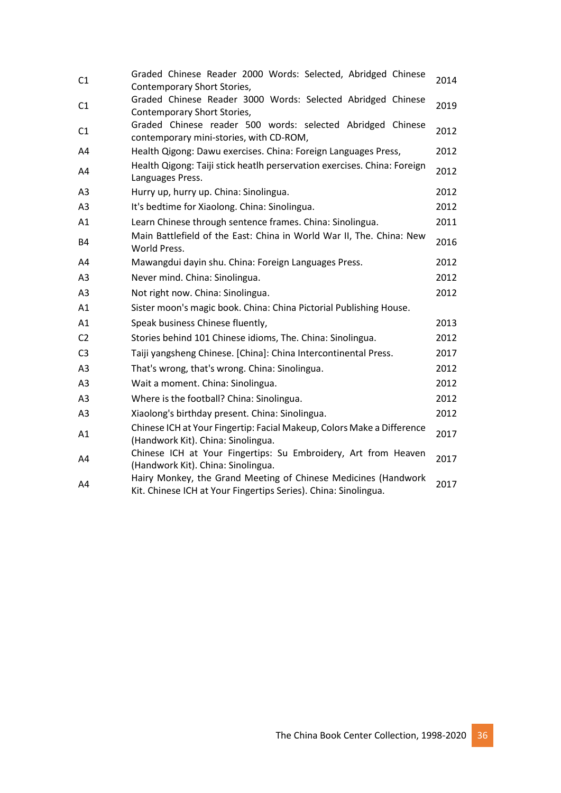| C1             | Graded Chinese Reader 2000 Words: Selected, Abridged Chinese<br>Contemporary Short Stories,                                       | 2014 |
|----------------|-----------------------------------------------------------------------------------------------------------------------------------|------|
| C1             | Graded Chinese Reader 3000 Words: Selected Abridged Chinese<br>Contemporary Short Stories,                                        | 2019 |
| C1             | Graded Chinese reader 500 words: selected Abridged Chinese<br>contemporary mini-stories, with CD-ROM,                             | 2012 |
| A4             | Health Qigong: Dawu exercises. China: Foreign Languages Press,                                                                    | 2012 |
| A4             | Health Qigong: Taiji stick heatlh perservation exercises. China: Foreign<br>Languages Press.                                      | 2012 |
| A <sub>3</sub> | Hurry up, hurry up. China: Sinolingua.                                                                                            | 2012 |
| A <sub>3</sub> | It's bedtime for Xiaolong. China: Sinolingua.                                                                                     | 2012 |
| A1             | Learn Chinese through sentence frames. China: Sinolingua.                                                                         | 2011 |
| <b>B4</b>      | Main Battlefield of the East: China in World War II, The. China: New<br>World Press.                                              | 2016 |
| A4             | Mawangdui dayin shu. China: Foreign Languages Press.                                                                              | 2012 |
| A <sub>3</sub> | Never mind. China: Sinolingua.                                                                                                    | 2012 |
| A <sub>3</sub> | Not right now. China: Sinolingua.                                                                                                 | 2012 |
| A1             | Sister moon's magic book. China: China Pictorial Publishing House.                                                                |      |
| A1             | Speak business Chinese fluently,                                                                                                  | 2013 |
| C <sub>2</sub> | Stories behind 101 Chinese idioms, The. China: Sinolingua.                                                                        | 2012 |
| C <sub>3</sub> | Taiji yangsheng Chinese. [China]: China Intercontinental Press.                                                                   | 2017 |
| A3             | That's wrong, that's wrong. China: Sinolingua.                                                                                    | 2012 |
| A <sub>3</sub> | Wait a moment. China: Sinolingua.                                                                                                 | 2012 |
| A <sub>3</sub> | Where is the football? China: Sinolingua.                                                                                         | 2012 |
| A <sub>3</sub> | Xiaolong's birthday present. China: Sinolingua.                                                                                   | 2012 |
| A1             | Chinese ICH at Your Fingertip: Facial Makeup, Colors Make a Difference<br>(Handwork Kit). China: Sinolingua.                      | 2017 |
| A4             | Chinese ICH at Your Fingertips: Su Embroidery, Art from Heaven<br>(Handwork Kit). China: Sinolingua.                              | 2017 |
| A4             | Hairy Monkey, the Grand Meeting of Chinese Medicines (Handwork<br>Kit. Chinese ICH at Your Fingertips Series). China: Sinolingua. | 2017 |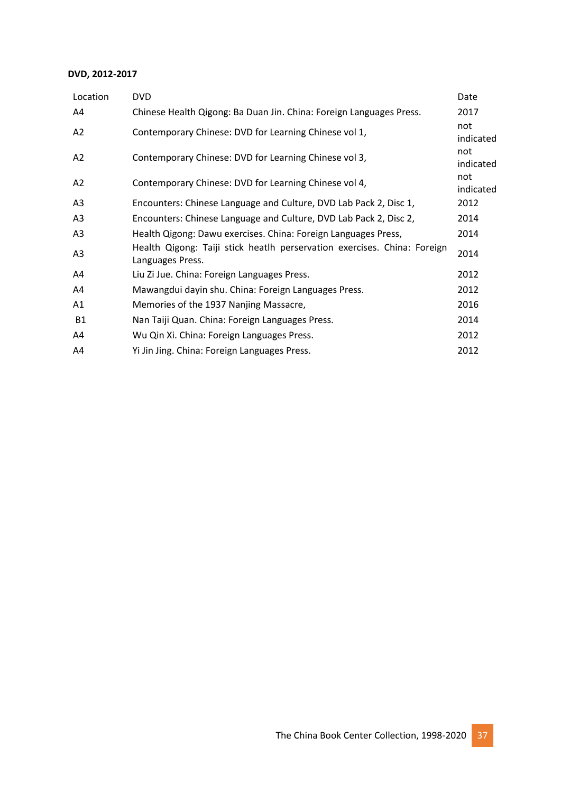#### **DVD, 2012-2017**

| Location       | <b>DVD</b>                                                                                   | Date             |
|----------------|----------------------------------------------------------------------------------------------|------------------|
| A4             | Chinese Health Qigong: Ba Duan Jin. China: Foreign Languages Press.                          | 2017             |
| A2             | Contemporary Chinese: DVD for Learning Chinese vol 1,                                        | not<br>indicated |
| A2             | Contemporary Chinese: DVD for Learning Chinese vol 3,                                        | not<br>indicated |
| A <sub>2</sub> | Contemporary Chinese: DVD for Learning Chinese vol 4,                                        | not<br>indicated |
| A <sub>3</sub> | Encounters: Chinese Language and Culture, DVD Lab Pack 2, Disc 1,                            | 2012             |
| A <sub>3</sub> | Encounters: Chinese Language and Culture, DVD Lab Pack 2, Disc 2,                            | 2014             |
| A <sub>3</sub> | Health Qigong: Dawu exercises. China: Foreign Languages Press,                               | 2014             |
| A <sub>3</sub> | Health Qigong: Taiji stick heatlh perservation exercises. China: Foreign<br>Languages Press. | 2014             |
| A4             | Liu Zi Jue. China: Foreign Languages Press.                                                  | 2012             |
| A4             | Mawangdui dayin shu. China: Foreign Languages Press.                                         | 2012             |
| A1             | Memories of the 1937 Nanjing Massacre,                                                       | 2016             |
| <b>B1</b>      | Nan Taiji Quan. China: Foreign Languages Press.                                              | 2014             |
| A4             | Wu Qin Xi. China: Foreign Languages Press.                                                   | 2012             |
| A4             | Yi Jin Jing. China: Foreign Languages Press.                                                 | 2012             |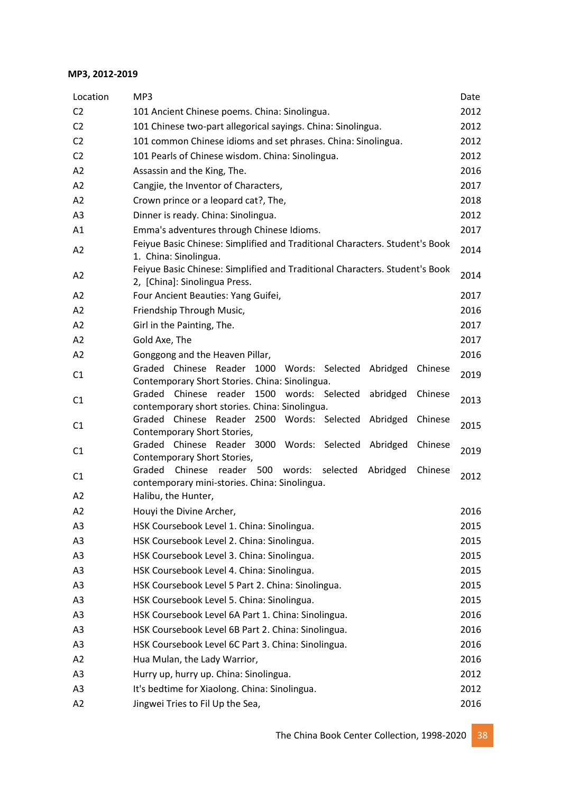#### **MP3, 2012-2019**

| Location       | MP3                                                                                                                        | Date |
|----------------|----------------------------------------------------------------------------------------------------------------------------|------|
| C <sub>2</sub> | 101 Ancient Chinese poems. China: Sinolingua.                                                                              | 2012 |
| C <sub>2</sub> | 101 Chinese two-part allegorical sayings. China: Sinolingua.                                                               | 2012 |
| C <sub>2</sub> | 101 common Chinese idioms and set phrases. China: Sinolingua.                                                              | 2012 |
| C <sub>2</sub> | 101 Pearls of Chinese wisdom. China: Sinolingua.                                                                           | 2012 |
| A2             | Assassin and the King, The.                                                                                                | 2016 |
| A2             | Cangjie, the Inventor of Characters,                                                                                       | 2017 |
| A2             | Crown prince or a leopard cat?, The,                                                                                       | 2018 |
| A3             | Dinner is ready. China: Sinolingua.                                                                                        | 2012 |
| A1             | Emma's adventures through Chinese Idioms.                                                                                  | 2017 |
| A2             | Feiyue Basic Chinese: Simplified and Traditional Characters. Student's Book<br>1. China: Sinolingua.                       | 2014 |
| A2             | Feiyue Basic Chinese: Simplified and Traditional Characters. Student's Book<br>2, [China]: Sinolingua Press.               | 2014 |
| A2             | Four Ancient Beauties: Yang Guifei,                                                                                        | 2017 |
| A2             | Friendship Through Music,                                                                                                  | 2016 |
| A2             | Girl in the Painting, The.                                                                                                 | 2017 |
| A2             | Gold Axe, The                                                                                                              | 2017 |
| A2             | Gonggong and the Heaven Pillar,                                                                                            | 2016 |
| C1             | Graded Chinese Reader 1000 Words: Selected<br>Abridged<br>Chinese<br>Contemporary Short Stories. China: Sinolingua.        | 2019 |
| C1             | Graded Chinese reader 1500 words: Selected<br>abridged<br>Chinese<br>contemporary short stories. China: Sinolingua.        | 2013 |
| C <sub>1</sub> | Graded Chinese Reader 2500 Words: Selected<br>Abridged<br>Chinese<br>Contemporary Short Stories,                           | 2015 |
| C1             | Graded Chinese Reader 3000 Words: Selected Abridged<br>Chinese<br>Contemporary Short Stories,                              | 2019 |
| C <sub>1</sub> | Graded Chinese<br>reader 500<br>words:<br>selected<br>Abridged<br>Chinese<br>contemporary mini-stories. China: Sinolingua. | 2012 |
| A <sub>2</sub> | Halibu, the Hunter,                                                                                                        |      |
| A <sub>2</sub> | Houyi the Divine Archer,                                                                                                   | 2016 |
| A <sub>3</sub> | HSK Coursebook Level 1. China: Sinolingua.                                                                                 | 2015 |
| A3             | HSK Coursebook Level 2. China: Sinolingua.                                                                                 | 2015 |
| A3             | HSK Coursebook Level 3. China: Sinolingua.                                                                                 | 2015 |
| A <sub>3</sub> | HSK Coursebook Level 4. China: Sinolingua.                                                                                 | 2015 |
| A3             | HSK Coursebook Level 5 Part 2. China: Sinolingua.                                                                          | 2015 |
| A <sub>3</sub> | HSK Coursebook Level 5. China: Sinolingua.                                                                                 | 2015 |
| A <sub>3</sub> | HSK Coursebook Level 6A Part 1. China: Sinolingua.                                                                         | 2016 |
| A3             | HSK Coursebook Level 6B Part 2. China: Sinolingua.                                                                         | 2016 |
| A <sub>3</sub> | HSK Coursebook Level 6C Part 3. China: Sinolingua.                                                                         | 2016 |
| A2             | Hua Mulan, the Lady Warrior,                                                                                               | 2016 |
| A3             | Hurry up, hurry up. China: Sinolingua.                                                                                     | 2012 |
| A <sub>3</sub> | It's bedtime for Xiaolong. China: Sinolingua.                                                                              | 2012 |
| A2             | Jingwei Tries to Fil Up the Sea,                                                                                           | 2016 |
|                |                                                                                                                            |      |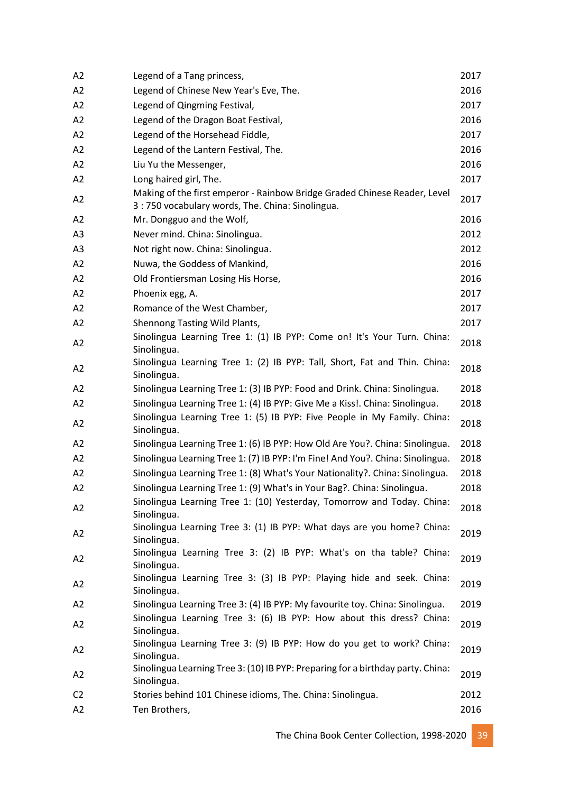| A2             | Legend of a Tang princess,                                                                                                   | 2017 |
|----------------|------------------------------------------------------------------------------------------------------------------------------|------|
| A2             | Legend of Chinese New Year's Eve, The.                                                                                       | 2016 |
| A2             | Legend of Qingming Festival,                                                                                                 | 2017 |
| A2             | Legend of the Dragon Boat Festival,                                                                                          | 2016 |
| A2             | Legend of the Horsehead Fiddle,                                                                                              | 2017 |
| A2             | Legend of the Lantern Festival, The.                                                                                         | 2016 |
| A2             | Liu Yu the Messenger,                                                                                                        | 2016 |
| A2             | Long haired girl, The.                                                                                                       | 2017 |
| A2             | Making of the first emperor - Rainbow Bridge Graded Chinese Reader, Level<br>3:750 vocabulary words, The. China: Sinolingua. | 2017 |
| A2             | Mr. Dongguo and the Wolf,                                                                                                    | 2016 |
| A3             | Never mind. China: Sinolingua.                                                                                               | 2012 |
| A <sub>3</sub> | Not right now. China: Sinolingua.                                                                                            | 2012 |
| A2             | Nuwa, the Goddess of Mankind,                                                                                                | 2016 |
| A2             | Old Frontiersman Losing His Horse,                                                                                           | 2016 |
| A2             | Phoenix egg, A.                                                                                                              | 2017 |
| A2             | Romance of the West Chamber,                                                                                                 | 2017 |
| A2             | Shennong Tasting Wild Plants,                                                                                                | 2017 |
| A2             | Sinolingua Learning Tree 1: (1) IB PYP: Come on! It's Your Turn. China:<br>Sinolingua.                                       | 2018 |
| A2             | Sinolingua Learning Tree 1: (2) IB PYP: Tall, Short, Fat and Thin. China:<br>Sinolingua.                                     | 2018 |
| A2             | Sinolingua Learning Tree 1: (3) IB PYP: Food and Drink. China: Sinolingua.                                                   | 2018 |
| A2             | Sinolingua Learning Tree 1: (4) IB PYP: Give Me a Kiss!. China: Sinolingua.                                                  | 2018 |
| A2             | Sinolingua Learning Tree 1: (5) IB PYP: Five People in My Family. China:<br>Sinolingua.                                      | 2018 |
| A2             | Sinolingua Learning Tree 1: (6) IB PYP: How Old Are You?. China: Sinolingua.                                                 | 2018 |
| A2             | Sinolingua Learning Tree 1: (7) IB PYP: I'm Fine! And You?. China: Sinolingua.                                               | 2018 |
| A2             | Sinolingua Learning Tree 1: (8) What's Your Nationality?. China: Sinolingua.                                                 | 2018 |
| A2             | Sinolingua Learning Tree 1: (9) What's in Your Bag?. China: Sinolingua.                                                      | 2018 |
| A2             | Sinolingua Learning Tree 1: (10) Yesterday, Tomorrow and Today. China:<br>Sinolingua.                                        | 2018 |
| A2             | Sinolingua Learning Tree 3: (1) IB PYP: What days are you home? China:<br>Sinolingua.                                        | 2019 |
| A2             | Sinolingua Learning Tree 3: (2) IB PYP: What's on tha table? China:<br>Sinolingua.                                           | 2019 |
| A2             | Sinolingua Learning Tree 3: (3) IB PYP: Playing hide and seek. China:<br>Sinolingua.                                         | 2019 |
| A2             | Sinolingua Learning Tree 3: (4) IB PYP: My favourite toy. China: Sinolingua.                                                 | 2019 |
| A2             | Sinolingua Learning Tree 3: (6) IB PYP: How about this dress? China:<br>Sinolingua.                                          | 2019 |
| A2             | Sinolingua Learning Tree 3: (9) IB PYP: How do you get to work? China:<br>Sinolingua.                                        | 2019 |
| A2             | Sinolingua Learning Tree 3: (10) IB PYP: Preparing for a birthday party. China:<br>Sinolingua.                               | 2019 |
| C <sub>2</sub> | Stories behind 101 Chinese idioms, The. China: Sinolingua.                                                                   | 2012 |
| A2             | Ten Brothers,                                                                                                                | 2016 |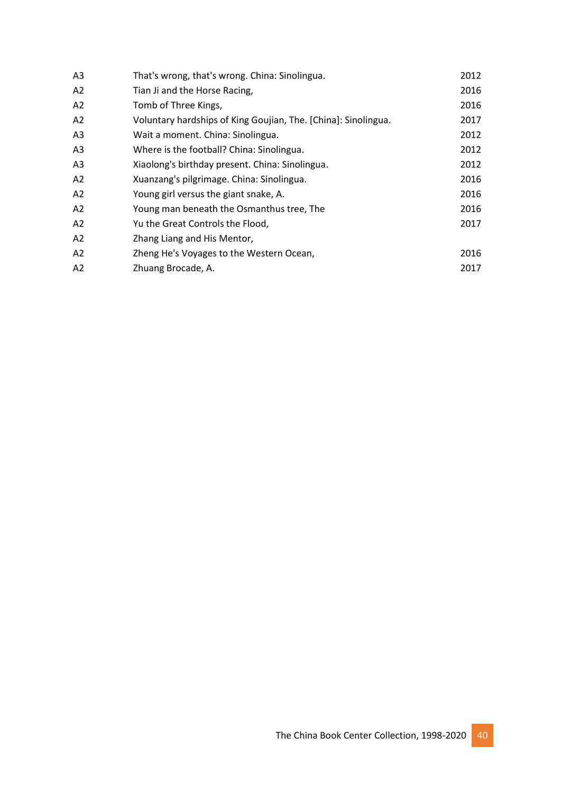| A <sub>3</sub> | That's wrong, that's wrong. China: Sinolingua.                 | 2012 |
|----------------|----------------------------------------------------------------|------|
| A2             | Tian Ji and the Horse Racing,                                  | 2016 |
| A2             | Tomb of Three Kings,                                           | 2016 |
| A2             | Voluntary hardships of King Goujian, The. [China]: Sinolingua. | 2017 |
| A <sub>3</sub> | Wait a moment. China: Sinolingua.                              | 2012 |
| A <sub>3</sub> | Where is the football? China: Sinolingua.                      | 2012 |
| A <sub>3</sub> | Xiaolong's birthday present. China: Sinolingua.                | 2012 |
| A2             | Xuanzang's pilgrimage. China: Sinolingua.                      | 2016 |
| A2             | Young girl versus the giant snake, A.                          | 2016 |
| A2             | Young man beneath the Osmanthus tree, The                      | 2016 |
| A2             | Yu the Great Controls the Flood,                               | 2017 |
| A2             | Zhang Liang and His Mentor,                                    |      |
| A2             | Zheng He's Voyages to the Western Ocean,                       | 2016 |
| A2             | Zhuang Brocade, A.                                             | 2017 |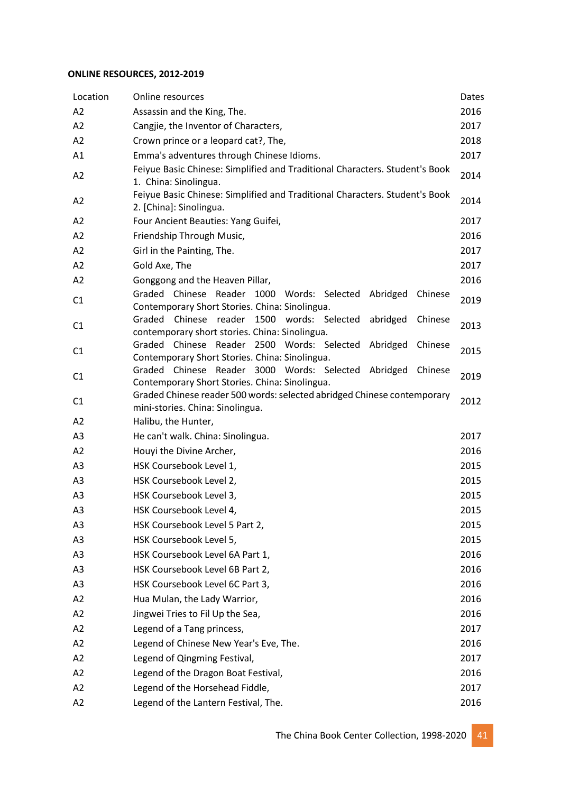#### **ONLINE RESOURCES, 2012-2019**

| Location       | Online resources                                                                                                    | Dates |
|----------------|---------------------------------------------------------------------------------------------------------------------|-------|
| A2             | Assassin and the King, The.                                                                                         | 2016  |
| A2             | Cangjie, the Inventor of Characters,                                                                                | 2017  |
| A2             | Crown prince or a leopard cat?, The,                                                                                | 2018  |
| A1             | Emma's adventures through Chinese Idioms.                                                                           | 2017  |
| A2             | Feiyue Basic Chinese: Simplified and Traditional Characters. Student's Book<br>1. China: Sinolingua.                | 2014  |
| A <sub>2</sub> | Feiyue Basic Chinese: Simplified and Traditional Characters. Student's Book<br>2. [China]: Sinolingua.              | 2014  |
| A2             | Four Ancient Beauties: Yang Guifei,                                                                                 | 2017  |
| A2             | Friendship Through Music,                                                                                           | 2016  |
| A2             | Girl in the Painting, The.                                                                                          | 2017  |
| A2             | Gold Axe, The                                                                                                       | 2017  |
| A2             | Gonggong and the Heaven Pillar,                                                                                     | 2016  |
| C1             | Graded Chinese Reader 1000 Words: Selected<br>Abridged<br>Chinese<br>Contemporary Short Stories. China: Sinolingua. | 2019  |
| C1             | Graded Chinese reader 1500 words: Selected<br>abridged<br>Chinese<br>contemporary short stories. China: Sinolingua. | 2013  |
| C1             | Graded Chinese Reader 2500 Words: Selected<br>Abridged<br>Chinese<br>Contemporary Short Stories. China: Sinolingua. | 2015  |
| C <sub>1</sub> | Graded Chinese Reader 3000 Words: Selected Abridged<br>Chinese<br>Contemporary Short Stories. China: Sinolingua.    | 2019  |
| C <sub>1</sub> | Graded Chinese reader 500 words: selected abridged Chinese contemporary<br>mini-stories. China: Sinolingua.         | 2012  |
| A2             | Halibu, the Hunter,                                                                                                 |       |
| A3             | He can't walk. China: Sinolingua.                                                                                   | 2017  |
| A2             | Houyi the Divine Archer,                                                                                            | 2016  |
| A <sub>3</sub> | HSK Coursebook Level 1,                                                                                             | 2015  |
| A3             | HSK Coursebook Level 2,                                                                                             | 2015  |
| A3             | HSK Coursebook Level 3,                                                                                             | 2015  |
| A <sub>3</sub> | HSK Coursebook Level 4,                                                                                             | 2015  |
| A3             | HSK Coursebook Level 5 Part 2,                                                                                      | 2015  |
| A <sub>3</sub> | HSK Coursebook Level 5,                                                                                             | 2015  |
| A3             | HSK Coursebook Level 6A Part 1,                                                                                     | 2016  |
| A <sub>3</sub> | HSK Coursebook Level 6B Part 2,                                                                                     | 2016  |
| A <sub>3</sub> | HSK Coursebook Level 6C Part 3,                                                                                     | 2016  |
| A2             | Hua Mulan, the Lady Warrior,                                                                                        | 2016  |
| A2             | Jingwei Tries to Fil Up the Sea,                                                                                    | 2016  |
| A <sub>2</sub> | Legend of a Tang princess,                                                                                          | 2017  |
| A2             | Legend of Chinese New Year's Eve, The.                                                                              | 2016  |
| A2             | Legend of Qingming Festival,                                                                                        | 2017  |
| A2             | Legend of the Dragon Boat Festival,                                                                                 | 2016  |
| A2             | Legend of the Horsehead Fiddle,                                                                                     | 2017  |
| A2             | Legend of the Lantern Festival, The.                                                                                | 2016  |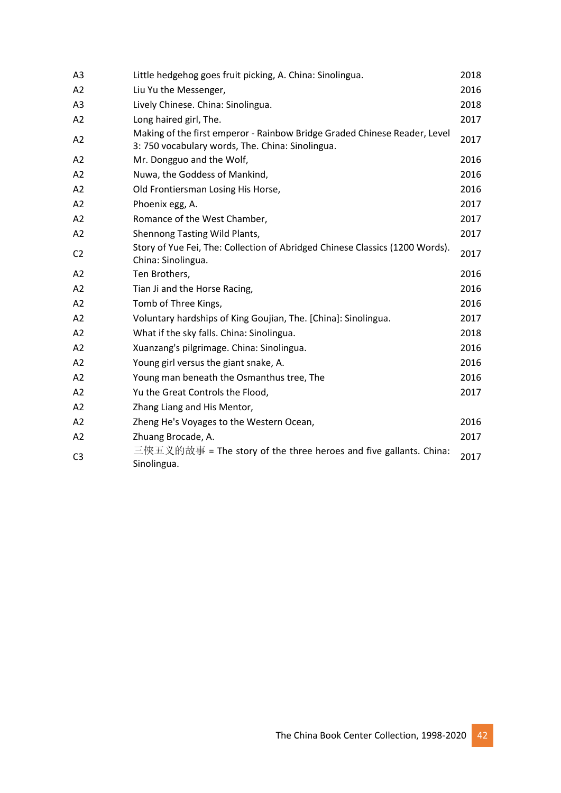| A3             | Little hedgehog goes fruit picking, A. China: Sinolingua.                                                                    | 2018 |
|----------------|------------------------------------------------------------------------------------------------------------------------------|------|
| A <sub>2</sub> | Liu Yu the Messenger,                                                                                                        | 2016 |
| A <sub>3</sub> | Lively Chinese. China: Sinolingua.                                                                                           | 2018 |
| A2             | Long haired girl, The.                                                                                                       | 2017 |
| A2             | Making of the first emperor - Rainbow Bridge Graded Chinese Reader, Level<br>3:750 vocabulary words, The. China: Sinolingua. | 2017 |
| A2             | Mr. Dongguo and the Wolf,                                                                                                    | 2016 |
| A2             | Nuwa, the Goddess of Mankind,                                                                                                | 2016 |
| A <sub>2</sub> | Old Frontiersman Losing His Horse,                                                                                           | 2016 |
| A2             | Phoenix egg, A.                                                                                                              | 2017 |
| A2             | Romance of the West Chamber,                                                                                                 | 2017 |
| A2             | Shennong Tasting Wild Plants,                                                                                                | 2017 |
| C <sub>2</sub> | Story of Yue Fei, The: Collection of Abridged Chinese Classics (1200 Words).<br>China: Sinolingua.                           | 2017 |
| A <sub>2</sub> | Ten Brothers,                                                                                                                | 2016 |
| A <sub>2</sub> | Tian Ji and the Horse Racing,                                                                                                | 2016 |
| A2             | Tomb of Three Kings,                                                                                                         | 2016 |
| A2             | Voluntary hardships of King Goujian, The. [China]: Sinolingua.                                                               | 2017 |
| A2             | What if the sky falls. China: Sinolingua.                                                                                    | 2018 |
| A <sub>2</sub> | Xuanzang's pilgrimage. China: Sinolingua.                                                                                    | 2016 |
| A2             | Young girl versus the giant snake, A.                                                                                        | 2016 |
| A2             | Young man beneath the Osmanthus tree, The                                                                                    | 2016 |
| A2             | Yu the Great Controls the Flood,                                                                                             | 2017 |
| A2             | Zhang Liang and His Mentor,                                                                                                  |      |
| A2             | Zheng He's Voyages to the Western Ocean,                                                                                     | 2016 |
| A2             | Zhuang Brocade, A.                                                                                                           | 2017 |
| C <sub>3</sub> | 三侠五义的故事 = The story of the three heroes and five gallants. China:<br>Sinolingua.                                             | 2017 |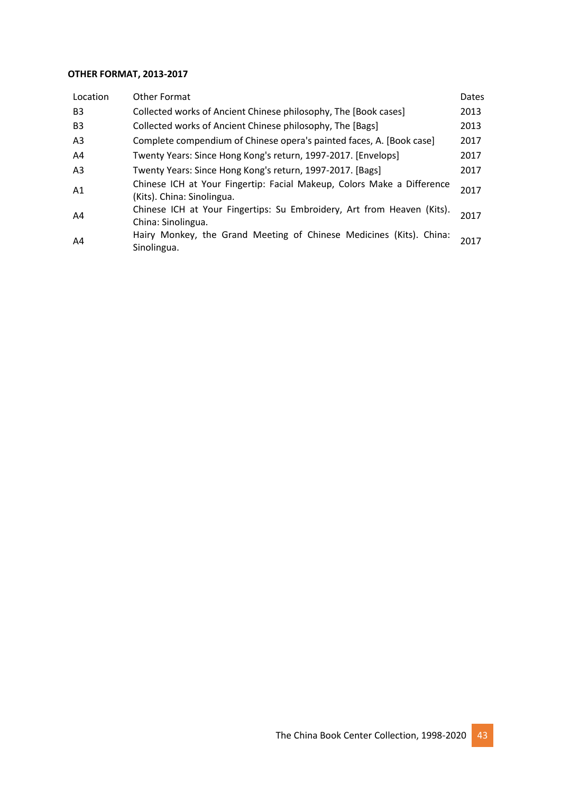#### **OTHER FORMAT, 2013-2017**

| Location       | Other Format                                                                                         | Dates |
|----------------|------------------------------------------------------------------------------------------------------|-------|
| B <sub>3</sub> | Collected works of Ancient Chinese philosophy, The [Book cases]                                      | 2013  |
| B <sub>3</sub> | Collected works of Ancient Chinese philosophy, The [Bags]                                            | 2013  |
| A <sub>3</sub> | Complete compendium of Chinese opera's painted faces, A. [Book case]                                 | 2017  |
| A4             | Twenty Years: Since Hong Kong's return, 1997-2017. [Envelops]                                        | 2017  |
| A <sub>3</sub> | Twenty Years: Since Hong Kong's return, 1997-2017. [Bags]                                            | 2017  |
| A <sub>1</sub> | Chinese ICH at Your Fingertip: Facial Makeup, Colors Make a Difference<br>(Kits). China: Sinolingua. | 2017  |
| A4             | Chinese ICH at Your Fingertips: Su Embroidery, Art from Heaven (Kits).<br>China: Sinolingua.         | 2017  |
| A4             | Hairy Monkey, the Grand Meeting of Chinese Medicines (Kits). China:<br>Sinolingua.                   | 2017  |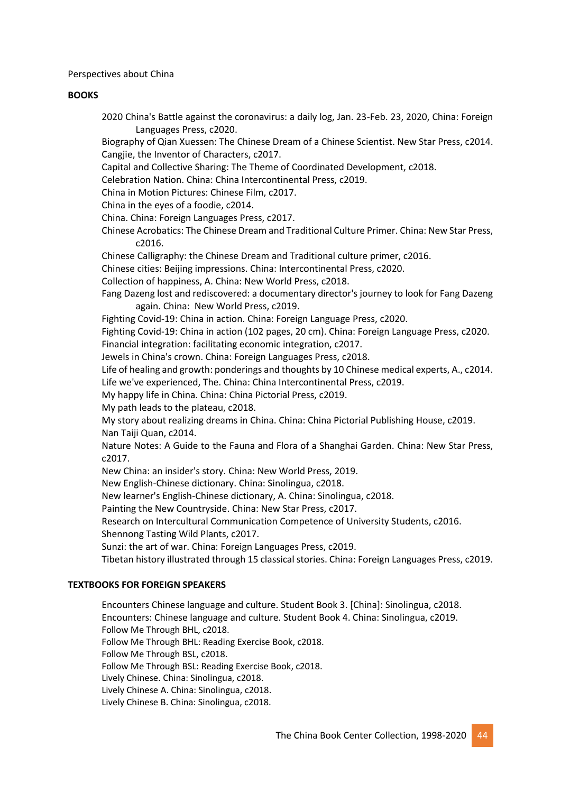Perspectives about China

#### **BOOKS**

2020 China's Battle against the coronavirus: a daily log, Jan. 23-Feb. 23, 2020, China: Foreign Languages Press, c2020.

Biography of Qian Xuessen: The Chinese Dream of a Chinese Scientist. New Star Press, c2014. Cangjie, the Inventor of Characters, c2017.

Capital and Collective Sharing: The Theme of Coordinated Development, c2018.

Celebration Nation. China: China Intercontinental Press, c2019.

China in Motion Pictures: Chinese Film, c2017.

China in the eyes of a foodie, c2014.

China. China: Foreign Languages Press, c2017.

Chinese Acrobatics: The Chinese Dream and Traditional Culture Primer. China: New Star Press, c2016.

Chinese Calligraphy: the Chinese Dream and Traditional culture primer, c2016.

Chinese cities: Beijing impressions. China: Intercontinental Press, c2020.

Collection of happiness, A. China: New World Press, c2018.

Fang Dazeng lost and rediscovered: a documentary director's journey to look for Fang Dazeng again. China: New World Press, c2019.

Fighting Covid-19: China in action. China: Foreign Language Press, c2020.

Fighting Covid-19: China in action (102 pages, 20 cm). China: Foreign Language Press, c2020. Financial integration: facilitating economic integration, c2017.

Jewels in China's crown. China: Foreign Languages Press, c2018.

Life of healing and growth: ponderings and thoughts by 10 Chinese medical experts, A., c2014.

Life we've experienced, The. China: China Intercontinental Press, c2019.

My happy life in China. China: China Pictorial Press, c2019.

My path leads to the plateau, c2018.

My story about realizing dreams in China. China: China Pictorial Publishing House, c2019. Nan Taiji Quan, c2014.

Nature Notes: A Guide to the Fauna and Flora of a Shanghai Garden. China: New Star Press, c2017.

New China: an insider's story. China: New World Press, 2019.

New English-Chinese dictionary. China: Sinolingua, c2018.

New learner's English-Chinese dictionary, A. China: Sinolingua, c2018.

Painting the New Countryside. China: New Star Press, c2017.

Research on Intercultural Communication Competence of University Students, c2016.

Shennong Tasting Wild Plants, c2017.

Sunzi: the art of war. China: Foreign Languages Press, c2019.

Tibetan history illustrated through 15 classical stories. China: Foreign Languages Press, c2019.

#### **TEXTBOOKS FOR FOREIGN SPEAKERS**

Encounters Chinese language and culture. Student Book 3. [China]: Sinolingua, c2018. Encounters: Chinese language and culture. Student Book 4. China: Sinolingua, c2019. Follow Me Through BHL, c2018. Follow Me Through BHL: Reading Exercise Book, c2018. Follow Me Through BSL, c2018. Follow Me Through BSL: Reading Exercise Book, c2018. Lively Chinese. China: Sinolingua, c2018. Lively Chinese A. China: Sinolingua, c2018. Lively Chinese B. China: Sinolingua, c2018.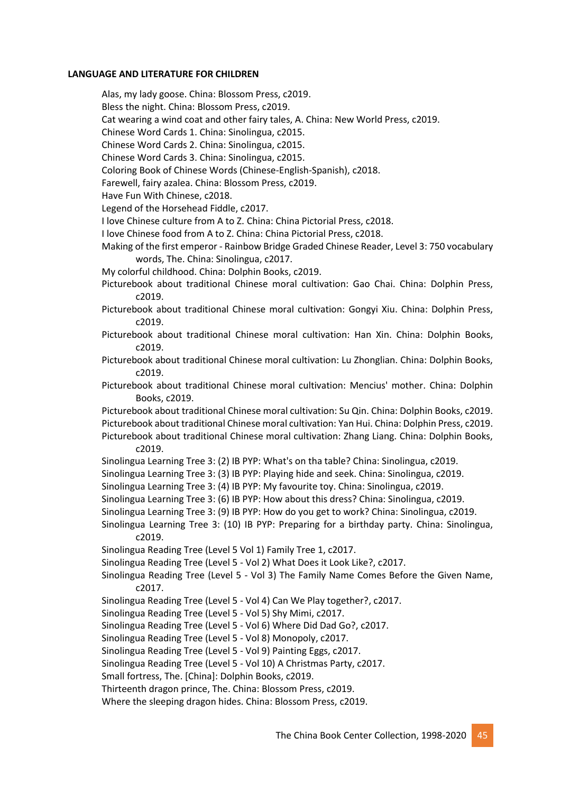#### **LANGUAGE AND LITERATURE FOR CHILDREN**

Alas, my lady goose. China: Blossom Press, c2019.

Bless the night. China: Blossom Press, c2019.

Cat wearing a wind coat and other fairy tales, A. China: New World Press, c2019.

Chinese Word Cards 1. China: Sinolingua, c2015.

Chinese Word Cards 2. China: Sinolingua, c2015.

Chinese Word Cards 3. China: Sinolingua, c2015.

Coloring Book of Chinese Words (Chinese-English-Spanish), c2018.

Farewell, fairy azalea. China: Blossom Press, c2019.

Have Fun With Chinese, c2018.

Legend of the Horsehead Fiddle, c2017.

I love Chinese culture from A to Z. China: China Pictorial Press, c2018.

I love Chinese food from A to Z. China: China Pictorial Press, c2018.

- Making of the first emperor Rainbow Bridge Graded Chinese Reader, Level 3: 750 vocabulary words, The. China: Sinolingua, c2017.
- My colorful childhood. China: Dolphin Books, c2019.

Picturebook about traditional Chinese moral cultivation: Gao Chai. China: Dolphin Press, c2019.

- Picturebook about traditional Chinese moral cultivation: Gongyi Xiu. China: Dolphin Press, c2019.
- Picturebook about traditional Chinese moral cultivation: Han Xin. China: Dolphin Books, c2019.
- Picturebook about traditional Chinese moral cultivation: Lu Zhonglian. China: Dolphin Books, c2019.
- Picturebook about traditional Chinese moral cultivation: Mencius' mother. China: Dolphin Books, c2019.

Picturebook about traditional Chinese moral cultivation: Su Qin. China: Dolphin Books, c2019. Picturebook about traditional Chinese moral cultivation: Yan Hui. China: Dolphin Press, c2019. Picturebook about traditional Chinese moral cultivation: Zhang Liang. China: Dolphin Books,

c2019.

Sinolingua Learning Tree 3: (2) IB PYP: What's on tha table? China: Sinolingua, c2019.

Sinolingua Learning Tree 3: (3) IB PYP: Playing hide and seek. China: Sinolingua, c2019.

Sinolingua Learning Tree 3: (4) IB PYP: My favourite toy. China: Sinolingua, c2019.

Sinolingua Learning Tree 3: (6) IB PYP: How about this dress? China: Sinolingua, c2019.

Sinolingua Learning Tree 3: (9) IB PYP: How do you get to work? China: Sinolingua, c2019.

Sinolingua Learning Tree 3: (10) IB PYP: Preparing for a birthday party. China: Sinolingua, c2019.

Sinolingua Reading Tree (Level 5 Vol 1) Family Tree 1, c2017.

Sinolingua Reading Tree (Level 5 - Vol 2) What Does it Look Like?, c2017.

Sinolingua Reading Tree (Level 5 - Vol 3) The Family Name Comes Before the Given Name, c2017.

Sinolingua Reading Tree (Level 5 - Vol 4) Can We Play together?, c2017.

Sinolingua Reading Tree (Level 5 - Vol 5) Shy Mimi, c2017.

Sinolingua Reading Tree (Level 5 - Vol 6) Where Did Dad Go?, c2017.

Sinolingua Reading Tree (Level 5 - Vol 8) Monopoly, c2017.

Sinolingua Reading Tree (Level 5 - Vol 9) Painting Eggs, c2017.

Sinolingua Reading Tree (Level 5 - Vol 10) A Christmas Party, c2017.

Small fortress, The. [China]: Dolphin Books, c2019.

Thirteenth dragon prince, The. China: Blossom Press, c2019.

Where the sleeping dragon hides. China: Blossom Press, c2019.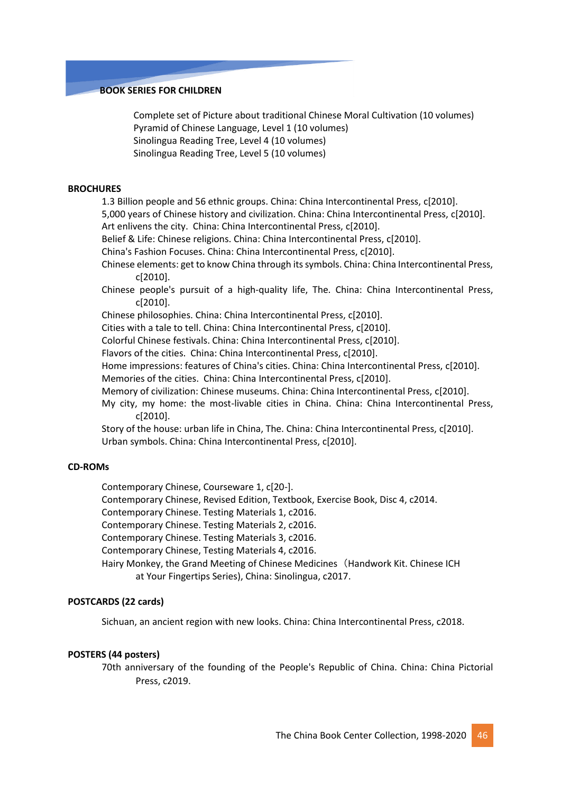#### **BOOK SERIES FOR CHILDREN**

Complete set of Picture about traditional Chinese Moral Cultivation (10 volumes) Pyramid of Chinese Language, Level 1 (10 volumes) Sinolingua Reading Tree, Level 4 (10 volumes) Sinolingua Reading Tree, Level 5 (10 volumes)

#### **BROCHURES**

1.3 Billion people and 56 ethnic groups. China: China Intercontinental Press, c[2010].

5,000 years of Chinese history and civilization. China: China Intercontinental Press, c[2010].

Art enlivens the city. China: China Intercontinental Press, c[2010].

Belief & Life: Chinese religions. China: China Intercontinental Press, c[2010].

China's Fashion Focuses. China: China Intercontinental Press, c[2010].

Chinese elements: get to know China through its symbols. China: China Intercontinental Press, c[2010].

Chinese people's pursuit of a high-quality life, The. China: China Intercontinental Press, c[2010].

Chinese philosophies. China: China Intercontinental Press, c[2010].

Cities with a tale to tell. China: China Intercontinental Press, c[2010].

Colorful Chinese festivals. China: China Intercontinental Press, c[2010].

Flavors of the cities. China: China Intercontinental Press, c[2010].

Home impressions: features of China's cities. China: China Intercontinental Press, c[2010].

Memories of the cities. China: China Intercontinental Press, c[2010].

Memory of civilization: Chinese museums. China: China Intercontinental Press, c[2010].

My city, my home: the most-livable cities in China. China: China Intercontinental Press, c[2010].

Story of the house: urban life in China, The. China: China Intercontinental Press, c[2010]. Urban symbols. China: China Intercontinental Press, c[2010].

#### **CD-ROMs**

Contemporary Chinese, Courseware 1, c[20-].

Contemporary Chinese, Revised Edition, Textbook, Exercise Book, Disc 4, c2014.

Contemporary Chinese. Testing Materials 1, c2016.

Contemporary Chinese. Testing Materials 2, c2016.

Contemporary Chinese. Testing Materials 3, c2016.

Contemporary Chinese, Testing Materials 4, c2016.

Hairy Monkey, the Grand Meeting of Chinese Medicines (Handwork Kit. Chinese ICH at Your Fingertips Series), China: Sinolingua, c2017.

#### **POSTCARDS (22 cards)**

Sichuan, an ancient region with new looks. China: China Intercontinental Press, c2018.

#### **POSTERS (44 posters)**

70th anniversary of the founding of the People's Republic of China. China: China Pictorial Press, c2019.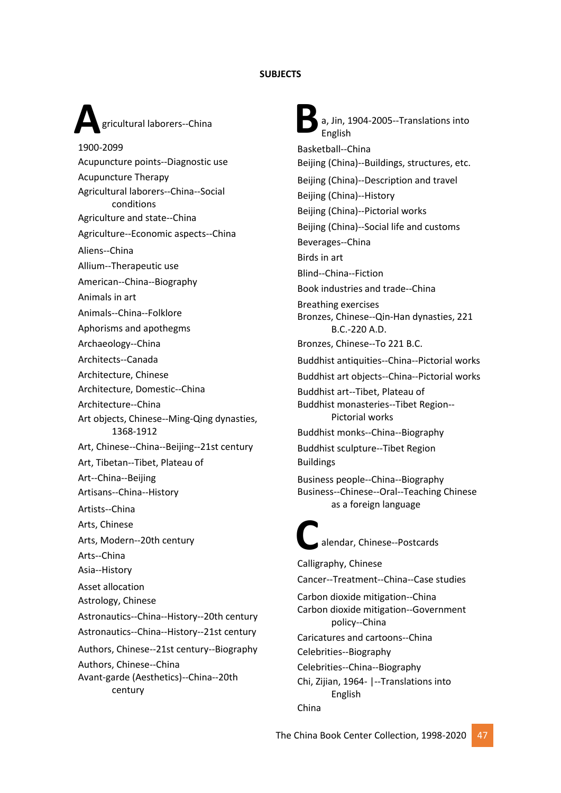#### **SUBJECTS**

## **A** gricultural laborers--China gricultural laborers--China

1900-2099 Acupuncture points--Diagnostic use Acupuncture Therapy Agricultural laborers--China--Social conditions Agriculture and state--China Agriculture--Economic aspects--China Aliens--China Allium--Therapeutic use American--China--Biography Animals in art Animals--China--Folklore Aphorisms and apothegms Archaeology--China Architects--Canada Architecture, Chinese Architecture, Domestic--China Architecture--China Art objects, Chinese--Ming-Qing dynasties, 1368-1912 Art, Chinese--China--Beijing--21st century Art, Tibetan--Tibet, Plateau of Art--China--Beijing Artisans--China--History Artists--China Arts, Chinese Arts, Modern--20th century Arts--China Asia--History Asset allocation Astrology, Chinese Astronautics--China--History--20th century Astronautics--China--History--21st century Authors, Chinese--21st century--Biography Authors, Chinese--China Avant-garde (Aesthetics)--China--20th century

**C** Í a, Jin, 1904-2005--Translations into English Basketball--China Beijing (China)--Buildings, structures, etc. Beijing (China)--Description and travel Beijing (China)--History Beijing (China)--Pictorial works Beijing (China)--Social life and customs Beverages--China Birds in art Blind--China--Fiction Book industries and trade--China Breathing exercises Bronzes, Chinese--Qin-Han dynasties, 221 B.C.-220 A.D. Bronzes, Chinese--To 221 B.C. Buddhist antiquities--China--Pictorial works Buddhist art objects--China--Pictorial works Buddhist art--Tibet, Plateau of Buddhist monasteries--Tibet Region-- Pictorial works Buddhist monks--China--Biography Buddhist sculpture--Tibet Region Buildings Business people--China--Biography Business--Chinese--Oral--Teaching Chinese as a foreign language alendar, Chinese--Postcards Calligraphy, Chinese Cancer--Treatment--China--Case studies Carbon dioxide mitigation--China Carbon dioxide mitigation--Government policy--China Caricatures and cartoons--China Celebrities--Biography Celebrities--China--Biography Chi, Zijian, 1964- |--Translations into

English

China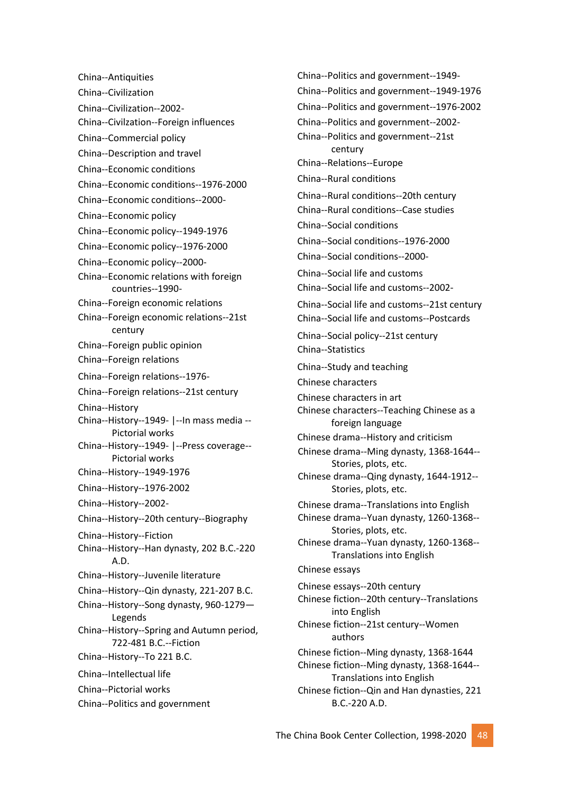China--Antiquities China--Civilization China--Civilization--2002- China--Civilzation--Foreign influences China--Commercial policy China--Description and travel China--Economic conditions China--Economic conditions--1976-2000 China--Economic conditions--2000- China--Economic policy China--Economic policy--1949-1976 China--Economic policy--1976-2000 China--Economic policy--2000- China--Economic relations with foreign countries--1990- China--Foreign economic relations China--Foreign economic relations--21st century China--Foreign public opinion China--Foreign relations China--Foreign relations--1976- China--Foreign relations--21st century China--History China--History--1949- |--In mass media -- Pictorial works China--History--1949- |--Press coverage-- Pictorial works China--History--1949-1976 China--History--1976-2002 China--History--2002- China--History--20th century--Biography China--History--Fiction China--History--Han dynasty, 202 B.C.-220 A.D. China--History--Juvenile literature China--History--Qin dynasty, 221-207 B.C. China--History--Song dynasty, 960-1279— Legends China--History--Spring and Autumn period, 722-481 B.C.--Fiction China--History--To 221 B.C. China--Intellectual life China--Pictorial works China--Politics and government

China--Politics and government--1949- China--Politics and government--1949-1976 China--Politics and government--1976-2002 China--Politics and government--2002- China--Politics and government--21st century China--Relations--Europe China--Rural conditions China--Rural conditions--20th century China--Rural conditions--Case studies China--Social conditions China--Social conditions--1976-2000 China--Social conditions--2000- China--Social life and customs China--Social life and customs--2002- China--Social life and customs--21st century China--Social life and customs--Postcards China--Social policy--21st century China--Statistics China--Study and teaching Chinese characters Chinese characters in art Chinese characters--Teaching Chinese as a foreign language Chinese drama--History and criticism Chinese drama--Ming dynasty, 1368-1644-- Stories, plots, etc. Chinese drama--Qing dynasty, 1644-1912-- Stories, plots, etc. Chinese drama--Translations into English Chinese drama--Yuan dynasty, 1260-1368-- Stories, plots, etc. Chinese drama--Yuan dynasty, 1260-1368-- Translations into English Chinese essays Chinese essays--20th century Chinese fiction--20th century--Translations into English Chinese fiction--21st century--Women authors Chinese fiction--Ming dynasty, 1368-1644 Chinese fiction--Ming dynasty, 1368-1644-- Translations into English Chinese fiction--Qin and Han dynasties, 221 B.C.-220 A.D.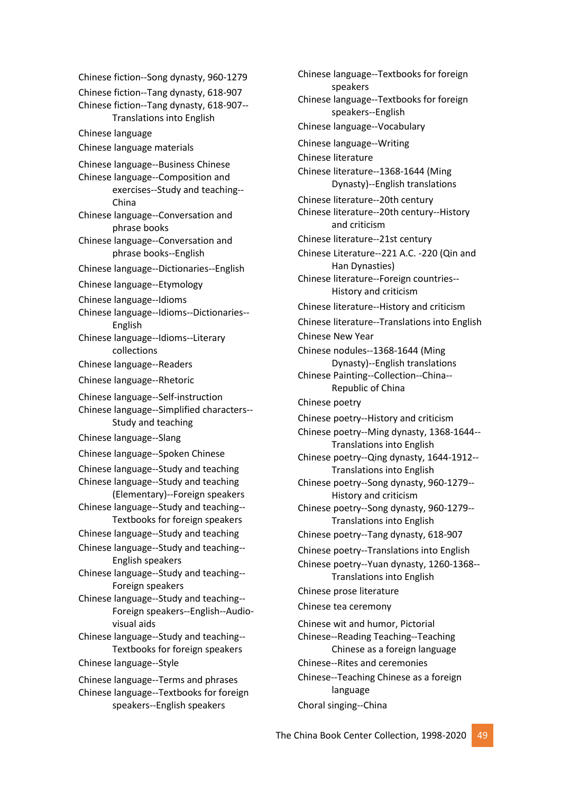Chinese fiction--Song dynasty, 960-1279 Chinese fiction--Tang dynasty, 618-907 Chinese fiction--Tang dynasty, 618-907-- Translations into English Chinese language Chinese language materials Chinese language--Business Chinese Chinese language--Composition and exercises--Study and teaching-- China Chinese language--Conversation and phrase books Chinese language--Conversation and phrase books--English Chinese language--Dictionaries--English Chinese language--Etymology Chinese language--Idioms Chinese language--Idioms--Dictionaries-- English Chinese language--Idioms--Literary collections Chinese language--Readers Chinese language--Rhetoric Chinese language--Self-instruction Chinese language--Simplified characters-- Study and teaching Chinese language--Slang Chinese language--Spoken Chinese Chinese language--Study and teaching Chinese language--Study and teaching (Elementary)--Foreign speakers Chinese language--Study and teaching-- Textbooks for foreign speakers Chinese language--Study and teaching Chinese language--Study and teaching-- English speakers Chinese language--Study and teaching-- Foreign speakers Chinese language--Study and teaching-- Foreign speakers--English--Audiovisual aids Chinese language--Study and teaching-- Textbooks for foreign speakers Chinese language--Style Chinese language--Terms and phrases Chinese language--Textbooks for foreign speakers--English speakers

Chinese language--Textbooks for foreign speakers Chinese language--Textbooks for foreign speakers--English Chinese language--Vocabulary Chinese language--Writing Chinese literature Chinese literature--1368-1644 (Ming Dynasty)--English translations Chinese literature--20th century Chinese literature--20th century--History and criticism Chinese literature--21st century Chinese Literature--221 A.C. -220 (Qin and Han Dynasties) Chinese literature--Foreign countries-- History and criticism Chinese literature--History and criticism Chinese literature--Translations into English Chinese New Year Chinese nodules--1368-1644 (Ming Dynasty)--English translations Chinese Painting--Collection--China-- Republic of China Chinese poetry Chinese poetry--History and criticism Chinese poetry--Ming dynasty, 1368-1644-- Translations into English Chinese poetry--Qing dynasty, 1644-1912-- Translations into English Chinese poetry--Song dynasty, 960-1279-- History and criticism Chinese poetry--Song dynasty, 960-1279-- Translations into English Chinese poetry--Tang dynasty, 618-907 Chinese poetry--Translations into English Chinese poetry--Yuan dynasty, 1260-1368-- Translations into English Chinese prose literature Chinese tea ceremony Chinese wit and humor, Pictorial Chinese--Reading Teaching--Teaching Chinese as a foreign language Chinese--Rites and ceremonies Chinese--Teaching Chinese as a foreign language Choral singing--China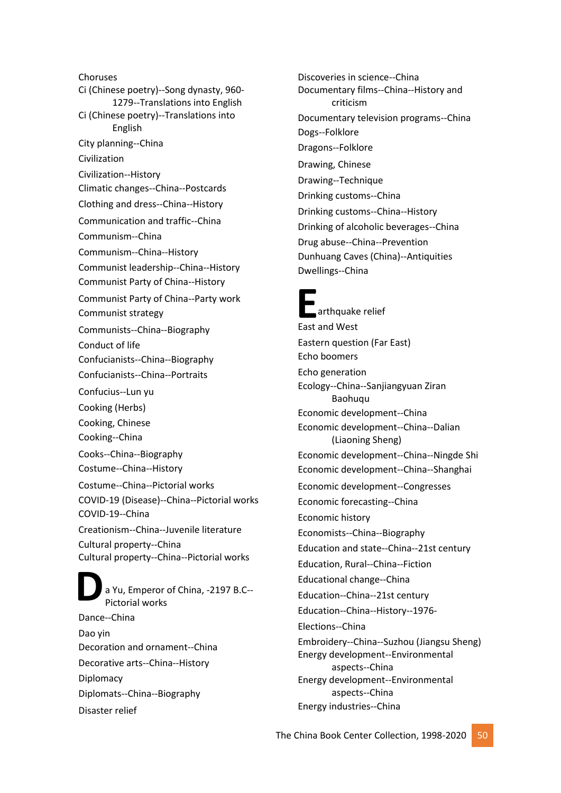**D** Choruses Ci (Chinese poetry)--Song dynasty, 960- 1279--Translations into English Ci (Chinese poetry)--Translations into English City planning--China Civilization Civilization--History Climatic changes--China--Postcards Clothing and dress--China--History Communication and traffic--China Communism--China Communism--China--History Communist leadership--China--History Communist Party of China--History Communist Party of China--Party work Communist strategy Communists--China--Biography Conduct of life Confucianists--China--Biography Confucianists--China--Portraits Confucius--Lun yu Cooking (Herbs) Cooking, Chinese Cooking--China Cooks--China--Biography Costume--China--History Costume--China--Pictorial works COVID-19 (Disease)--China--Pictorial works COVID-19--China Creationism--China--Juvenile literature Cultural property--China Cultural property--China--Pictorial works a Yu, Emperor of China, -2197 B.C-- Pictorial works Dance--China Dao yin Decoration and ornament--China Decorative arts--China--History **Diplomacy** 

Diplomats--China--Biography

Disaster relief

Discoveries in science--China Documentary films--China--History and criticism Documentary television programs--China Dogs--Folklore Dragons--Folklore Drawing, Chinese Drawing--Technique Drinking customs--China Drinking customs--China--History Drinking of alcoholic beverages--China Drug abuse--China--Prevention Dunhuang Caves (China)--Antiquities Dwellings--China

### **Example 15**<br>East and West  $\overline{\phantom{a}}$  arthquake relief Eastern question (Far East) Echo boomers Echo generation Ecology--China--Sanjiangyuan Ziran Baohuqu Economic development--China Economic development--China--Dalian (Liaoning Sheng) Economic development--China--Ningde Shi Economic development--China--Shanghai Economic development--Congresses Economic forecasting--China Economic history Economists--China--Biography Education and state--China--21st century Education, Rural--China--Fiction Educational change--China Education--China--21st century Education--China--History--1976- Elections--China Embroidery--China--Suzhou (Jiangsu Sheng) Energy development--Environmental aspects--China Energy development--Environmental aspects--China Energy industries--China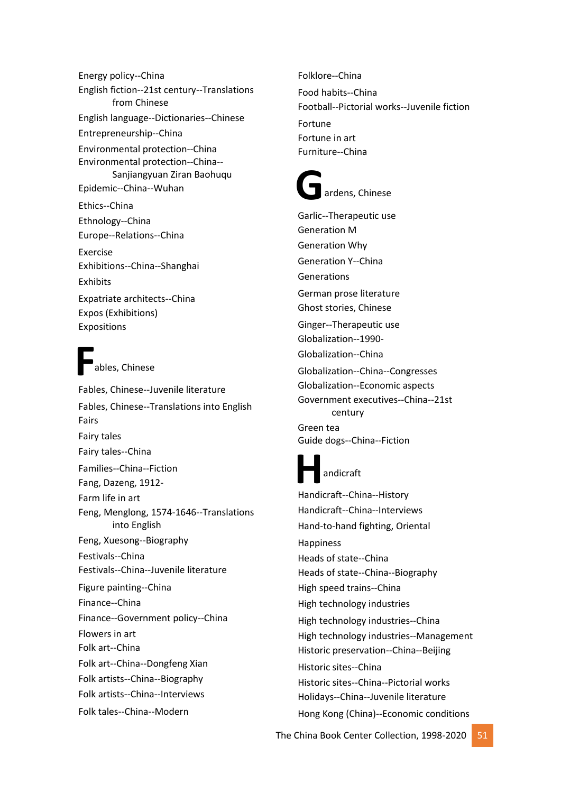Energy policy--China English fiction--21st century--Translations from Chinese English language--Dictionaries--Chinese Entrepreneurship--China Environmental protection--China Environmental protection--China-- Sanjiangyuan Ziran Baohuqu Epidemic--China--Wuhan Ethics--China Ethnology--China Europe--Relations--China Exercise Exhibitions--China--Shanghai Exhibits Expatriate architects--China Expos (Exhibitions) Expositions

**F** ables, Chinese Fables, Chinese--Juvenile literature Fables, Chinese--Translations into English Fairs Fairy tales Fairy tales--China Families--China--Fiction Fang, Dazeng, 1912- Farm life in art Feng, Menglong, 1574-1646--Translations into English Feng, Xuesong--Biography Festivals--China Festivals--China--Juvenile literature Figure painting--China

Finance--China

Finance--Government policy--China

Flowers in art

Folk art--China

Folk art--China--Dongfeng Xian

Folk artists--China--Biography

Folk artists--China--Interviews

Folk tales--China--Modern

Folklore--China Food habits--China Football--Pictorial works--Juvenile fiction Fortune Fortune in art Furniture--China

## **G** ardens, Chinese

**Handicraft**<br>
Handicraft--China--History Garlic--Therapeutic use Generation M Generation Why Generation Y--China Generations German prose literature Ghost stories, Chinese Ginger--Therapeutic use Globalization--1990- Globalization--China Globalization--China--Congresses Globalization--Economic aspects Government executives--China--21st century Green tea Guide dogs--China--Fiction andicraft Handicraft--China--Interviews Hand-to-hand fighting, Oriental Happiness Heads of state--China Heads of state--China--Biography High speed trains--China High technology industries

High technology industries--China High technology industries--Management

Historic preservation--China--Beijing Historic sites--China

Historic sites--China--Pictorial works Holidays--China--Juvenile literature

Hong Kong (China)--Economic conditions

The China Book Center Collection, 1998-2020 51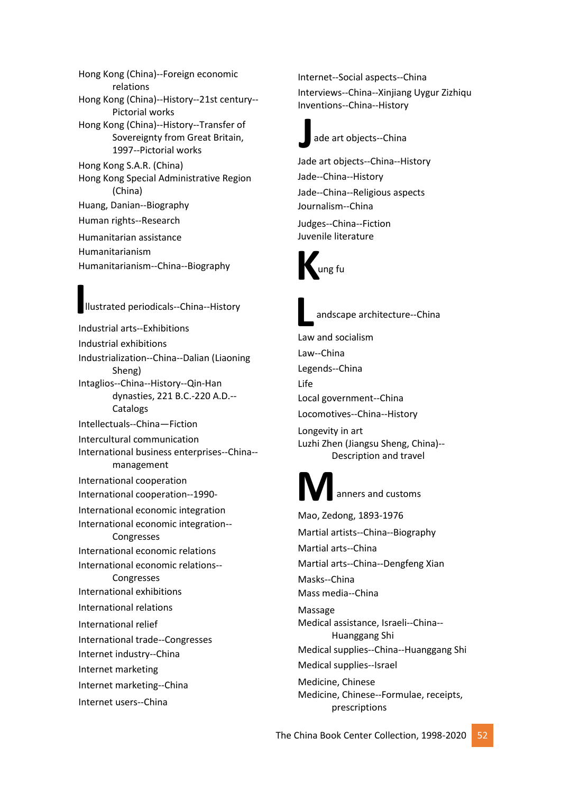Hong Kong (China)--Foreign economic relations Hong Kong (China)--History--21st century-- Pictorial works Hong Kong (China)--History--Transfer of Sovereignty from Great Britain, 1997--Pictorial works Hong Kong S.A.R. (China) Hong Kong Special Administrative Region (China) Huang, Danian--Biography Human rights--Research Humanitarian assistance

Humanitarianism

Humanitarianism--China--Biography

## **I** llustrated periodicals--China--History

Industrial arts--Exhibitions Industrial exhibitions Industrialization--China--Dalian (Liaoning Sheng) Intaglios--China--History--Qin-Han dynasties, 221 B.C.-220 A.D.-- Catalogs Intellectuals--China—Fiction Intercultural communication International business enterprises--China- management International cooperation International cooperation--1990- International economic integration International economic integration-- Congresses International economic relations International economic relations-- Congresses International exhibitions International relations International relief International trade--Congresses Internet industry--China Internet marketing Internet marketing--China Internet users--China

Internet--Social aspects--China Interviews--China--Xinjiang Uygur Zizhiqu Inventions--China--History

## **J** ade art objects--China

Jade art objects--China--History Jade--China--History Jade--China--Religious aspects Journalism--China

Judges--China--Fiction Juvenile literature





andscape architecture--China

**L**<br> **Law and socialism** 

Law--China Legends--China

Life

Local government--China

Locomotives--China--History

Longevity in art Luzhi Zhen (Jiangsu Sheng, China)-- Description and travel

## **M** anners and customs

Mao, Zedong, 1893-1976 Martial artists--China--Biography Martial arts--China Martial arts--China--Dengfeng Xian Masks--China Mass media--China Massage Medical assistance, Israeli--China-- Huanggang Shi Medical supplies--China--Huanggang Shi Medical supplies--Israel Medicine, Chinese Medicine, Chinese--Formulae, receipts, prescriptions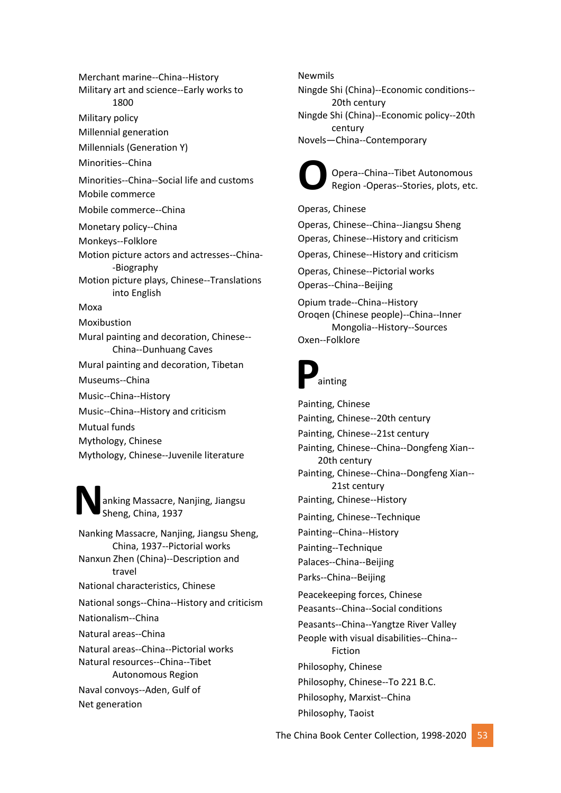Merchant marine--China--History Military art and science--Early works to 1800 Military policy Millennial generation Millennials (Generation Y) Minorities--China Minorities--China--Social life and customs Mobile commerce Mobile commerce--China Monetary policy--China Monkeys--Folklore Motion picture actors and actresses--China- -Biography Motion picture plays, Chinese--Translations into English Moxa Moxibustion Mural painting and decoration, Chinese-- China--Dunhuang Caves Mural painting and decoration, Tibetan Museums--China Music--China--History Music--China--History and criticism Mutual funds Mythology, Chinese Mythology, Chinese--Juvenile literature

**N** anking Massacre, Nanjing, Jiangsu Sheng, China, 1937

Nanking Massacre, Nanjing, Jiangsu Sheng, China, 1937--Pictorial works Nanxun Zhen (China)--Description and travel National characteristics, Chinese National songs--China--History and criticism Nationalism--China Natural areas--China Natural areas--China--Pictorial works Natural resources--China--Tibet Autonomous Region Naval convoys--Aden, Gulf of Net generation

#### Newmils

Ningde Shi (China)--Economic conditions-- 20th century Ningde Shi (China)--Economic policy--20th century Novels—China--Contemporary



Opera--China--Tibet Autonomous Region -Operas--Stories, plots, etc.

Operas, Chinese Operas, Chinese--China--Jiangsu Sheng Operas, Chinese--History and criticism Operas, Chinese--History and criticism Operas, Chinese--Pictorial works Operas--China--Beijing Opium trade--China--History Oroqen (Chinese people)--China--Inner Mongolia--History--Sources Oxen--Folklore

## **P** ainting

Painting, Chinese Painting, Chinese--20th century Painting, Chinese--21st century Painting, Chinese--China--Dongfeng Xian-- 20th century Painting, Chinese--China--Dongfeng Xian-- 21st century Painting, Chinese--History Painting, Chinese--Technique Painting--China--History Painting--Technique Palaces--China--Beijing Parks--China--Beijing Peacekeeping forces, Chinese Peasants--China--Social conditions Peasants--China--Yangtze River Valley People with visual disabilities--China-- Fiction Philosophy, Chinese Philosophy, Chinese--To 221 B.C. Philosophy, Marxist--China Philosophy, Taoist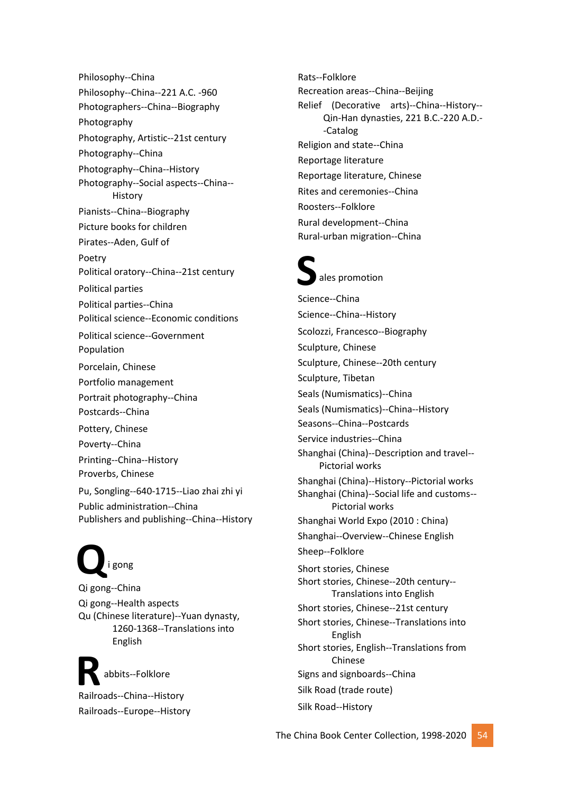Philosophy--China Philosophy--China--221 A.C. -960 Photographers--China--Biography Photography Photography, Artistic--21st century Photography--China Photography--China--History Photography--Social aspects--China-- History Pianists--China--Biography Picture books for children Pirates--Aden, Gulf of Poetry Political oratory--China--21st century Political parties Political parties--China Political science--Economic conditions Political science--Government Population Porcelain, Chinese Portfolio management Portrait photography--China Postcards--China Pottery, Chinese Poverty--China Printing--China--History Proverbs, Chinese Pu, Songling--640-1715--Liao zhai zhi yi Public administration--China Publishers and publishing--China--History

## **Q** i gong

Qi gong--China Qi gong--Health aspects Qu (Chinese literature)--Yuan dynasty, 1260-1368--Translations into English

Rabbits--Folklore<br>
Railroads--China--History abbits--Folklore Railroads--Europe--History Rats--Folklore Recreation areas--China--Beijing Relief (Decorative arts)--China--History-- Qin-Han dynasties, 221 B.C.-220 A.D.- -Catalog Religion and state--China Reportage literature Reportage literature, Chinese Rites and ceremonies--China Roosters--Folklore Rural development--China Rural-urban migration--China

# **S**

ales promotion

Science--China Science--China--History Scolozzi, Francesco--Biography Sculpture, Chinese Sculpture, Chinese--20th century Sculpture, Tibetan Seals (Numismatics)--China Seals (Numismatics)--China--History Seasons--China--Postcards Service industries--China Shanghai (China)--Description and travel-- Pictorial works Shanghai (China)--History--Pictorial works Shanghai (China)--Social life and customs-- Pictorial works Shanghai World Expo (2010 : China) Shanghai--Overview--Chinese English Sheep--Folklore Short stories, Chinese Short stories, Chinese--20th century-- Translations into English Short stories, Chinese--21st century Short stories, Chinese--Translations into English Short stories, English--Translations from Chinese Signs and signboards--China Silk Road (trade route) Silk Road--History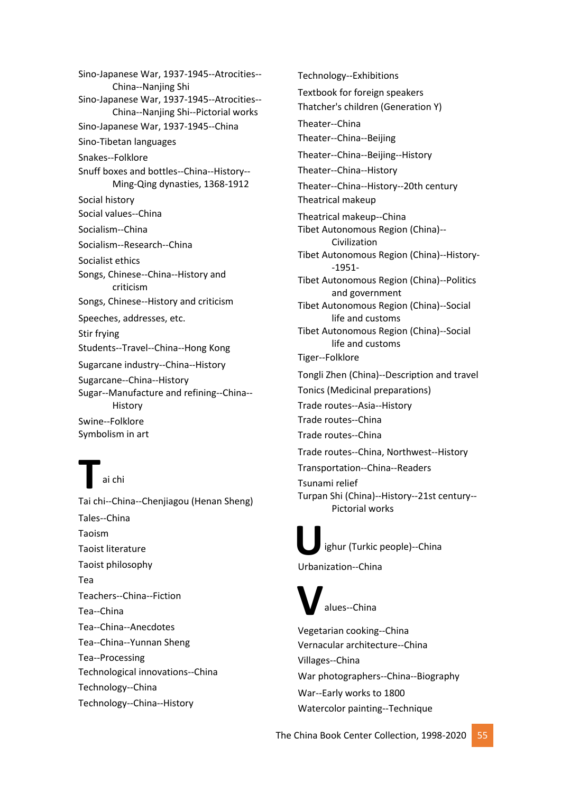Sino-Japanese War, 1937-1945--Atrocities-- China--Nanjing Shi Sino-Japanese War, 1937-1945--Atrocities-- China--Nanjing Shi--Pictorial works Sino-Japanese War, 1937-1945--China Sino-Tibetan languages Snakes--Folklore Snuff boxes and bottles--China--History-- Ming-Qing dynasties, 1368-1912 Social history Social values--China Socialism--China Socialism--Research--China Socialist ethics Songs, Chinese--China--History and criticism Songs, Chinese--History and criticism Speeches, addresses, etc. Stir frying Students--Travel--China--Hong Kong Sugarcane industry--China--History Sugarcane--China--History Sugar--Manufacture and refining--China-- History Swine--Folklore Symbolism in art

**Tai chi**<br>Tai chi--China--Chenjiagou (Henan Sheng) ai chi Tales--China Taoism Taoist literature Taoist philosophy Tea Teachers--China--Fiction Tea--China Tea--China--Anecdotes Tea--China--Yunnan Sheng Tea--Processing Technological innovations--China Technology--China Technology--China--History

Technology--Exhibitions Textbook for foreign speakers Thatcher's children (Generation Y) Theater--China Theater--China--Beijing Theater--China--Beijing--History Theater--China--History Theater--China--History--20th century Theatrical makeup Theatrical makeup--China Tibet Autonomous Region (China)-- Civilization Tibet Autonomous Region (China)--History- -1951- Tibet Autonomous Region (China)--Politics and government Tibet Autonomous Region (China)--Social life and customs Tibet Autonomous Region (China)--Social life and customs Tiger--Folklore Tongli Zhen (China)--Description and travel Tonics (Medicinal preparations) Trade routes--Asia--History Trade routes--China Trade routes--China Trade routes--China, Northwest--History Transportation--China--Readers Tsunami relief Turpan Shi (China)--History--21st century-- Pictorial works

**U** ighur (Turkic people)--China Urbanization--China

**V** alues--China

Vegetarian cooking--China Vernacular architecture--China Villages--China War photographers--China--Biography War--Early works to 1800 Watercolor painting--Technique